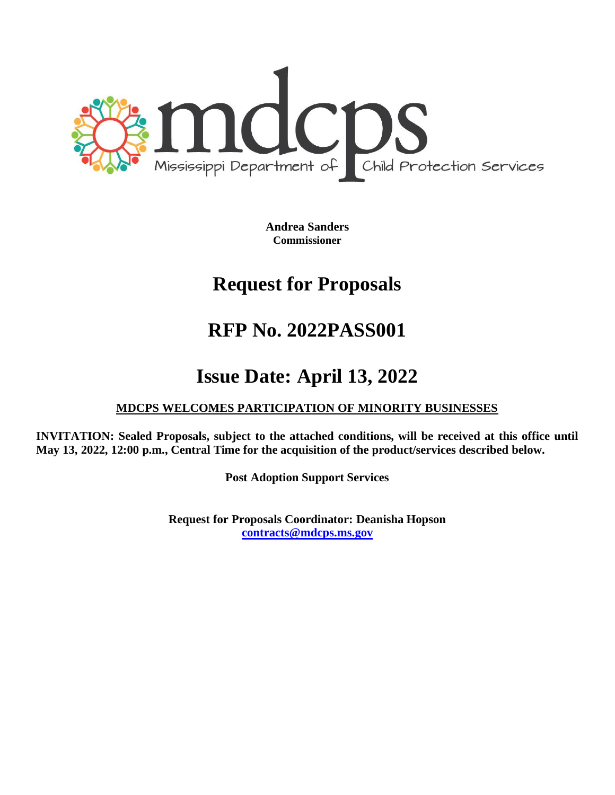

**Andrea Sanders Commissioner**

# **Request for Proposals**

# **RFP No. 2022PASS001**

# **Issue Date: April 13, 2022**

# **MDCPS WELCOMES PARTICIPATION OF MINORITY BUSINESSES**

**INVITATION: Sealed Proposals, subject to the attached conditions, will be received at this office until May 13, 2022, 12:00 p.m., Central Time for the acquisition of the product/services described below.**

**Post Adoption Support Services**

**Request for Proposals Coordinator: Deanisha Hopson [contracts@mdcps.ms.gov](mailto:contracts@mdcps.ms.gov)**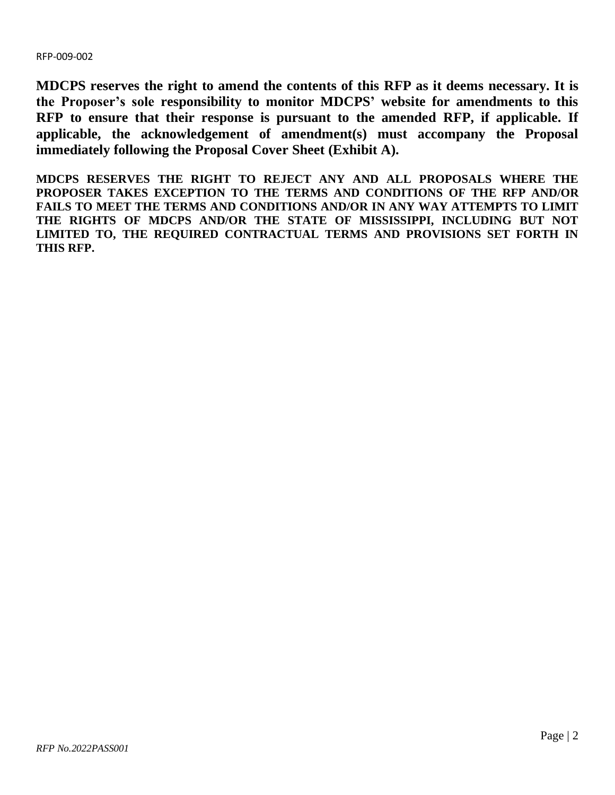**MDCPS reserves the right to amend the contents of this RFP as it deems necessary. It is the Proposer's sole responsibility to monitor MDCPS' website for amendments to this RFP to ensure that their response is pursuant to the amended RFP, if applicable. If applicable, the acknowledgement of amendment(s) must accompany the Proposal immediately following the Proposal Cover Sheet (Exhibit A).**

**MDCPS RESERVES THE RIGHT TO REJECT ANY AND ALL PROPOSALS WHERE THE PROPOSER TAKES EXCEPTION TO THE TERMS AND CONDITIONS OF THE RFP AND/OR FAILS TO MEET THE TERMS AND CONDITIONS AND/OR IN ANY WAY ATTEMPTS TO LIMIT THE RIGHTS OF MDCPS AND/OR THE STATE OF MISSISSIPPI, INCLUDING BUT NOT LIMITED TO, THE REQUIRED CONTRACTUAL TERMS AND PROVISIONS SET FORTH IN THIS RFP.**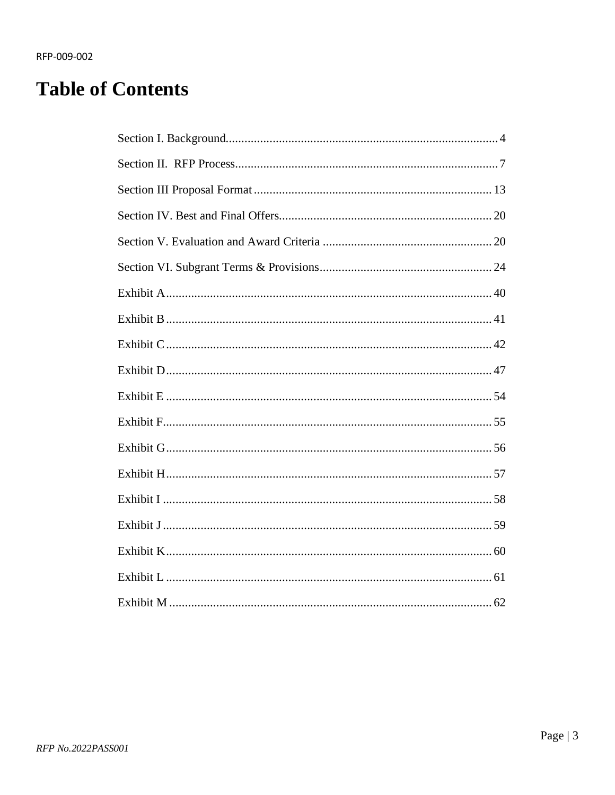# **Table of Contents**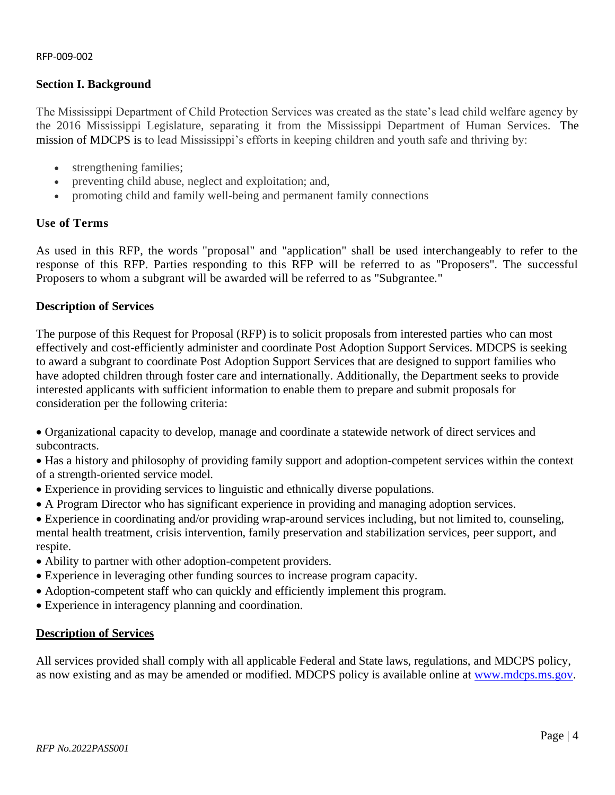# <span id="page-3-0"></span>**Section I. Background**

The Mississippi Department of Child Protection Services was created as the state's lead child welfare agency by the 2016 Mississippi Legislature, separating it from the Mississippi Department of Human Services. The mission of MDCPS is to lead Mississippi's efforts in keeping children and youth safe and thriving by:

- strengthening families;
- preventing child abuse, neglect and exploitation; and,
- promoting child and family well-being and permanent family connections

# **Use of Terms**

As used in this RFP, the words "proposal" and "application" shall be used interchangeably to refer to the response of this RFP. Parties responding to this RFP will be referred to as "Proposers". The successful Proposers to whom a subgrant will be awarded will be referred to as "Subgrantee."

# **Description of Services**

The purpose of this Request for Proposal (RFP) is to solicit proposals from interested parties who can most effectively and cost-efficiently administer and coordinate Post Adoption Support Services. MDCPS is seeking to award a subgrant to coordinate Post Adoption Support Services that are designed to support families who have adopted children through foster care and internationally. Additionally, the Department seeks to provide interested applicants with sufficient information to enable them to prepare and submit proposals for consideration per the following criteria:

• Organizational capacity to develop, manage and coordinate a statewide network of direct services and subcontracts.

• Has a history and philosophy of providing family support and adoption-competent services within the context of a strength-oriented service model.

- Experience in providing services to linguistic and ethnically diverse populations.
- A Program Director who has significant experience in providing and managing adoption services.
- Experience in coordinating and/or providing wrap-around services including, but not limited to, counseling, mental health treatment, crisis intervention, family preservation and stabilization services, peer support, and respite.
- Ability to partner with other adoption-competent providers.
- Experience in leveraging other funding sources to increase program capacity.
- Adoption-competent staff who can quickly and efficiently implement this program.
- Experience in interagency planning and coordination.

# **Description of Services**

All services provided shall comply with all applicable Federal and State laws, regulations, and MDCPS policy, as now existing and as may be amended or modified. MDCPS policy is available online at [www.mdcps.ms.gov.](http://www.mdcps.ms.gov/)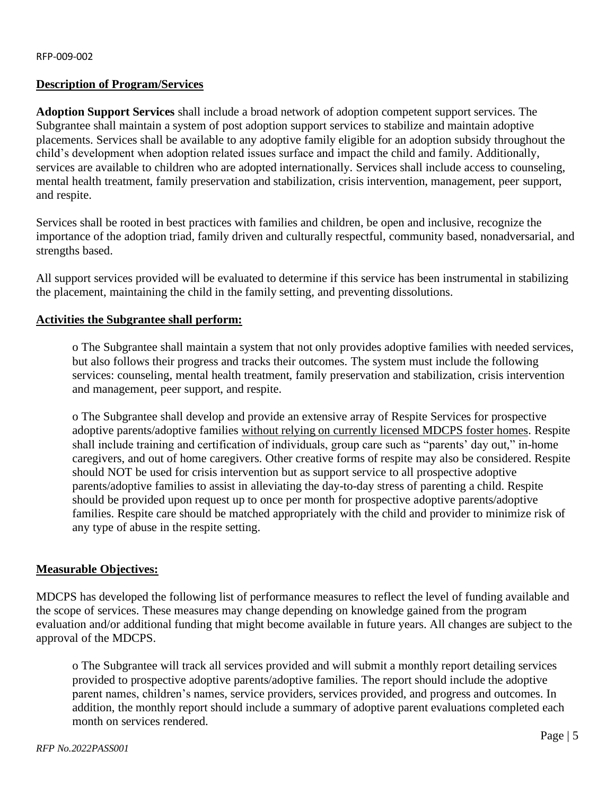# **Description of Program/Services**

**Adoption Support Services** shall include a broad network of adoption competent support services. The Subgrantee shall maintain a system of post adoption support services to stabilize and maintain adoptive placements. Services shall be available to any adoptive family eligible for an adoption subsidy throughout the child's development when adoption related issues surface and impact the child and family. Additionally, services are available to children who are adopted internationally. Services shall include access to counseling, mental health treatment, family preservation and stabilization, crisis intervention, management, peer support, and respite.

Services shall be rooted in best practices with families and children, be open and inclusive, recognize the importance of the adoption triad, family driven and culturally respectful, community based, nonadversarial, and strengths based.

All support services provided will be evaluated to determine if this service has been instrumental in stabilizing the placement, maintaining the child in the family setting, and preventing dissolutions.

## **Activities the Subgrantee shall perform:**

o The Subgrantee shall maintain a system that not only provides adoptive families with needed services, but also follows their progress and tracks their outcomes. The system must include the following services: counseling, mental health treatment, family preservation and stabilization, crisis intervention and management, peer support, and respite.

o The Subgrantee shall develop and provide an extensive array of Respite Services for prospective adoptive parents/adoptive families without relying on currently licensed MDCPS foster homes. Respite shall include training and certification of individuals, group care such as "parents' day out," in-home caregivers, and out of home caregivers. Other creative forms of respite may also be considered. Respite should NOT be used for crisis intervention but as support service to all prospective adoptive parents/adoptive families to assist in alleviating the day-to-day stress of parenting a child. Respite should be provided upon request up to once per month for prospective adoptive parents/adoptive families. Respite care should be matched appropriately with the child and provider to minimize risk of any type of abuse in the respite setting.

#### **Measurable Objectives:**

MDCPS has developed the following list of performance measures to reflect the level of funding available and the scope of services. These measures may change depending on knowledge gained from the program evaluation and/or additional funding that might become available in future years. All changes are subject to the approval of the MDCPS.

o The Subgrantee will track all services provided and will submit a monthly report detailing services provided to prospective adoptive parents/adoptive families. The report should include the adoptive parent names, children's names, service providers, services provided, and progress and outcomes. In addition, the monthly report should include a summary of adoptive parent evaluations completed each month on services rendered.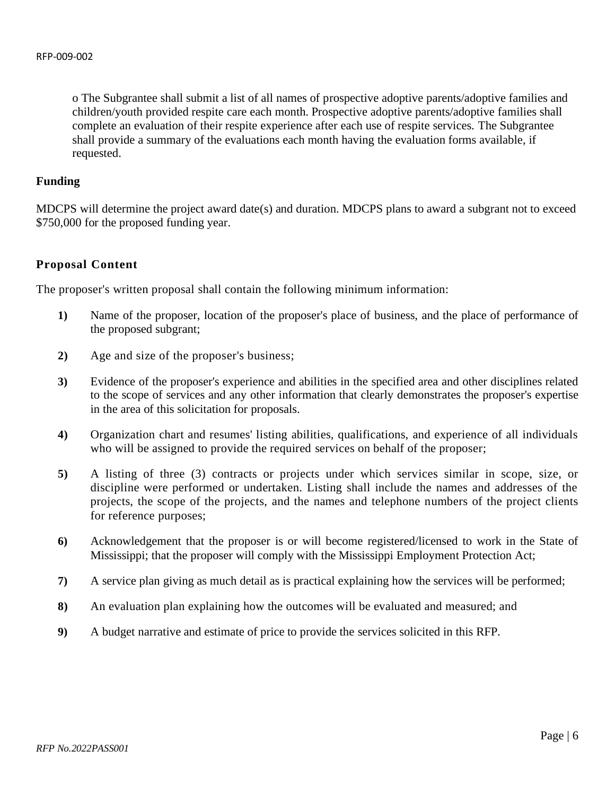o The Subgrantee shall submit a list of all names of prospective adoptive parents/adoptive families and children/youth provided respite care each month. Prospective adoptive parents/adoptive families shall complete an evaluation of their respite experience after each use of respite services. The Subgrantee shall provide a summary of the evaluations each month having the evaluation forms available, if requested.

#### **Funding**

MDCPS will determine the project award date(s) and duration. MDCPS plans to award a subgrant not to exceed \$750,000 for the proposed funding year.

# **Proposal Content**

The proposer's written proposal shall contain the following minimum information:

- **1)** Name of the proposer, location of the proposer's place of business, and the place of performance of the proposed subgrant;
- **2)** Age and size of the proposer's business;
- **3)** Evidence of the proposer's experience and abilities in the specified area and other disciplines related to the scope of services and any other information that clearly demonstrates the proposer's expertise in the area of this solicitation for proposals.
- **4)** Organization chart and resumes' listing abilities, qualifications, and experience of all individuals who will be assigned to provide the required services on behalf of the proposer;
- **5)** A listing of three (3) contracts or projects under which services similar in scope, size, or discipline were performed or undertaken. Listing shall include the names and addresses of the projects, the scope of the projects, and the names and telephone numbers of the project clients for reference purposes;
- **6)** Acknowledgement that the proposer is or will become registered/licensed to work in the State of Mississippi; that the proposer will comply with the Mississippi Employment Protection Act;
- **7)** A service plan giving as much detail as is practical explaining how the services will be performed;
- **8)** An evaluation plan explaining how the outcomes will be evaluated and measured; and
- **9)** A budget narrative and estimate of price to provide the services solicited in this RFP.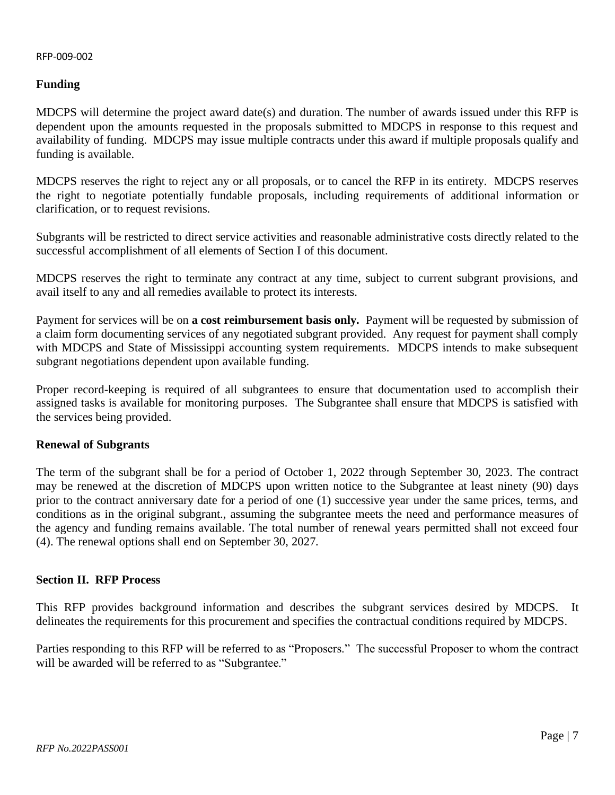# **Funding**

MDCPS will determine the project award date(s) and duration. The number of awards issued under this RFP is dependent upon the amounts requested in the proposals submitted to MDCPS in response to this request and availability of funding. MDCPS may issue multiple contracts under this award if multiple proposals qualify and funding is available.

MDCPS reserves the right to reject any or all proposals, or to cancel the RFP in its entirety. MDCPS reserves the right to negotiate potentially fundable proposals, including requirements of additional information or clarification, or to request revisions.

Subgrants will be restricted to direct service activities and reasonable administrative costs directly related to the successful accomplishment of all elements of Section I of this document.

MDCPS reserves the right to terminate any contract at any time, subject to current subgrant provisions, and avail itself to any and all remedies available to protect its interests.

Payment for services will be on **a cost reimbursement basis only.** Payment will be requested by submission of a claim form documenting services of any negotiated subgrant provided. Any request for payment shall comply with MDCPS and State of Mississippi accounting system requirements. MDCPS intends to make subsequent subgrant negotiations dependent upon available funding.

Proper record-keeping is required of all subgrantees to ensure that documentation used to accomplish their assigned tasks is available for monitoring purposes. The Subgrantee shall ensure that MDCPS is satisfied with the services being provided.

# **Renewal of Subgrants**

The term of the subgrant shall be for a period of October 1, 2022 through September 30, 2023. The contract may be renewed at the discretion of MDCPS upon written notice to the Subgrantee at least ninety (90) days prior to the contract anniversary date for a period of one (1) successive year under the same prices, terms, and conditions as in the original subgrant., assuming the subgrantee meets the need and performance measures of the agency and funding remains available. The total number of renewal years permitted shall not exceed four (4). The renewal options shall end on September 30, 2027.

# <span id="page-6-0"></span>**Section II. RFP Process**

This RFP provides background information and describes the subgrant services desired by MDCPS. It delineates the requirements for this procurement and specifies the contractual conditions required by MDCPS.

Parties responding to this RFP will be referred to as "Proposers." The successful Proposer to whom the contract will be awarded will be referred to as "Subgrantee."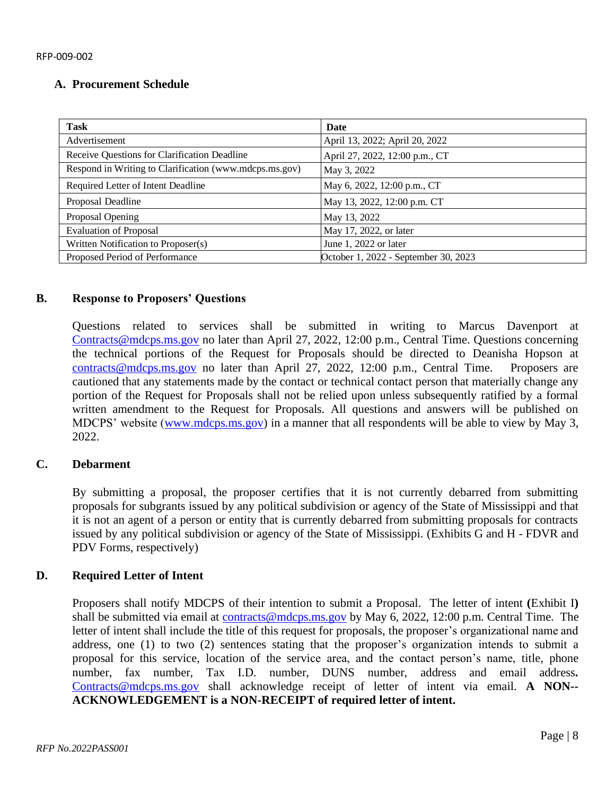# **A. Procurement Schedule**

| <b>Task</b>                                            | Date                                 |
|--------------------------------------------------------|--------------------------------------|
| Advertisement                                          | April 13, 2022; April 20, 2022       |
| Receive Questions for Clarification Deadline           | April 27, 2022, 12:00 p.m., CT       |
| Respond in Writing to Clarification (www.mdcps.ms.gov) | May 3, 2022                          |
| Required Letter of Intent Deadline                     | May 6, 2022, 12:00 p.m., CT          |
| Proposal Deadline                                      | May 13, 2022, 12:00 p.m. CT          |
| Proposal Opening                                       | May 13, 2022                         |
| <b>Evaluation of Proposal</b>                          | May 17, 2022, or later               |
| Written Notification to Proposer(s)                    | June 1, 2022 or later                |
| Proposed Period of Performance                         | October 1, 2022 - September 30, 2023 |

# **B. Response to Proposers' Questions**

Questions related to services shall be submitted in writing to Marcus Davenport at [Contracts@mdcps.ms.gov](mailto:Contracts@mdcps.ms.gov) no later than April 27, 2022, 12:00 p.m., Central Time. Questions concerning the technical portions of the Request for Proposals should be directed to Deanisha Hopson at [contracts@mdcps.ms.gov](mailto:contracts@mdcps.ms.gov) no later than April 27, 2022, 12:00 p.m., Central Time. Proposers are cautioned that any statements made by the contact or technical contact person that materially change any portion of the Request for Proposals shall not be relied upon unless subsequently ratified by a formal written amendment to the Request for Proposals. All questions and answers will be published on MDCPS' website [\(www.mdcps.ms.gov\)](http://www.mdcps.ms.gov/) in a manner that all respondents will be able to view by May 3, 2022.

# **C. Debarment**

By submitting a proposal, the proposer certifies that it is not currently debarred from submitting proposals for subgrants issued by any political subdivision or agency of the State of Mississippi and that it is not an agent of a person or entity that is currently debarred from submitting proposals for contracts issued by any political subdivision or agency of the State of Mississippi. (Exhibits G and H - FDVR and PDV Forms, respectively)

# **D. Required Letter of Intent**

Proposers shall notify MDCPS of their intention to submit a Proposal. The letter of intent **(**Exhibit I**)** shall be submitted via email at [contracts@mdcps.ms.gov](mailto:contracts@mdcps.ms.gov) by May 6, 2022, 12:00 p.m. Central Time. The letter of intent shall include the title of this request for proposals, the proposer's organizational name and address, one (1) to two (2) sentences stating that the proposer's organization intends to submit a proposal for this service, location of the service area, and the contact person's name, title, phone number, fax number, Tax I.D. number, DUNS number, address and email address**.** [Contracts@mdcps.ms.gov](mailto:Contracts@mdcps.ms.gov) shall acknowledge receipt of letter of intent via email. **A NON-- ACKNOWLEDGEMENT is a NON-RECEIPT of required letter of intent.**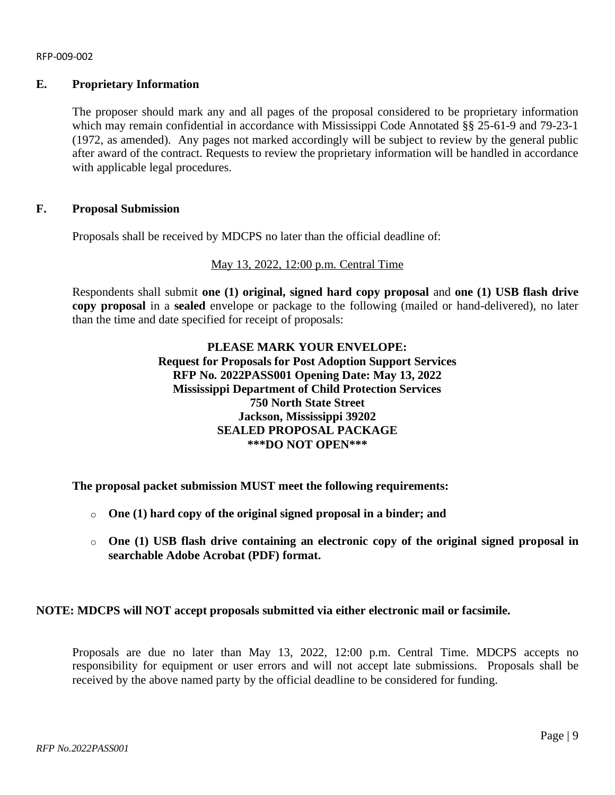# **E. Proprietary Information**

The proposer should mark any and all pages of the proposal considered to be proprietary information which may remain confidential in accordance with Mississippi Code Annotated §§ 25-61-9 and 79-23-1 (1972, as amended). Any pages not marked accordingly will be subject to review by the general public after award of the contract. Requests to review the proprietary information will be handled in accordance with applicable legal procedures.

## **F. Proposal Submission**

Proposals shall be received by MDCPS no later than the official deadline of:

## May 13, 2022, 12:00 p.m. Central Time

Respondents shall submit **one (1) original, signed hard copy proposal** and **one (1) USB flash drive copy proposal** in a **sealed** envelope or package to the following (mailed or hand-delivered), no later than the time and date specified for receipt of proposals:

# **PLEASE MARK YOUR ENVELOPE: Request for Proposals for Post Adoption Support Services RFP No. 2022PASS001 Opening Date: May 13, 2022 Mississippi Department of Child Protection Services 750 North State Street Jackson, Mississippi 39202 SEALED PROPOSAL PACKAGE \*\*\*DO NOT OPEN\*\*\***

**The proposal packet submission MUST meet the following requirements:** 

- o **One (1) hard copy of the original signed proposal in a binder; and**
- o **One (1) USB flash drive containing an electronic copy of the original signed proposal in searchable Adobe Acrobat (PDF) format.**

# **NOTE: MDCPS will NOT accept proposals submitted via either electronic mail or facsimile.**

Proposals are due no later than May 13, 2022, 12:00 p.m. Central Time. MDCPS accepts no responsibility for equipment or user errors and will not accept late submissions. Proposals shall be received by the above named party by the official deadline to be considered for funding.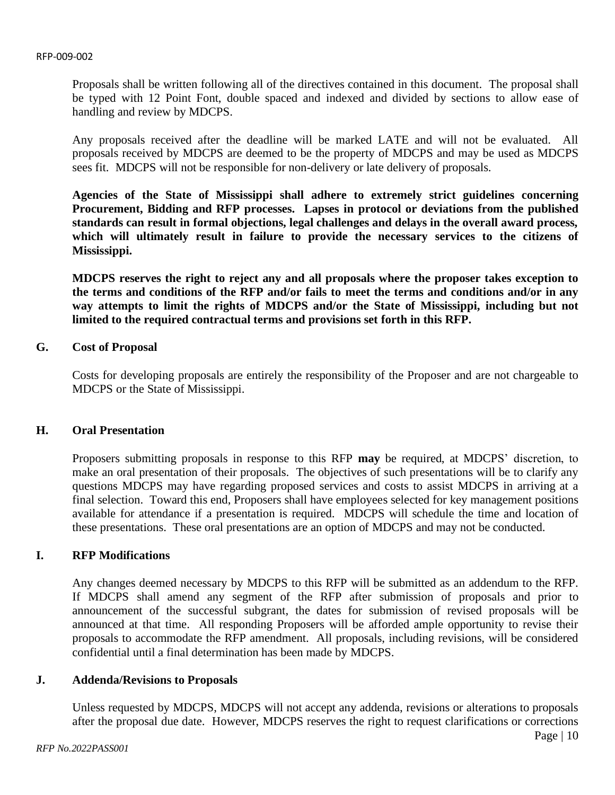Proposals shall be written following all of the directives contained in this document. The proposal shall be typed with 12 Point Font, double spaced and indexed and divided by sections to allow ease of handling and review by MDCPS.

Any proposals received after the deadline will be marked LATE and will not be evaluated. All proposals received by MDCPS are deemed to be the property of MDCPS and may be used as MDCPS sees fit. MDCPS will not be responsible for non-delivery or late delivery of proposals.

**Agencies of the State of Mississippi shall adhere to extremely strict guidelines concerning Procurement, Bidding and RFP processes. Lapses in protocol or deviations from the published standards can result in formal objections, legal challenges and delays in the overall award process, which will ultimately result in failure to provide the necessary services to the citizens of Mississippi.** 

**MDCPS reserves the right to reject any and all proposals where the proposer takes exception to the terms and conditions of the RFP and/or fails to meet the terms and conditions and/or in any way attempts to limit the rights of MDCPS and/or the State of Mississippi, including but not limited to the required contractual terms and provisions set forth in this RFP.**

# **G. Cost of Proposal**

Costs for developing proposals are entirely the responsibility of the Proposer and are not chargeable to MDCPS or the State of Mississippi.

## **H. Oral Presentation**

Proposers submitting proposals in response to this RFP **may** be required, at MDCPS' discretion, to make an oral presentation of their proposals. The objectives of such presentations will be to clarify any questions MDCPS may have regarding proposed services and costs to assist MDCPS in arriving at a final selection. Toward this end, Proposers shall have employees selected for key management positions available for attendance if a presentation is required. MDCPS will schedule the time and location of these presentations. These oral presentations are an option of MDCPS and may not be conducted.

# **I. RFP Modifications**

Any changes deemed necessary by MDCPS to this RFP will be submitted as an addendum to the RFP. If MDCPS shall amend any segment of the RFP after submission of proposals and prior to announcement of the successful subgrant, the dates for submission of revised proposals will be announced at that time. All responding Proposers will be afforded ample opportunity to revise their proposals to accommodate the RFP amendment. All proposals, including revisions, will be considered confidential until a final determination has been made by MDCPS.

#### **J. Addenda/Revisions to Proposals**

Unless requested by MDCPS, MDCPS will not accept any addenda, revisions or alterations to proposals after the proposal due date. However, MDCPS reserves the right to request clarifications or corrections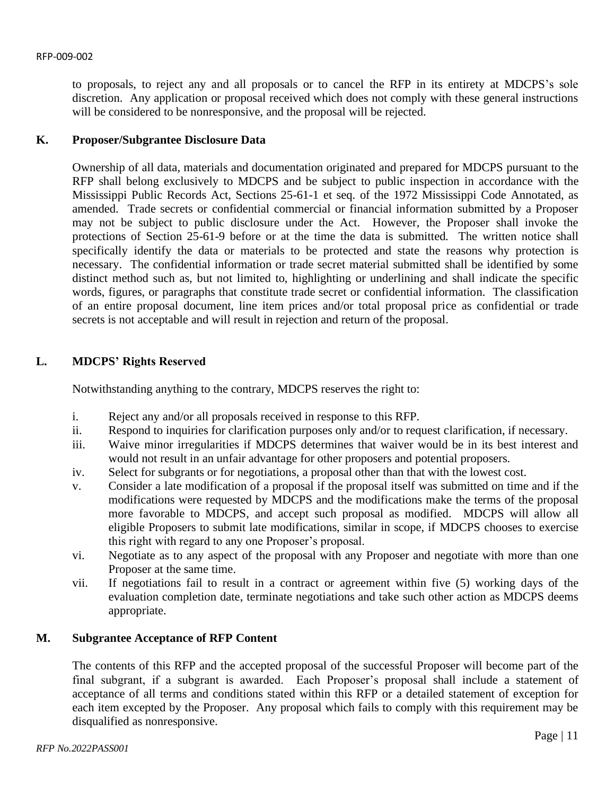to proposals, to reject any and all proposals or to cancel the RFP in its entirety at MDCPS's sole discretion. Any application or proposal received which does not comply with these general instructions will be considered to be nonresponsive, and the proposal will be rejected.

# **K. Proposer/Subgrantee Disclosure Data**

Ownership of all data, materials and documentation originated and prepared for MDCPS pursuant to the RFP shall belong exclusively to MDCPS and be subject to public inspection in accordance with the Mississippi Public Records Act, Sections 25-61-1 et seq. of the 1972 Mississippi Code Annotated, as amended. Trade secrets or confidential commercial or financial information submitted by a Proposer may not be subject to public disclosure under the Act. However, the Proposer shall invoke the protections of Section 25-61-9 before or at the time the data is submitted. The written notice shall specifically identify the data or materials to be protected and state the reasons why protection is necessary. The confidential information or trade secret material submitted shall be identified by some distinct method such as, but not limited to, highlighting or underlining and shall indicate the specific words, figures, or paragraphs that constitute trade secret or confidential information. The classification of an entire proposal document, line item prices and/or total proposal price as confidential or trade secrets is not acceptable and will result in rejection and return of the proposal.

# **L. MDCPS' Rights Reserved**

Notwithstanding anything to the contrary, MDCPS reserves the right to:

- i. Reject any and/or all proposals received in response to this RFP.
- ii. Respond to inquiries for clarification purposes only and/or to request clarification, if necessary.
- iii. Waive minor irregularities if MDCPS determines that waiver would be in its best interest and would not result in an unfair advantage for other proposers and potential proposers.
- iv. Select for subgrants or for negotiations, a proposal other than that with the lowest cost.
- v. Consider a late modification of a proposal if the proposal itself was submitted on time and if the modifications were requested by MDCPS and the modifications make the terms of the proposal more favorable to MDCPS, and accept such proposal as modified. MDCPS will allow all eligible Proposers to submit late modifications, similar in scope, if MDCPS chooses to exercise this right with regard to any one Proposer's proposal.
- vi. Negotiate as to any aspect of the proposal with any Proposer and negotiate with more than one Proposer at the same time.
- vii. If negotiations fail to result in a contract or agreement within five (5) working days of the evaluation completion date, terminate negotiations and take such other action as MDCPS deems appropriate.

# **M. Subgrantee Acceptance of RFP Content**

The contents of this RFP and the accepted proposal of the successful Proposer will become part of the final subgrant, if a subgrant is awarded. Each Proposer's proposal shall include a statement of acceptance of all terms and conditions stated within this RFP or a detailed statement of exception for each item excepted by the Proposer. Any proposal which fails to comply with this requirement may be disqualified as nonresponsive.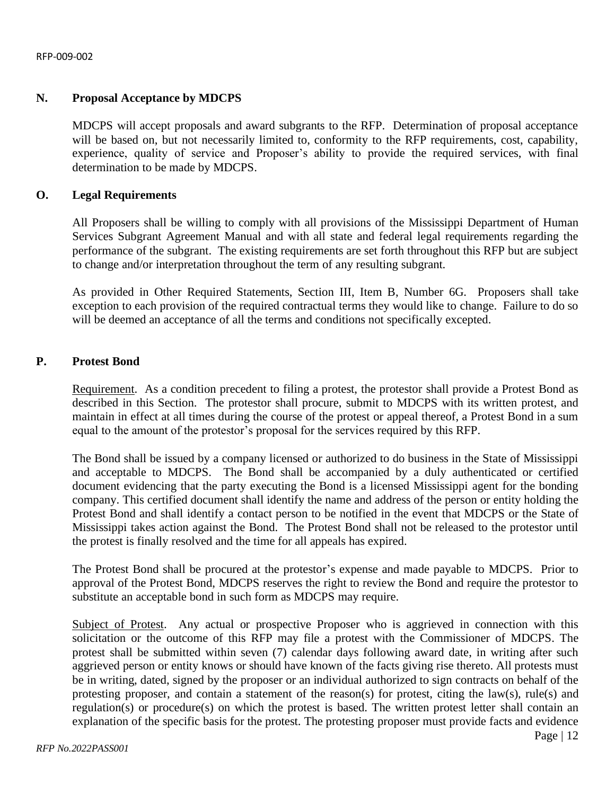# **N. Proposal Acceptance by MDCPS**

MDCPS will accept proposals and award subgrants to the RFP. Determination of proposal acceptance will be based on, but not necessarily limited to, conformity to the RFP requirements, cost, capability, experience, quality of service and Proposer's ability to provide the required services, with final determination to be made by MDCPS.

#### **O. Legal Requirements**

All Proposers shall be willing to comply with all provisions of the Mississippi Department of Human Services Subgrant Agreement Manual and with all state and federal legal requirements regarding the performance of the subgrant. The existing requirements are set forth throughout this RFP but are subject to change and/or interpretation throughout the term of any resulting subgrant.

As provided in Other Required Statements, Section III, Item B, Number 6G. Proposers shall take exception to each provision of the required contractual terms they would like to change. Failure to do so will be deemed an acceptance of all the terms and conditions not specifically excepted.

## **P. Protest Bond**

Requirement. As a condition precedent to filing a protest, the protestor shall provide a Protest Bond as described in this Section. The protestor shall procure, submit to MDCPS with its written protest, and maintain in effect at all times during the course of the protest or appeal thereof, a Protest Bond in a sum equal to the amount of the protestor's proposal for the services required by this RFP.

The Bond shall be issued by a company licensed or authorized to do business in the State of Mississippi and acceptable to MDCPS. The Bond shall be accompanied by a duly authenticated or certified document evidencing that the party executing the Bond is a licensed Mississippi agent for the bonding company. This certified document shall identify the name and address of the person or entity holding the Protest Bond and shall identify a contact person to be notified in the event that MDCPS or the State of Mississippi takes action against the Bond. The Protest Bond shall not be released to the protestor until the protest is finally resolved and the time for all appeals has expired.

The Protest Bond shall be procured at the protestor's expense and made payable to MDCPS. Prior to approval of the Protest Bond, MDCPS reserves the right to review the Bond and require the protestor to substitute an acceptable bond in such form as MDCPS may require.

Subject of Protest. Any actual or prospective Proposer who is aggrieved in connection with this solicitation or the outcome of this RFP may file a protest with the Commissioner of MDCPS. The protest shall be submitted within seven (7) calendar days following award date, in writing after such aggrieved person or entity knows or should have known of the facts giving rise thereto. All protests must be in writing, dated, signed by the proposer or an individual authorized to sign contracts on behalf of the protesting proposer, and contain a statement of the reason(s) for protest, citing the law(s), rule(s) and regulation(s) or procedure(s) on which the protest is based. The written protest letter shall contain an explanation of the specific basis for the protest. The protesting proposer must provide facts and evidence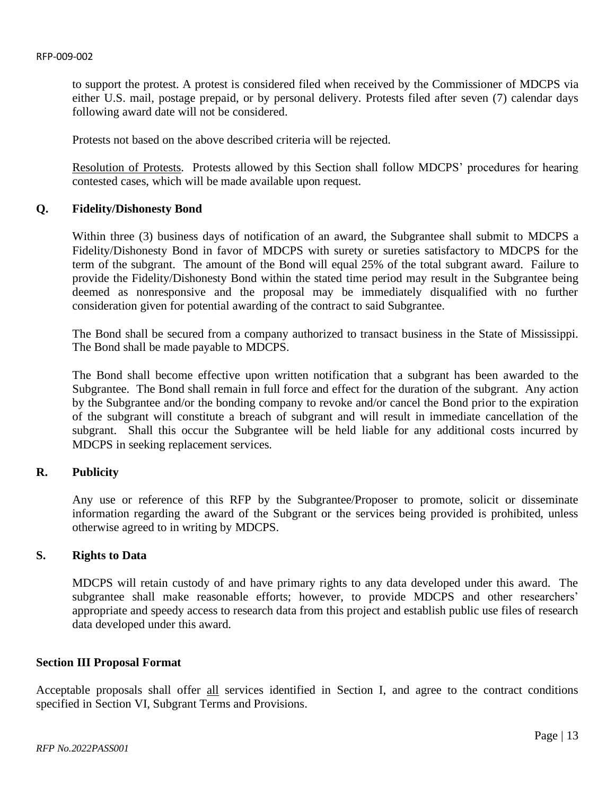to support the protest. A protest is considered filed when received by the Commissioner of MDCPS via either U.S. mail, postage prepaid, or by personal delivery. Protests filed after seven (7) calendar days following award date will not be considered.

Protests not based on the above described criteria will be rejected.

Resolution of Protests. Protests allowed by this Section shall follow MDCPS' procedures for hearing contested cases, which will be made available upon request.

## **Q. Fidelity/Dishonesty Bond**

Within three (3) business days of notification of an award, the Subgrantee shall submit to MDCPS a Fidelity/Dishonesty Bond in favor of MDCPS with surety or sureties satisfactory to MDCPS for the term of the subgrant. The amount of the Bond will equal 25% of the total subgrant award. Failure to provide the Fidelity/Dishonesty Bond within the stated time period may result in the Subgrantee being deemed as nonresponsive and the proposal may be immediately disqualified with no further consideration given for potential awarding of the contract to said Subgrantee.

The Bond shall be secured from a company authorized to transact business in the State of Mississippi. The Bond shall be made payable to MDCPS.

The Bond shall become effective upon written notification that a subgrant has been awarded to the Subgrantee. The Bond shall remain in full force and effect for the duration of the subgrant. Any action by the Subgrantee and/or the bonding company to revoke and/or cancel the Bond prior to the expiration of the subgrant will constitute a breach of subgrant and will result in immediate cancellation of the subgrant. Shall this occur the Subgrantee will be held liable for any additional costs incurred by MDCPS in seeking replacement services.

# **R. Publicity**

Any use or reference of this RFP by the Subgrantee/Proposer to promote, solicit or disseminate information regarding the award of the Subgrant or the services being provided is prohibited, unless otherwise agreed to in writing by MDCPS.

#### **S. Rights to Data**

MDCPS will retain custody of and have primary rights to any data developed under this award. The subgrantee shall make reasonable efforts; however, to provide MDCPS and other researchers' appropriate and speedy access to research data from this project and establish public use files of research data developed under this award.

#### <span id="page-12-0"></span>**Section III Proposal Format**

Acceptable proposals shall offer all services identified in Section I, and agree to the contract conditions specified in Section VI, Subgrant Terms and Provisions.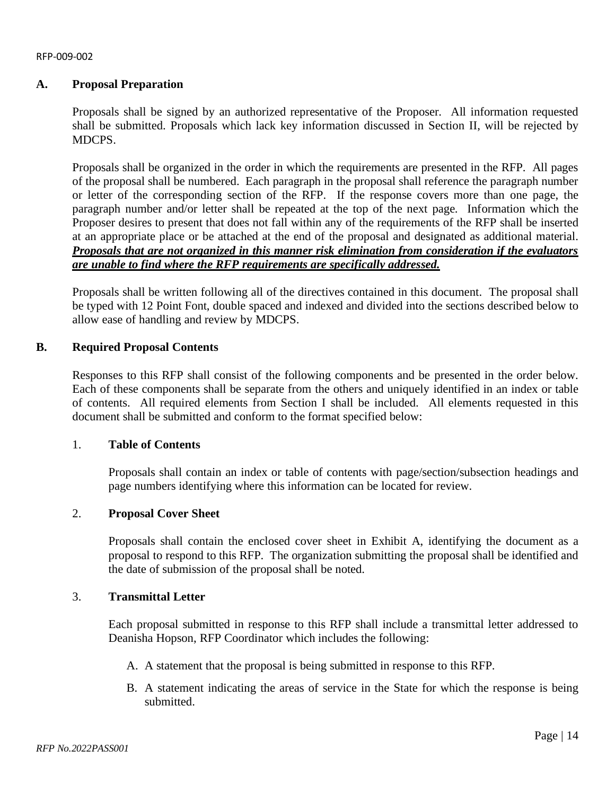# **A. Proposal Preparation**

Proposals shall be signed by an authorized representative of the Proposer. All information requested shall be submitted. Proposals which lack key information discussed in Section II, will be rejected by MDCPS.

Proposals shall be organized in the order in which the requirements are presented in the RFP. All pages of the proposal shall be numbered. Each paragraph in the proposal shall reference the paragraph number or letter of the corresponding section of the RFP. If the response covers more than one page, the paragraph number and/or letter shall be repeated at the top of the next page. Information which the Proposer desires to present that does not fall within any of the requirements of the RFP shall be inserted at an appropriate place or be attached at the end of the proposal and designated as additional material. *Proposals that are not organized in this manner risk elimination from consideration if the evaluators are unable to find where the RFP requirements are specifically addressed.*

Proposals shall be written following all of the directives contained in this document. The proposal shall be typed with 12 Point Font, double spaced and indexed and divided into the sections described below to allow ease of handling and review by MDCPS.

## **B. Required Proposal Contents**

Responses to this RFP shall consist of the following components and be presented in the order below. Each of these components shall be separate from the others and uniquely identified in an index or table of contents. All required elements from Section I shall be included. All elements requested in this document shall be submitted and conform to the format specified below:

# 1. **Table of Contents**

Proposals shall contain an index or table of contents with page/section/subsection headings and page numbers identifying where this information can be located for review.

# 2. **Proposal Cover Sheet**

Proposals shall contain the enclosed cover sheet in Exhibit A, identifying the document as a proposal to respond to this RFP. The organization submitting the proposal shall be identified and the date of submission of the proposal shall be noted.

#### 3. **Transmittal Letter**

Each proposal submitted in response to this RFP shall include a transmittal letter addressed to Deanisha Hopson, RFP Coordinator which includes the following:

- A. A statement that the proposal is being submitted in response to this RFP.
- B. A statement indicating the areas of service in the State for which the response is being submitted.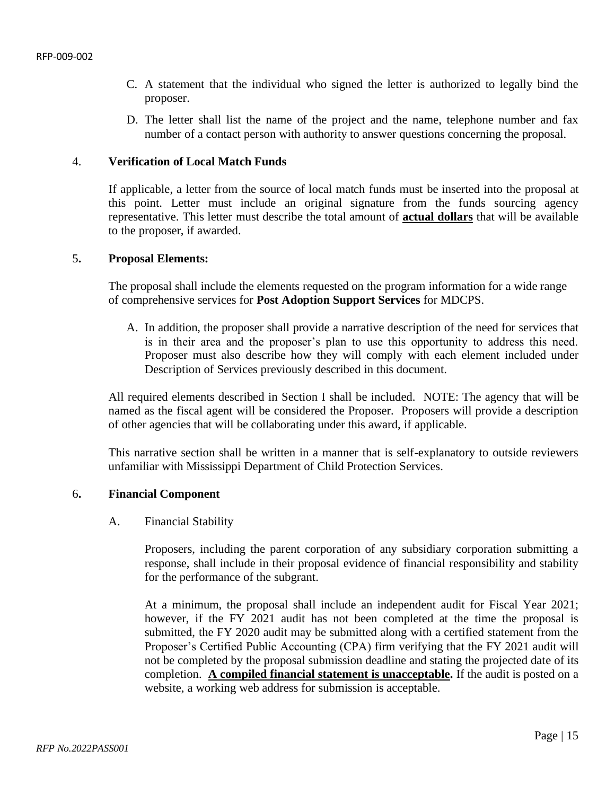- C. A statement that the individual who signed the letter is authorized to legally bind the proposer.
- D. The letter shall list the name of the project and the name, telephone number and fax number of a contact person with authority to answer questions concerning the proposal.

#### 4. **Verification of Local Match Funds**

If applicable, a letter from the source of local match funds must be inserted into the proposal at this point. Letter must include an original signature from the funds sourcing agency representative. This letter must describe the total amount of **actual dollars** that will be available to the proposer, if awarded.

#### 5**. Proposal Elements:**

The proposal shall include the elements requested on the program information for a wide range of comprehensive services for **Post Adoption Support Services** for MDCPS.

A. In addition, the proposer shall provide a narrative description of the need for services that is in their area and the proposer's plan to use this opportunity to address this need. Proposer must also describe how they will comply with each element included under Description of Services previously described in this document.

All required elements described in Section I shall be included. NOTE: The agency that will be named as the fiscal agent will be considered the Proposer. Proposers will provide a description of other agencies that will be collaborating under this award, if applicable.

This narrative section shall be written in a manner that is self-explanatory to outside reviewers unfamiliar with Mississippi Department of Child Protection Services.

#### 6**. Financial Component**

#### A. Financial Stability

Proposers, including the parent corporation of any subsidiary corporation submitting a response, shall include in their proposal evidence of financial responsibility and stability for the performance of the subgrant.

At a minimum, the proposal shall include an independent audit for Fiscal Year 2021; however, if the FY 2021 audit has not been completed at the time the proposal is submitted, the FY 2020 audit may be submitted along with a certified statement from the Proposer's Certified Public Accounting (CPA) firm verifying that the FY 2021 audit will not be completed by the proposal submission deadline and stating the projected date of its completion. **A compiled financial statement is unacceptable.** If the audit is posted on a website, a working web address for submission is acceptable.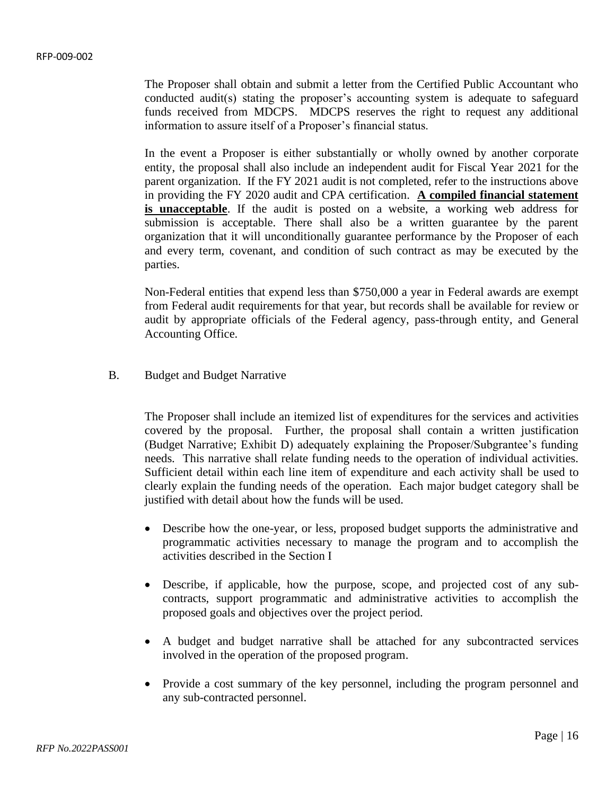The Proposer shall obtain and submit a letter from the Certified Public Accountant who conducted audit(s) stating the proposer's accounting system is adequate to safeguard funds received from MDCPS. MDCPS reserves the right to request any additional information to assure itself of a Proposer's financial status.

In the event a Proposer is either substantially or wholly owned by another corporate entity, the proposal shall also include an independent audit for Fiscal Year 2021 for the parent organization. If the FY 2021 audit is not completed, refer to the instructions above in providing the FY 2020 audit and CPA certification. **A compiled financial statement is unacceptable**. If the audit is posted on a website, a working web address for submission is acceptable. There shall also be a written guarantee by the parent organization that it will unconditionally guarantee performance by the Proposer of each and every term, covenant, and condition of such contract as may be executed by the parties.

Non-Federal entities that expend less than \$750,000 a year in Federal awards are exempt from Federal audit requirements for that year, but records shall be available for review or audit by appropriate officials of the Federal agency, pass-through entity, and General Accounting Office.

B. Budget and Budget Narrative

The Proposer shall include an itemized list of expenditures for the services and activities covered by the proposal. Further, the proposal shall contain a written justification (Budget Narrative; Exhibit D) adequately explaining the Proposer/Subgrantee's funding needs. This narrative shall relate funding needs to the operation of individual activities. Sufficient detail within each line item of expenditure and each activity shall be used to clearly explain the funding needs of the operation. Each major budget category shall be justified with detail about how the funds will be used.

- Describe how the one-year, or less, proposed budget supports the administrative and programmatic activities necessary to manage the program and to accomplish the activities described in the Section I
- Describe, if applicable, how the purpose, scope, and projected cost of any subcontracts, support programmatic and administrative activities to accomplish the proposed goals and objectives over the project period.
- A budget and budget narrative shall be attached for any subcontracted services involved in the operation of the proposed program.
- Provide a cost summary of the key personnel, including the program personnel and any sub-contracted personnel.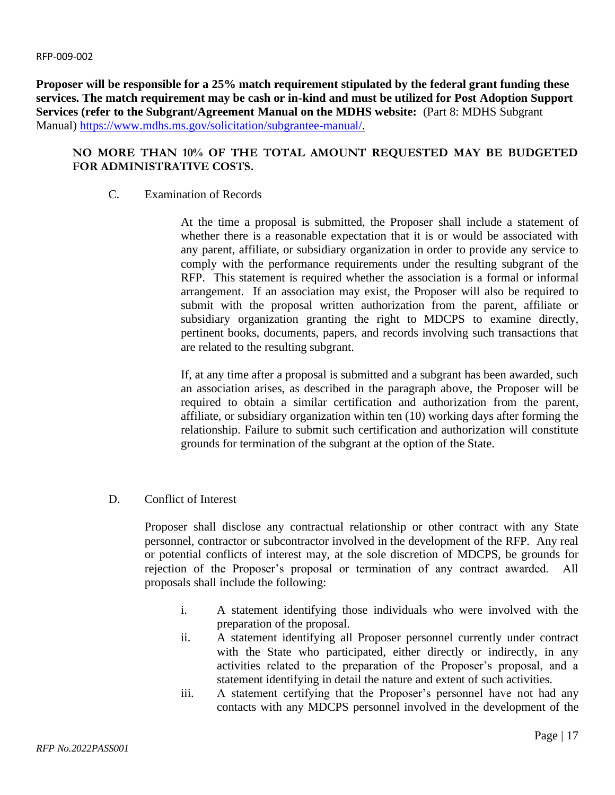**Proposer will be responsible for a 25% match requirement stipulated by the federal grant funding these services. The match requirement may be cash or in-kind and must be utilized for Post Adoption Support Services (refer to the Subgrant/Agreement Manual on the MDHS website:** (Part 8: MDHS Subgrant Manual) [https://www.mdhs.ms.gov/solicitation/subgrantee-manual/.](https://www.mdhs.ms.gov/solicitation/subgrantee-manual/)

# **NO MORE THAN 10% OF THE TOTAL AMOUNT REQUESTED MAY BE BUDGETED FOR ADMINISTRATIVE COSTS.**

# C. Examination of Records

At the time a proposal is submitted, the Proposer shall include a statement of whether there is a reasonable expectation that it is or would be associated with any parent, affiliate, or subsidiary organization in order to provide any service to comply with the performance requirements under the resulting subgrant of the RFP. This statement is required whether the association is a formal or informal arrangement. If an association may exist, the Proposer will also be required to submit with the proposal written authorization from the parent, affiliate or subsidiary organization granting the right to MDCPS to examine directly, pertinent books, documents, papers, and records involving such transactions that are related to the resulting subgrant.

If, at any time after a proposal is submitted and a subgrant has been awarded, such an association arises, as described in the paragraph above, the Proposer will be required to obtain a similar certification and authorization from the parent, affiliate, or subsidiary organization within ten (10) working days after forming the relationship. Failure to submit such certification and authorization will constitute grounds for termination of the subgrant at the option of the State.

D. Conflict of Interest

Proposer shall disclose any contractual relationship or other contract with any State personnel, contractor or subcontractor involved in the development of the RFP. Any real or potential conflicts of interest may, at the sole discretion of MDCPS, be grounds for rejection of the Proposer's proposal or termination of any contract awarded. All proposals shall include the following:

- i. A statement identifying those individuals who were involved with the preparation of the proposal.
- ii. A statement identifying all Proposer personnel currently under contract with the State who participated, either directly or indirectly, in any activities related to the preparation of the Proposer's proposal, and a statement identifying in detail the nature and extent of such activities.
- iii. A statement certifying that the Proposer's personnel have not had any contacts with any MDCPS personnel involved in the development of the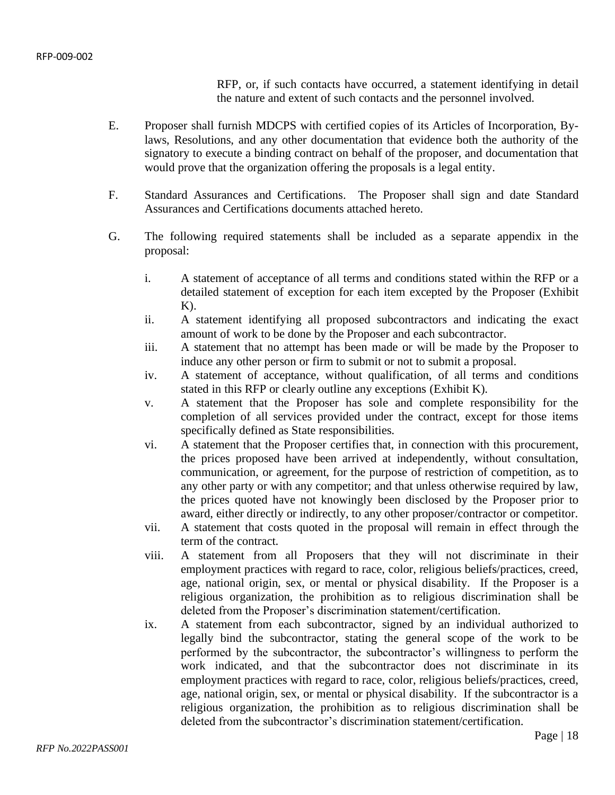RFP, or, if such contacts have occurred, a statement identifying in detail the nature and extent of such contacts and the personnel involved.

- E. Proposer shall furnish MDCPS with certified copies of its Articles of Incorporation, Bylaws, Resolutions, and any other documentation that evidence both the authority of the signatory to execute a binding contract on behalf of the proposer, and documentation that would prove that the organization offering the proposals is a legal entity.
- F. Standard Assurances and Certifications. The Proposer shall sign and date Standard Assurances and Certifications documents attached hereto.
- G. The following required statements shall be included as a separate appendix in the proposal:
	- i. A statement of acceptance of all terms and conditions stated within the RFP or a detailed statement of exception for each item excepted by the Proposer (Exhibit  $K$ ).
	- ii. A statement identifying all proposed subcontractors and indicating the exact amount of work to be done by the Proposer and each subcontractor.
	- iii. A statement that no attempt has been made or will be made by the Proposer to induce any other person or firm to submit or not to submit a proposal.
	- iv. A statement of acceptance, without qualification, of all terms and conditions stated in this RFP or clearly outline any exceptions (Exhibit K).
	- v. A statement that the Proposer has sole and complete responsibility for the completion of all services provided under the contract, except for those items specifically defined as State responsibilities.
	- vi. A statement that the Proposer certifies that, in connection with this procurement, the prices proposed have been arrived at independently, without consultation, communication, or agreement, for the purpose of restriction of competition, as to any other party or with any competitor; and that unless otherwise required by law, the prices quoted have not knowingly been disclosed by the Proposer prior to award, either directly or indirectly, to any other proposer/contractor or competitor.
	- vii. A statement that costs quoted in the proposal will remain in effect through the term of the contract.
	- viii. A statement from all Proposers that they will not discriminate in their employment practices with regard to race, color, religious beliefs/practices, creed, age, national origin, sex, or mental or physical disability. If the Proposer is a religious organization, the prohibition as to religious discrimination shall be deleted from the Proposer's discrimination statement/certification.
	- ix. A statement from each subcontractor, signed by an individual authorized to legally bind the subcontractor, stating the general scope of the work to be performed by the subcontractor, the subcontractor's willingness to perform the work indicated, and that the subcontractor does not discriminate in its employment practices with regard to race, color, religious beliefs/practices, creed, age, national origin, sex, or mental or physical disability. If the subcontractor is a religious organization, the prohibition as to religious discrimination shall be deleted from the subcontractor's discrimination statement/certification.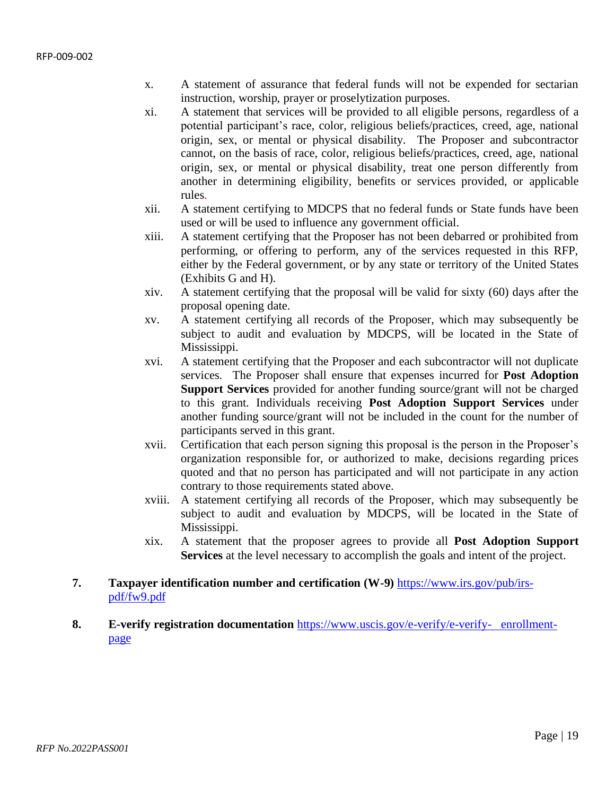- x. A statement of assurance that federal funds will not be expended for sectarian instruction, worship, prayer or proselytization purposes.
- xi. A statement that services will be provided to all eligible persons, regardless of a potential participant's race, color, religious beliefs/practices, creed, age, national origin, sex, or mental or physical disability. The Proposer and subcontractor cannot, on the basis of race, color, religious beliefs/practices, creed, age, national origin, sex, or mental or physical disability, treat one person differently from another in determining eligibility, benefits or services provided, or applicable rules.
- xii. A statement certifying to MDCPS that no federal funds or State funds have been used or will be used to influence any government official.
- xiii. A statement certifying that the Proposer has not been debarred or prohibited from performing, or offering to perform, any of the services requested in this RFP, either by the Federal government, or by any state or territory of the United States (Exhibits G and H).
- xiv. A statement certifying that the proposal will be valid for sixty (60) days after the proposal opening date.
- xv. A statement certifying all records of the Proposer, which may subsequently be subject to audit and evaluation by MDCPS, will be located in the State of Mississippi.
- xvi. A statement certifying that the Proposer and each subcontractor will not duplicate services. The Proposer shall ensure that expenses incurred for **Post Adoption Support Services** provided for another funding source/grant will not be charged to this grant. Individuals receiving **Post Adoption Support Services** under another funding source/grant will not be included in the count for the number of participants served in this grant.
- xvii. Certification that each person signing this proposal is the person in the Proposer's organization responsible for, or authorized to make, decisions regarding prices quoted and that no person has participated and will not participate in any action contrary to those requirements stated above.
- xviii. A statement certifying all records of the Proposer, which may subsequently be subject to audit and evaluation by MDCPS, will be located in the State of Mississippi.
- xix. A statement that the proposer agrees to provide all **Post Adoption Support Services** at the level necessary to accomplish the goals and intent of the project.

# **7. Taxpayer identification number and certification (W-9)** [https://www.irs.gov/pub/irs](https://www.irs.gov/pub/irs-pdf/fw9.pdf)[pdf/fw9.pdf](https://www.irs.gov/pub/irs-pdf/fw9.pdf)

**8. E-verify registration documentation** [https://www.uscis.gov/e-verify/e-verify- enrollment](https://www.uscis.gov/e-verify/e-verify-%20%20%20enrollment-page)[page](https://www.uscis.gov/e-verify/e-verify-%20%20%20enrollment-page)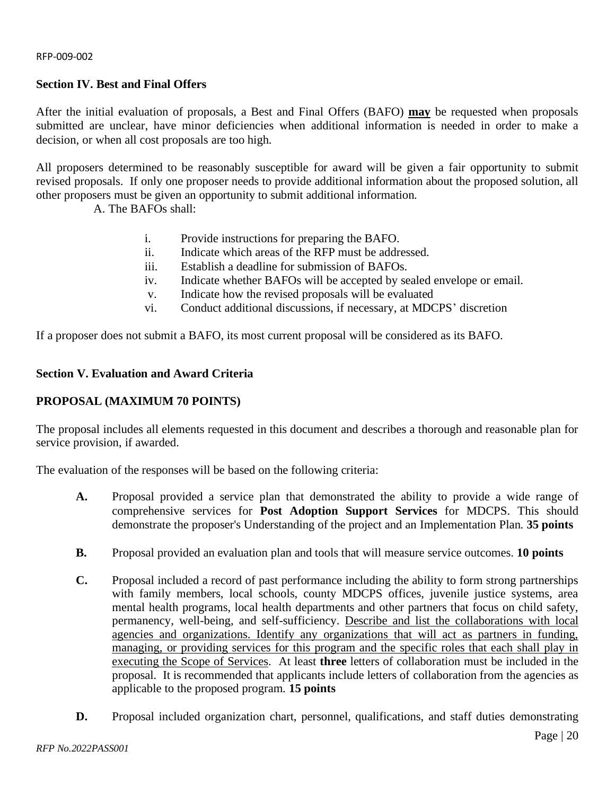# <span id="page-19-0"></span>**Section IV. Best and Final Offers**

After the initial evaluation of proposals, a Best and Final Offers (BAFO) **may** be requested when proposals submitted are unclear, have minor deficiencies when additional information is needed in order to make a decision, or when all cost proposals are too high.

All proposers determined to be reasonably susceptible for award will be given a fair opportunity to submit revised proposals. If only one proposer needs to provide additional information about the proposed solution, all other proposers must be given an opportunity to submit additional information.

A. The BAFOs shall:

- i. Provide instructions for preparing the BAFO.
- ii. Indicate which areas of the RFP must be addressed.
- iii. Establish a deadline for submission of BAFOs.
- iv. Indicate whether BAFOs will be accepted by sealed envelope or email.
- v. Indicate how the revised proposals will be evaluated
- vi. Conduct additional discussions, if necessary, at MDCPS' discretion

<span id="page-19-1"></span>If a proposer does not submit a BAFO, its most current proposal will be considered as its BAFO.

# **Section V. Evaluation and Award Criteria**

# **A. PROPOSAL (MAXIMUM 70 POINTS)**

The proposal includes all elements requested in this document and describes a thorough and reasonable plan for service provision, if awarded.

The evaluation of the responses will be based on the following criteria:

- **A.** Proposal provided a service plan that demonstrated the ability to provide a wide range of comprehensive services for **Post Adoption Support Services** for MDCPS. This should demonstrate the proposer's Understanding of the project and an Implementation Plan. **35 points**
- **B.** Proposal provided an evaluation plan and tools that will measure service outcomes. **10 points**
- **C.** Proposal included a record of past performance including the ability to form strong partnerships with family members, local schools, county MDCPS offices, juvenile justice systems, area mental health programs, local health departments and other partners that focus on child safety, permanency, well-being, and self-sufficiency. Describe and list the collaborations with local agencies and organizations. Identify any organizations that will act as partners in funding, managing, or providing services for this program and the specific roles that each shall play in executing the Scope of Services. At least **three** letters of collaboration must be included in the proposal. It is recommended that applicants include letters of collaboration from the agencies as applicable to the proposed program. **15 points**
- **D.** Proposal included organization chart, personnel, qualifications, and staff duties demonstrating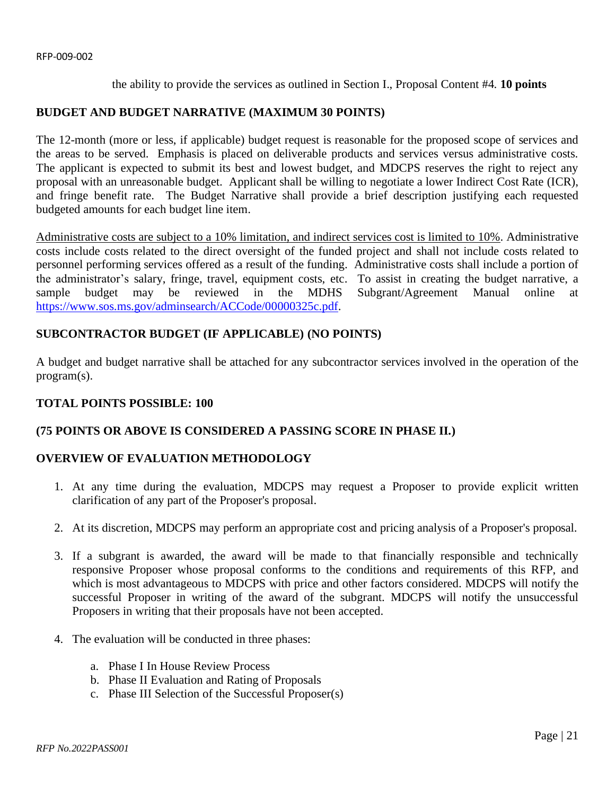the ability to provide the services as outlined in Section I., Proposal Content #4. **10 points**

# **BUDGET AND BUDGET NARRATIVE (MAXIMUM 30 POINTS)**

The 12-month (more or less, if applicable) budget request is reasonable for the proposed scope of services and the areas to be served. Emphasis is placed on deliverable products and services versus administrative costs. The applicant is expected to submit its best and lowest budget, and MDCPS reserves the right to reject any proposal with an unreasonable budget. Applicant shall be willing to negotiate a lower Indirect Cost Rate (ICR), and fringe benefit rate. The Budget Narrative shall provide a brief description justifying each requested budgeted amounts for each budget line item.

Administrative costs are subject to a 10% limitation, and indirect services cost is limited to 10%. Administrative costs include costs related to the direct oversight of the funded project and shall not include costs related to personnel performing services offered as a result of the funding. Administrative costs shall include a portion of the administrator's salary, fringe, travel, equipment costs, etc. To assist in creating the budget narrative, a sample budget may be reviewed in the MDHS Subgrant/Agreement Manual online at [https://www.sos.ms.gov/adminsearch/ACCode/00000325c.pdf.](https://www.sos.ms.gov/adminsearch/ACCode/00000325c.pdf)

# **SUBCONTRACTOR BUDGET (IF APPLICABLE) (NO POINTS)**

A budget and budget narrative shall be attached for any subcontractor services involved in the operation of the program(s).

# **TOTAL POINTS POSSIBLE: 100**

# **(75 POINTS OR ABOVE IS CONSIDERED A PASSING SCORE IN PHASE II.)**

# **G. OVERVIEW OF EVALUATION METHODOLOGY**

- 1. At any time during the evaluation, MDCPS may request a Proposer to provide explicit written clarification of any part of the Proposer's proposal.
- 2. At its discretion, MDCPS may perform an appropriate cost and pricing analysis of a Proposer's proposal.
- 3. If a subgrant is awarded, the award will be made to that financially responsible and technically responsive Proposer whose proposal conforms to the conditions and requirements of this RFP, and which is most advantageous to MDCPS with price and other factors considered. MDCPS will notify the successful Proposer in writing of the award of the subgrant. MDCPS will notify the unsuccessful Proposers in writing that their proposals have not been accepted.
- 4. The evaluation will be conducted in three phases:
	- a. Phase I In House Review Process
	- b. Phase II Evaluation and Rating of Proposals
	- c. Phase III Selection of the Successful Proposer(s)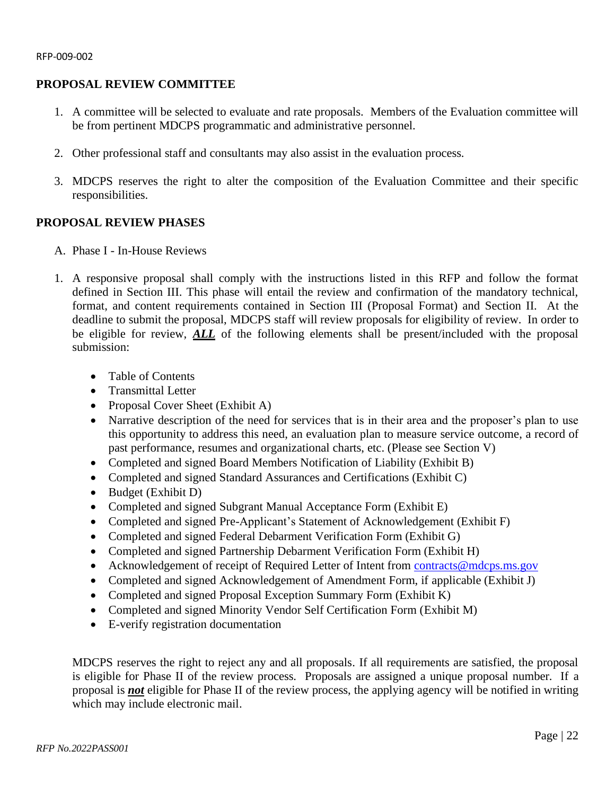# **PROPOSAL REVIEW COMMITTEE**

- 1. A committee will be selected to evaluate and rate proposals. Members of the Evaluation committee will be from pertinent MDCPS programmatic and administrative personnel.
- 2. Other professional staff and consultants may also assist in the evaluation process.
- 3. MDCPS reserves the right to alter the composition of the Evaluation Committee and their specific responsibilities.

# **I. PROPOSAL REVIEW PHASES**

- A. Phase I In-House Reviews
- 1. A responsive proposal shall comply with the instructions listed in this RFP and follow the format defined in Section III. This phase will entail the review and confirmation of the mandatory technical, format, and content requirements contained in Section III (Proposal Format) and Section II. At the deadline to submit the proposal, MDCPS staff will review proposals for eligibility of review. In order to be eligible for review, *ALL* of the following elements shall be present/included with the proposal submission:
	- Table of Contents
	- Transmittal Letter
	- Proposal Cover Sheet (Exhibit A)
	- Narrative description of the need for services that is in their area and the proposer's plan to use this opportunity to address this need, an evaluation plan to measure service outcome, a record of past performance, resumes and organizational charts, etc. (Please see Section V)
	- Completed and signed Board Members Notification of Liability (Exhibit B)
	- Completed and signed Standard Assurances and Certifications (Exhibit C)
	- Budget (Exhibit D)
	- Completed and signed Subgrant Manual Acceptance Form (Exhibit E)
	- Completed and signed Pre-Applicant's Statement of Acknowledgement (Exhibit F)
	- Completed and signed Federal Debarment Verification Form (Exhibit G)
	- Completed and signed Partnership Debarment Verification Form (Exhibit H)
	- Acknowledgement of receipt of Required Letter of Intent from [contracts@mdcps.ms.gov](mailto:contracts@mdcps.ms.gov)
	- Completed and signed Acknowledgement of Amendment Form, if applicable (Exhibit J)
	- Completed and signed Proposal Exception Summary Form (Exhibit K)
	- Completed and signed Minority Vendor Self Certification Form (Exhibit M)
	- E-verify registration documentation

MDCPS reserves the right to reject any and all proposals. If all requirements are satisfied, the proposal is eligible for Phase II of the review process. Proposals are assigned a unique proposal number. If a proposal is *not* eligible for Phase II of the review process, the applying agency will be notified in writing which may include electronic mail.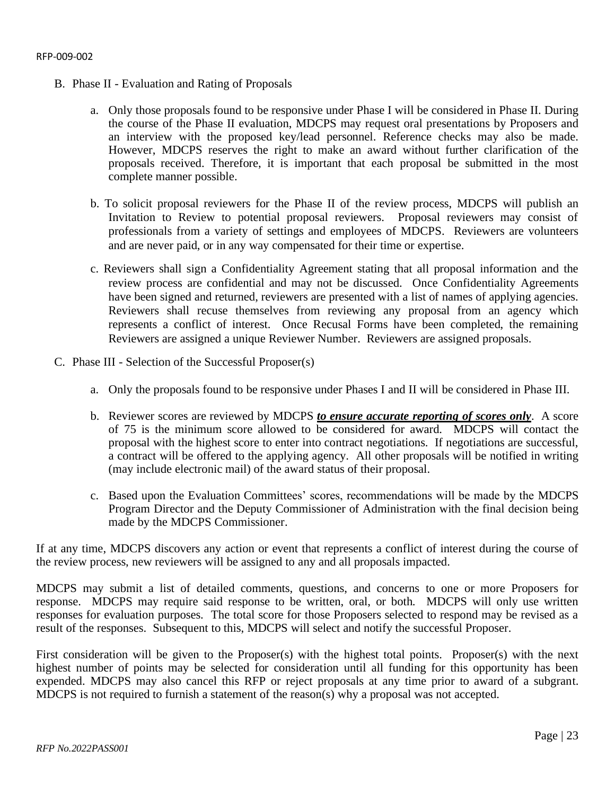- B. Phase II Evaluation and Rating of Proposals
	- a. Only those proposals found to be responsive under Phase I will be considered in Phase II. During the course of the Phase II evaluation, MDCPS may request oral presentations by Proposers and an interview with the proposed key/lead personnel. Reference checks may also be made. However, MDCPS reserves the right to make an award without further clarification of the proposals received. Therefore, it is important that each proposal be submitted in the most complete manner possible.
	- b. To solicit proposal reviewers for the Phase II of the review process, MDCPS will publish an Invitation to Review to potential proposal reviewers. Proposal reviewers may consist of professionals from a variety of settings and employees of MDCPS. Reviewers are volunteers and are never paid, or in any way compensated for their time or expertise.
	- c. Reviewers shall sign a Confidentiality Agreement stating that all proposal information and the review process are confidential and may not be discussed. Once Confidentiality Agreements have been signed and returned, reviewers are presented with a list of names of applying agencies. Reviewers shall recuse themselves from reviewing any proposal from an agency which represents a conflict of interest. Once Recusal Forms have been completed, the remaining Reviewers are assigned a unique Reviewer Number. Reviewers are assigned proposals.
- C. Phase III Selection of the Successful Proposer(s)
	- a. Only the proposals found to be responsive under Phases I and II will be considered in Phase III.
	- b. Reviewer scores are reviewed by MDCPS *to ensure accurate reporting of scores only*. A score of 75 is the minimum score allowed to be considered for award. MDCPS will contact the proposal with the highest score to enter into contract negotiations. If negotiations are successful, a contract will be offered to the applying agency. All other proposals will be notified in writing (may include electronic mail) of the award status of their proposal.
	- c. Based upon the Evaluation Committees' scores, recommendations will be made by the MDCPS Program Director and the Deputy Commissioner of Administration with the final decision being made by the MDCPS Commissioner.

If at any time, MDCPS discovers any action or event that represents a conflict of interest during the course of the review process, new reviewers will be assigned to any and all proposals impacted.

MDCPS may submit a list of detailed comments, questions, and concerns to one or more Proposers for response. MDCPS may require said response to be written, oral, or both. MDCPS will only use written responses for evaluation purposes. The total score for those Proposers selected to respond may be revised as a result of the responses. Subsequent to this, MDCPS will select and notify the successful Proposer.

First consideration will be given to the Proposer(s) with the highest total points. Proposer(s) with the next highest number of points may be selected for consideration until all funding for this opportunity has been expended. MDCPS may also cancel this RFP or reject proposals at any time prior to award of a subgrant. MDCPS is not required to furnish a statement of the reason(s) why a proposal was not accepted.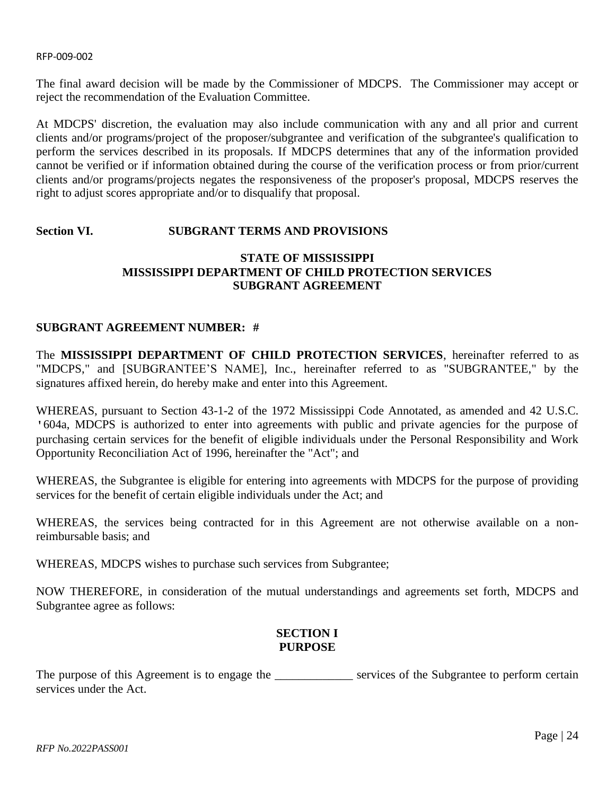The final award decision will be made by the Commissioner of MDCPS. The Commissioner may accept or reject the recommendation of the Evaluation Committee.

At MDCPS' discretion, the evaluation may also include communication with any and all prior and current clients and/or programs/project of the proposer/subgrantee and verification of the subgrantee's qualification to perform the services described in its proposals. If MDCPS determines that any of the information provided cannot be verified or if information obtained during the course of the verification process or from prior/current clients and/or programs/projects negates the responsiveness of the proposer's proposal, MDCPS reserves the right to adjust scores appropriate and/or to disqualify that proposal.

# <span id="page-23-0"></span>**Section VI. SUBGRANT TERMS AND PROVISIONS**

# **STATE OF MISSISSIPPI MISSISSIPPI DEPARTMENT OF CHILD PROTECTION SERVICES SUBGRANT AGREEMENT**

# **SUBGRANT AGREEMENT NUMBER: #**

The **MISSISSIPPI DEPARTMENT OF CHILD PROTECTION SERVICES**, hereinafter referred to as "MDCPS," and [SUBGRANTEE'S NAME], Inc., hereinafter referred to as "SUBGRANTEE," by the signatures affixed herein, do hereby make and enter into this Agreement.

WHEREAS, pursuant to Section 43-1-2 of the 1972 Mississippi Code Annotated, as amended and 42 U.S.C. '604a, MDCPS is authorized to enter into agreements with public and private agencies for the purpose of purchasing certain services for the benefit of eligible individuals under the Personal Responsibility and Work Opportunity Reconciliation Act of 1996, hereinafter the "Act"; and

WHEREAS, the Subgrantee is eligible for entering into agreements with MDCPS for the purpose of providing services for the benefit of certain eligible individuals under the Act; and

WHEREAS, the services being contracted for in this Agreement are not otherwise available on a nonreimbursable basis; and

WHEREAS, MDCPS wishes to purchase such services from Subgrantee;

NOW THEREFORE, in consideration of the mutual understandings and agreements set forth, MDCPS and Subgrantee agree as follows:

# **SECTION I PURPOSE**

The purpose of this Agreement is to engage the \_\_\_\_\_\_\_\_\_\_\_\_\_\_ services of the Subgrantee to perform certain services under the Act.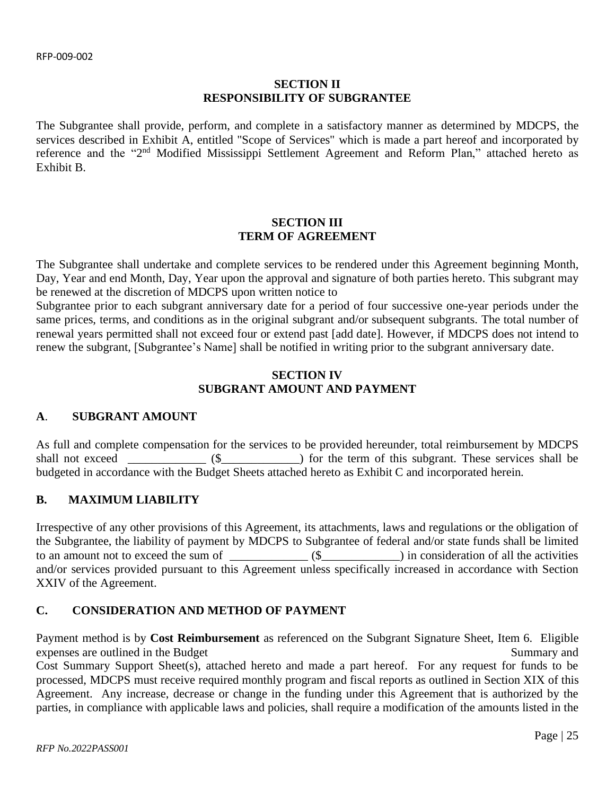# **SECTION II RESPONSIBILITY OF SUBGRANTEE**

The Subgrantee shall provide, perform, and complete in a satisfactory manner as determined by MDCPS, the services described in Exhibit A, entitled "Scope of Services" which is made a part hereof and incorporated by reference and the "2<sup>nd</sup> Modified Mississippi Settlement Agreement and Reform Plan," attached hereto as Exhibit B.

# **SECTION III TERM OF AGREEMENT**

The Subgrantee shall undertake and complete services to be rendered under this Agreement beginning Month, Day, Year and end Month, Day, Year upon the approval and signature of both parties hereto. This subgrant may be renewed at the discretion of MDCPS upon written notice to

Subgrantee prior to each subgrant anniversary date for a period of four successive one-year periods under the same prices, terms, and conditions as in the original subgrant and/or subsequent subgrants. The total number of renewal years permitted shall not exceed four or extend past [add date]. However, if MDCPS does not intend to renew the subgrant, [Subgrantee's Name] shall be notified in writing prior to the subgrant anniversary date.

# **SECTION IV SUBGRANT AMOUNT AND PAYMENT**

# **A**. **SUBGRANT AMOUNT**

As full and complete compensation for the services to be provided hereunder, total reimbursement by MDCPS shall not exceed  $(\text{\$} \qquad \text{\$} \qquad)$  for the term of this subgrant. These services shall be budgeted in accordance with the Budget Sheets attached hereto as Exhibit C and incorporated herein.

# **B. MAXIMUM LIABILITY**

Irrespective of any other provisions of this Agreement, its attachments, laws and regulations or the obligation of the Subgrantee, the liability of payment by MDCPS to Subgrantee of federal and/or state funds shall be limited to an amount not to exceed the sum of \_\_\_\_\_\_\_\_\_\_\_\_\_\_ (\$\_\_\_\_\_\_\_\_\_\_\_\_) in consideration of all the activities and/or services provided pursuant to this Agreement unless specifically increased in accordance with Section XXIV of the Agreement.

# **C. CONSIDERATION AND METHOD OF PAYMENT**

Payment method is by **Cost Reimbursement** as referenced on the Subgrant Signature Sheet, Item 6. Eligible expenses are outlined in the Budget Summary and Summary and Summary and Summary and Summary and Summary and Summary and Summary and Summary and Summary and Summary and Summary and Summary and Summary and Summary and Summar Cost Summary Support Sheet(s), attached hereto and made a part hereof. For any request for funds to be processed, MDCPS must receive required monthly program and fiscal reports as outlined in Section XIX of this Agreement. Any increase, decrease or change in the funding under this Agreement that is authorized by the parties, in compliance with applicable laws and policies, shall require a modification of the amounts listed in the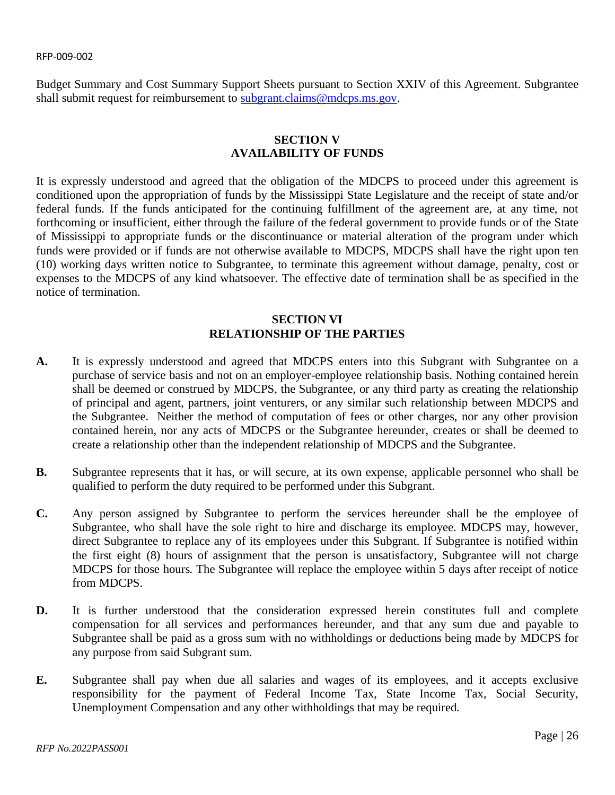Budget Summary and Cost Summary Support Sheets pursuant to Section XXIV of this Agreement. Subgrantee shall submit request for reimbursement to [subgrant.claims@mdcps.ms.gov.](mailto:subgrant.claims@mdcps.ms.gov)

# **SECTION V AVAILABILITY OF FUNDS**

It is expressly understood and agreed that the obligation of the MDCPS to proceed under this agreement is conditioned upon the appropriation of funds by the Mississippi State Legislature and the receipt of state and/or federal funds. If the funds anticipated for the continuing fulfillment of the agreement are, at any time, not forthcoming or insufficient, either through the failure of the federal government to provide funds or of the State of Mississippi to appropriate funds or the discontinuance or material alteration of the program under which funds were provided or if funds are not otherwise available to MDCPS, MDCPS shall have the right upon ten (10) working days written notice to Subgrantee, to terminate this agreement without damage, penalty, cost or expenses to the MDCPS of any kind whatsoever. The effective date of termination shall be as specified in the notice of termination.

# **SECTION VI RELATIONSHIP OF THE PARTIES**

- **A.** It is expressly understood and agreed that MDCPS enters into this Subgrant with Subgrantee on a purchase of service basis and not on an employer-employee relationship basis. Nothing contained herein shall be deemed or construed by MDCPS, the Subgrantee, or any third party as creating the relationship of principal and agent, partners, joint venturers, or any similar such relationship between MDCPS and the Subgrantee. Neither the method of computation of fees or other charges, nor any other provision contained herein, nor any acts of MDCPS or the Subgrantee hereunder, creates or shall be deemed to create a relationship other than the independent relationship of MDCPS and the Subgrantee.
- **B.** Subgrantee represents that it has, or will secure, at its own expense, applicable personnel who shall be qualified to perform the duty required to be performed under this Subgrant.
- **C.** Any person assigned by Subgrantee to perform the services hereunder shall be the employee of Subgrantee, who shall have the sole right to hire and discharge its employee. MDCPS may, however, direct Subgrantee to replace any of its employees under this Subgrant. If Subgrantee is notified within the first eight (8) hours of assignment that the person is unsatisfactory, Subgrantee will not charge MDCPS for those hours. The Subgrantee will replace the employee within 5 days after receipt of notice from MDCPS.
- **D.** It is further understood that the consideration expressed herein constitutes full and complete compensation for all services and performances hereunder, and that any sum due and payable to Subgrantee shall be paid as a gross sum with no withholdings or deductions being made by MDCPS for any purpose from said Subgrant sum.
- **E.** Subgrantee shall pay when due all salaries and wages of its employees, and it accepts exclusive responsibility for the payment of Federal Income Tax, State Income Tax, Social Security, Unemployment Compensation and any other withholdings that may be required.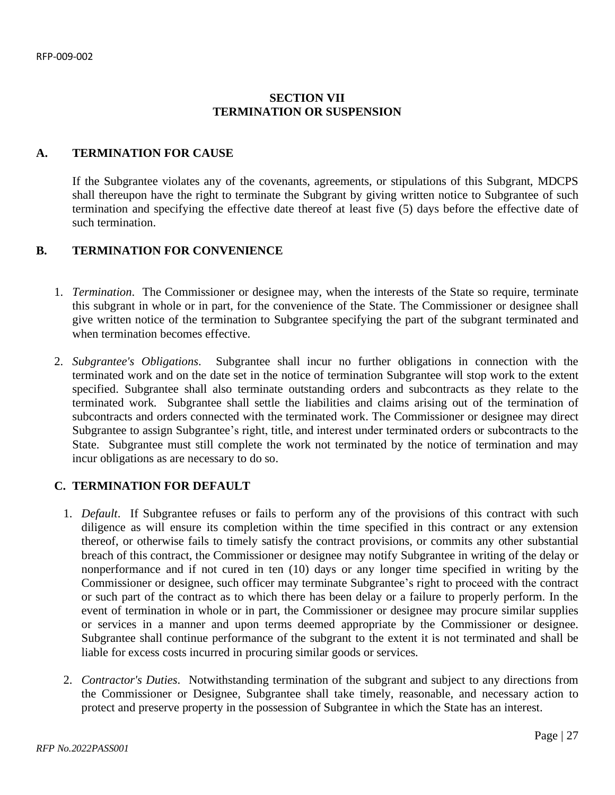# **SECTION VII TERMINATION OR SUSPENSION**

# **A. TERMINATION FOR CAUSE**

If the Subgrantee violates any of the covenants, agreements, or stipulations of this Subgrant, MDCPS shall thereupon have the right to terminate the Subgrant by giving written notice to Subgrantee of such termination and specifying the effective date thereof at least five (5) days before the effective date of such termination.

# **B. TERMINATION FOR CONVENIENCE**

- 1. *Termination*. The Commissioner or designee may, when the interests of the State so require, terminate this subgrant in whole or in part, for the convenience of the State. The Commissioner or designee shall give written notice of the termination to Subgrantee specifying the part of the subgrant terminated and when termination becomes effective.
- 2. *Subgrantee's Obligations*. Subgrantee shall incur no further obligations in connection with the terminated work and on the date set in the notice of termination Subgrantee will stop work to the extent specified. Subgrantee shall also terminate outstanding orders and subcontracts as they relate to the terminated work. Subgrantee shall settle the liabilities and claims arising out of the termination of subcontracts and orders connected with the terminated work. The Commissioner or designee may direct Subgrantee to assign Subgrantee's right, title, and interest under terminated orders or subcontracts to the State. Subgrantee must still complete the work not terminated by the notice of termination and may incur obligations as are necessary to do so.

# **C. TERMINATION FOR DEFAULT**

- 1. *Default*. If Subgrantee refuses or fails to perform any of the provisions of this contract with such diligence as will ensure its completion within the time specified in this contract or any extension thereof, or otherwise fails to timely satisfy the contract provisions, or commits any other substantial breach of this contract, the Commissioner or designee may notify Subgrantee in writing of the delay or nonperformance and if not cured in ten (10) days or any longer time specified in writing by the Commissioner or designee, such officer may terminate Subgrantee's right to proceed with the contract or such part of the contract as to which there has been delay or a failure to properly perform. In the event of termination in whole or in part, the Commissioner or designee may procure similar supplies or services in a manner and upon terms deemed appropriate by the Commissioner or designee. Subgrantee shall continue performance of the subgrant to the extent it is not terminated and shall be liable for excess costs incurred in procuring similar goods or services.
- 2. *Contractor's Duties*. Notwithstanding termination of the subgrant and subject to any directions from the Commissioner or Designee, Subgrantee shall take timely, reasonable, and necessary action to protect and preserve property in the possession of Subgrantee in which the State has an interest.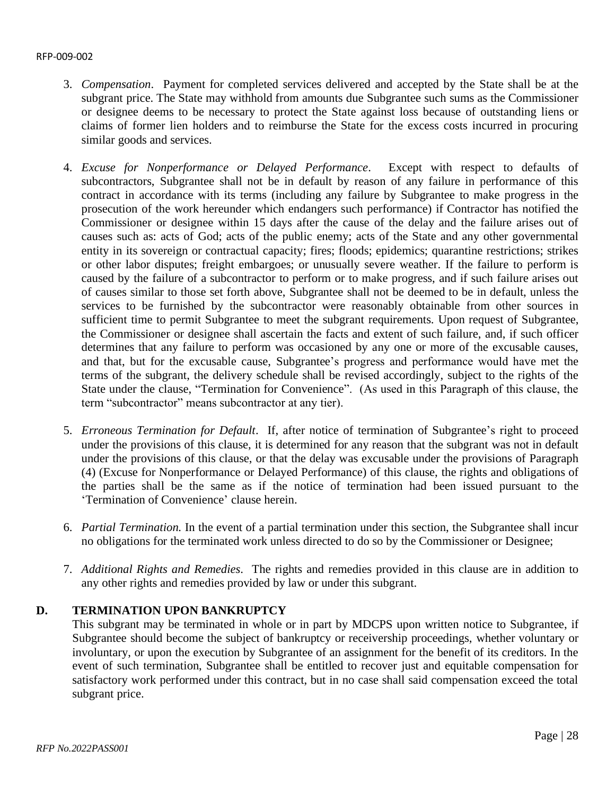- 3. *Compensation*. Payment for completed services delivered and accepted by the State shall be at the subgrant price. The State may withhold from amounts due Subgrantee such sums as the Commissioner or designee deems to be necessary to protect the State against loss because of outstanding liens or claims of former lien holders and to reimburse the State for the excess costs incurred in procuring similar goods and services.
- 4. *Excuse for Nonperformance or Delayed Performance*. Except with respect to defaults of subcontractors, Subgrantee shall not be in default by reason of any failure in performance of this contract in accordance with its terms (including any failure by Subgrantee to make progress in the prosecution of the work hereunder which endangers such performance) if Contractor has notified the Commissioner or designee within 15 days after the cause of the delay and the failure arises out of causes such as: acts of God; acts of the public enemy; acts of the State and any other governmental entity in its sovereign or contractual capacity; fires; floods; epidemics; quarantine restrictions; strikes or other labor disputes; freight embargoes; or unusually severe weather. If the failure to perform is caused by the failure of a subcontractor to perform or to make progress, and if such failure arises out of causes similar to those set forth above, Subgrantee shall not be deemed to be in default, unless the services to be furnished by the subcontractor were reasonably obtainable from other sources in sufficient time to permit Subgrantee to meet the subgrant requirements. Upon request of Subgrantee, the Commissioner or designee shall ascertain the facts and extent of such failure, and, if such officer determines that any failure to perform was occasioned by any one or more of the excusable causes, and that, but for the excusable cause, Subgrantee's progress and performance would have met the terms of the subgrant, the delivery schedule shall be revised accordingly, subject to the rights of the State under the clause, "Termination for Convenience". (As used in this Paragraph of this clause, the term "subcontractor" means subcontractor at any tier).
- 5. *Erroneous Termination for Default*. If, after notice of termination of Subgrantee's right to proceed under the provisions of this clause, it is determined for any reason that the subgrant was not in default under the provisions of this clause, or that the delay was excusable under the provisions of Paragraph (4) (Excuse for Nonperformance or Delayed Performance) of this clause, the rights and obligations of the parties shall be the same as if the notice of termination had been issued pursuant to the 'Termination of Convenience' clause herein.
- 6. *Partial Termination.* In the event of a partial termination under this section, the Subgrantee shall incur no obligations for the terminated work unless directed to do so by the Commissioner or Designee;
- 7. *Additional Rights and Remedies*. The rights and remedies provided in this clause are in addition to any other rights and remedies provided by law or under this subgrant.

# **D. TERMINATION UPON BANKRUPTCY**

This subgrant may be terminated in whole or in part by MDCPS upon written notice to Subgrantee, if Subgrantee should become the subject of bankruptcy or receivership proceedings, whether voluntary or involuntary, or upon the execution by Subgrantee of an assignment for the benefit of its creditors. In the event of such termination, Subgrantee shall be entitled to recover just and equitable compensation for satisfactory work performed under this contract, but in no case shall said compensation exceed the total subgrant price.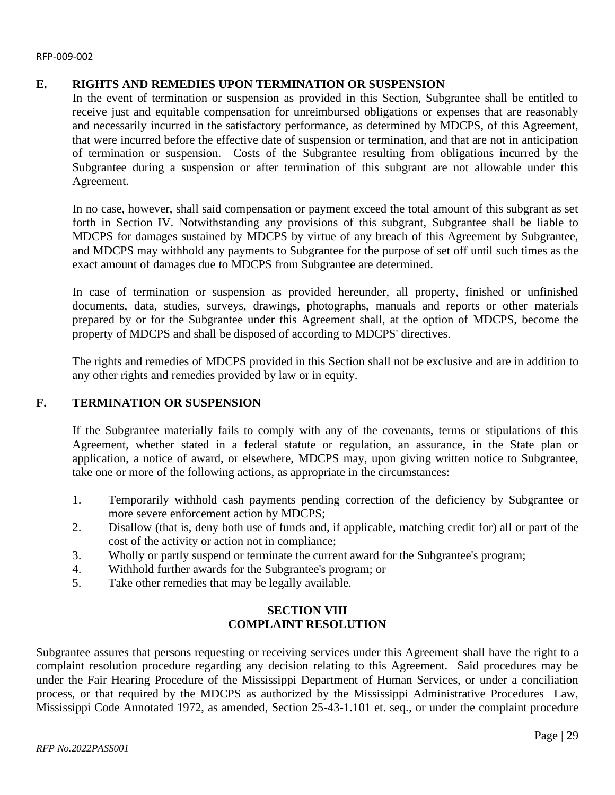# **E. RIGHTS AND REMEDIES UPON TERMINATION OR SUSPENSION**

In the event of termination or suspension as provided in this Section, Subgrantee shall be entitled to receive just and equitable compensation for unreimbursed obligations or expenses that are reasonably and necessarily incurred in the satisfactory performance, as determined by MDCPS, of this Agreement, that were incurred before the effective date of suspension or termination, and that are not in anticipation of termination or suspension. Costs of the Subgrantee resulting from obligations incurred by the Subgrantee during a suspension or after termination of this subgrant are not allowable under this Agreement.

In no case, however, shall said compensation or payment exceed the total amount of this subgrant as set forth in Section IV. Notwithstanding any provisions of this subgrant, Subgrantee shall be liable to MDCPS for damages sustained by MDCPS by virtue of any breach of this Agreement by Subgrantee, and MDCPS may withhold any payments to Subgrantee for the purpose of set off until such times as the exact amount of damages due to MDCPS from Subgrantee are determined.

In case of termination or suspension as provided hereunder, all property, finished or unfinished documents, data, studies, surveys, drawings, photographs, manuals and reports or other materials prepared by or for the Subgrantee under this Agreement shall, at the option of MDCPS, become the property of MDCPS and shall be disposed of according to MDCPS' directives.

The rights and remedies of MDCPS provided in this Section shall not be exclusive and are in addition to any other rights and remedies provided by law or in equity.

# **F. TERMINATION OR SUSPENSION**

If the Subgrantee materially fails to comply with any of the covenants, terms or stipulations of this Agreement, whether stated in a federal statute or regulation, an assurance, in the State plan or application, a notice of award, or elsewhere, MDCPS may, upon giving written notice to Subgrantee, take one or more of the following actions, as appropriate in the circumstances:

- 1. Temporarily withhold cash payments pending correction of the deficiency by Subgrantee or more severe enforcement action by MDCPS;
- 2. Disallow (that is, deny both use of funds and, if applicable, matching credit for) all or part of the cost of the activity or action not in compliance;
- 3. Wholly or partly suspend or terminate the current award for the Subgrantee's program;
- 4. Withhold further awards for the Subgrantee's program; or
- 5. Take other remedies that may be legally available.

# **SECTION VIII COMPLAINT RESOLUTION**

Subgrantee assures that persons requesting or receiving services under this Agreement shall have the right to a complaint resolution procedure regarding any decision relating to this Agreement. Said procedures may be under the Fair Hearing Procedure of the Mississippi Department of Human Services, or under a conciliation process, or that required by the MDCPS as authorized by the Mississippi Administrative Procedures Law, Mississippi Code Annotated 1972, as amended, Section 25-43-1.101 et. seq., or under the complaint procedure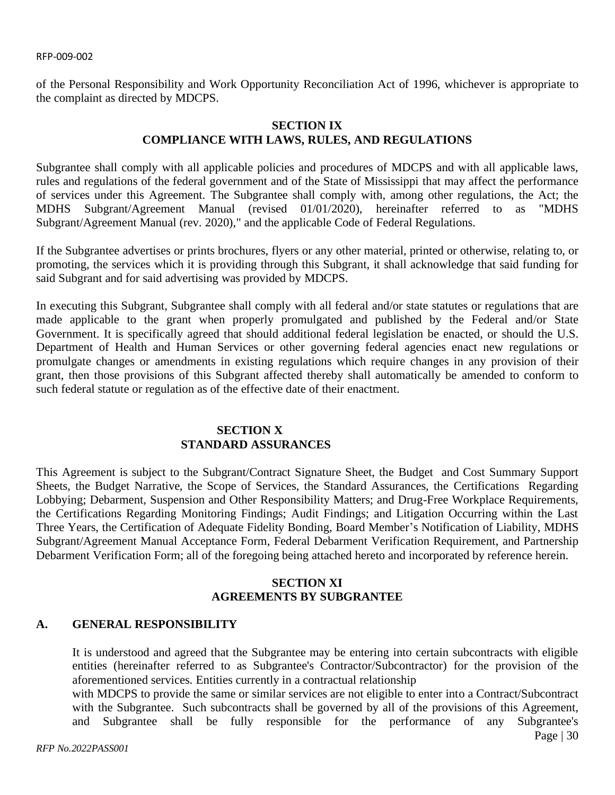of the Personal Responsibility and Work Opportunity Reconciliation Act of 1996, whichever is appropriate to the complaint as directed by MDCPS.

# **SECTION IX COMPLIANCE WITH LAWS, RULES, AND REGULATIONS**

Subgrantee shall comply with all applicable policies and procedures of MDCPS and with all applicable laws, rules and regulations of the federal government and of the State of Mississippi that may affect the performance of services under this Agreement. The Subgrantee shall comply with, among other regulations, the Act; the MDHS Subgrant/Agreement Manual (revised 01/01/2020), hereinafter referred to as "MDHS Subgrant/Agreement Manual (rev. 2020)," and the applicable Code of Federal Regulations.

If the Subgrantee advertises or prints brochures, flyers or any other material, printed or otherwise, relating to, or promoting, the services which it is providing through this Subgrant, it shall acknowledge that said funding for said Subgrant and for said advertising was provided by MDCPS.

In executing this Subgrant, Subgrantee shall comply with all federal and/or state statutes or regulations that are made applicable to the grant when properly promulgated and published by the Federal and/or State Government. It is specifically agreed that should additional federal legislation be enacted, or should the U.S. Department of Health and Human Services or other governing federal agencies enact new regulations or promulgate changes or amendments in existing regulations which require changes in any provision of their grant, then those provisions of this Subgrant affected thereby shall automatically be amended to conform to such federal statute or regulation as of the effective date of their enactment.

# **SECTION X STANDARD ASSURANCES**

This Agreement is subject to the Subgrant/Contract Signature Sheet, the Budget and Cost Summary Support Sheets, the Budget Narrative, the Scope of Services, the Standard Assurances, the Certifications Regarding Lobbying; Debarment, Suspension and Other Responsibility Matters; and Drug-Free Workplace Requirements, the Certifications Regarding Monitoring Findings; Audit Findings; and Litigation Occurring within the Last Three Years, the Certification of Adequate Fidelity Bonding, Board Member's Notification of Liability, MDHS Subgrant/Agreement Manual Acceptance Form, Federal Debarment Verification Requirement, and Partnership Debarment Verification Form; all of the foregoing being attached hereto and incorporated by reference herein.

# **SECTION XI AGREEMENTS BY SUBGRANTEE**

# **A. GENERAL RESPONSIBILITY**

It is understood and agreed that the Subgrantee may be entering into certain subcontracts with eligible entities (hereinafter referred to as Subgrantee's Contractor/Subcontractor) for the provision of the aforementioned services. Entities currently in a contractual relationship

with MDCPS to provide the same or similar services are not eligible to enter into a Contract/Subcontract with the Subgrantee. Such subcontracts shall be governed by all of the provisions of this Agreement, and Subgrantee shall be fully responsible for the performance of any Subgrantee's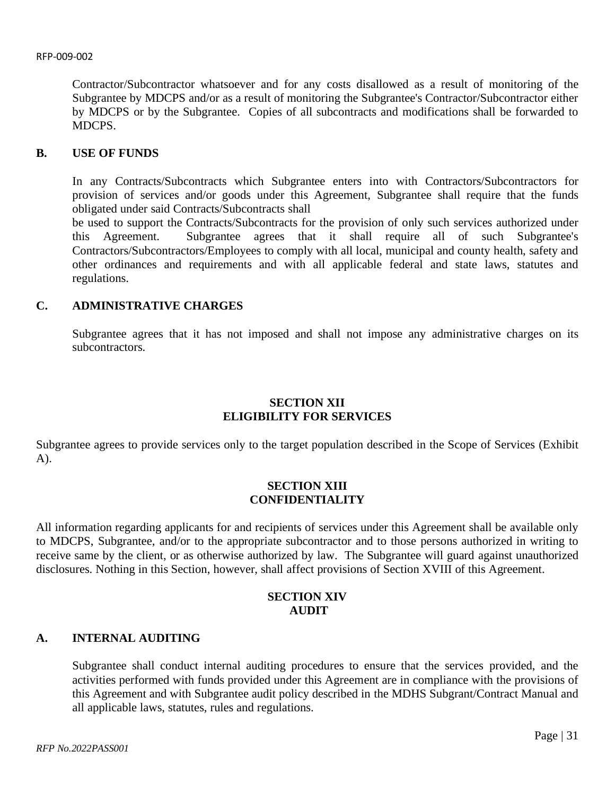Contractor/Subcontractor whatsoever and for any costs disallowed as a result of monitoring of the Subgrantee by MDCPS and/or as a result of monitoring the Subgrantee's Contractor/Subcontractor either by MDCPS or by the Subgrantee. Copies of all subcontracts and modifications shall be forwarded to MDCPS.

#### **B. USE OF FUNDS**

In any Contracts/Subcontracts which Subgrantee enters into with Contractors/Subcontractors for provision of services and/or goods under this Agreement, Subgrantee shall require that the funds obligated under said Contracts/Subcontracts shall

be used to support the Contracts/Subcontracts for the provision of only such services authorized under this Agreement. Subgrantee agrees that it shall require all of such Subgrantee's Contractors/Subcontractors/Employees to comply with all local, municipal and county health, safety and other ordinances and requirements and with all applicable federal and state laws, statutes and regulations.

# **C. ADMINISTRATIVE CHARGES**

Subgrantee agrees that it has not imposed and shall not impose any administrative charges on its subcontractors.

# **SECTION XII ELIGIBILITY FOR SERVICES**

Subgrantee agrees to provide services only to the target population described in the Scope of Services (Exhibit A).

# **SECTION XIII CONFIDENTIALITY**

All information regarding applicants for and recipients of services under this Agreement shall be available only to MDCPS, Subgrantee, and/or to the appropriate subcontractor and to those persons authorized in writing to receive same by the client, or as otherwise authorized by law. The Subgrantee will guard against unauthorized disclosures. Nothing in this Section, however, shall affect provisions of Section XVIII of this Agreement.

# **SECTION XIV AUDIT**

# **A. INTERNAL AUDITING**

Subgrantee shall conduct internal auditing procedures to ensure that the services provided, and the activities performed with funds provided under this Agreement are in compliance with the provisions of this Agreement and with Subgrantee audit policy described in the MDHS Subgrant/Contract Manual and all applicable laws, statutes, rules and regulations.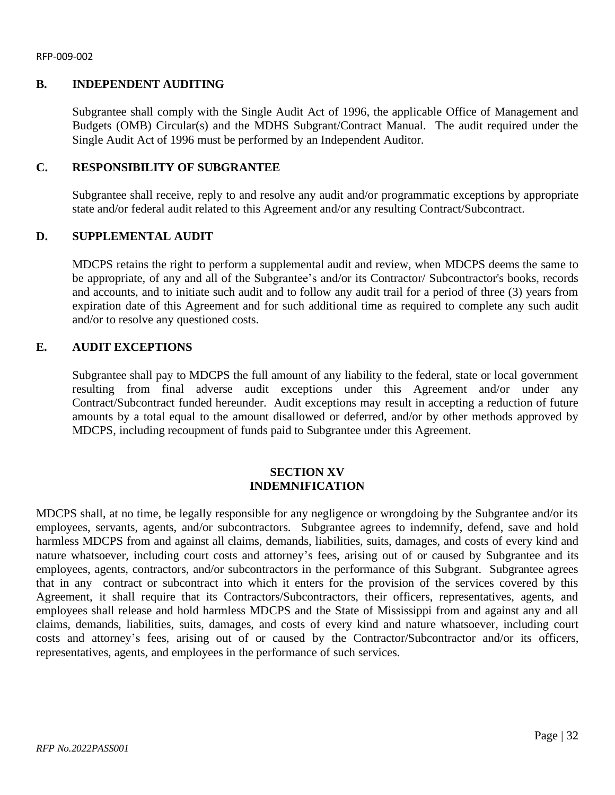# **B. INDEPENDENT AUDITING**

Subgrantee shall comply with the Single Audit Act of 1996, the applicable Office of Management and Budgets (OMB) Circular(s) and the MDHS Subgrant/Contract Manual. The audit required under the Single Audit Act of 1996 must be performed by an Independent Auditor.

# **C. RESPONSIBILITY OF SUBGRANTEE**

Subgrantee shall receive, reply to and resolve any audit and/or programmatic exceptions by appropriate state and/or federal audit related to this Agreement and/or any resulting Contract/Subcontract.

## **D. SUPPLEMENTAL AUDIT**

MDCPS retains the right to perform a supplemental audit and review, when MDCPS deems the same to be appropriate, of any and all of the Subgrantee's and/or its Contractor/ Subcontractor's books, records and accounts, and to initiate such audit and to follow any audit trail for a period of three (3) years from expiration date of this Agreement and for such additional time as required to complete any such audit and/or to resolve any questioned costs.

# **E. AUDIT EXCEPTIONS**

Subgrantee shall pay to MDCPS the full amount of any liability to the federal, state or local government resulting from final adverse audit exceptions under this Agreement and/or under any Contract/Subcontract funded hereunder. Audit exceptions may result in accepting a reduction of future amounts by a total equal to the amount disallowed or deferred, and/or by other methods approved by MDCPS, including recoupment of funds paid to Subgrantee under this Agreement.

## **SECTION XV INDEMNIFICATION**

MDCPS shall, at no time, be legally responsible for any negligence or wrongdoing by the Subgrantee and/or its employees, servants, agents, and/or subcontractors. Subgrantee agrees to indemnify, defend, save and hold harmless MDCPS from and against all claims, demands, liabilities, suits, damages, and costs of every kind and nature whatsoever, including court costs and attorney's fees, arising out of or caused by Subgrantee and its employees, agents, contractors, and/or subcontractors in the performance of this Subgrant. Subgrantee agrees that in any contract or subcontract into which it enters for the provision of the services covered by this Agreement, it shall require that its Contractors/Subcontractors, their officers, representatives, agents, and employees shall release and hold harmless MDCPS and the State of Mississippi from and against any and all claims, demands, liabilities, suits, damages, and costs of every kind and nature whatsoever, including court costs and attorney's fees, arising out of or caused by the Contractor/Subcontractor and/or its officers, representatives, agents, and employees in the performance of such services.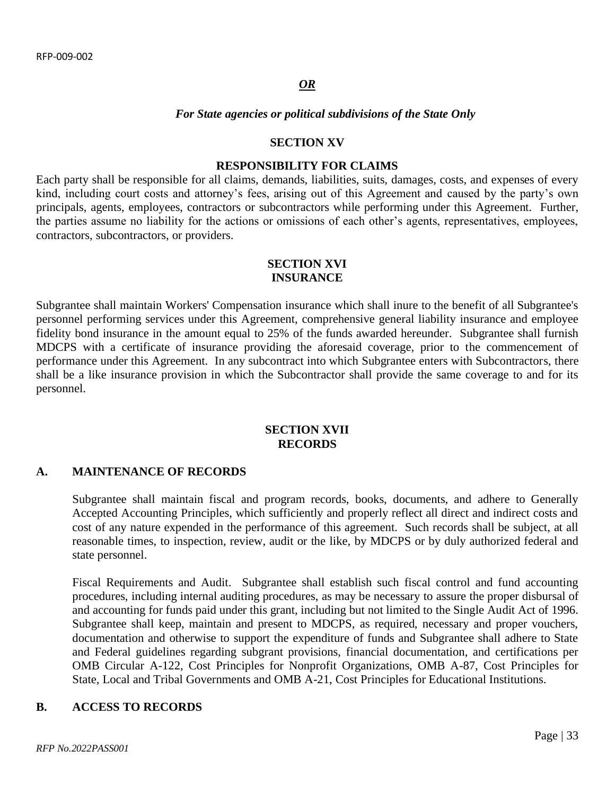#### *OR*

#### *For State agencies or political subdivisions of the State Only*

#### **SECTION XV**

#### **RESPONSIBILITY FOR CLAIMS**

Each party shall be responsible for all claims, demands, liabilities, suits, damages, costs, and expenses of every kind, including court costs and attorney's fees, arising out of this Agreement and caused by the party's own principals, agents, employees, contractors or subcontractors while performing under this Agreement. Further, the parties assume no liability for the actions or omissions of each other's agents, representatives, employees, contractors, subcontractors, or providers.

#### **SECTION XVI INSURANCE**

Subgrantee shall maintain Workers' Compensation insurance which shall inure to the benefit of all Subgrantee's personnel performing services under this Agreement, comprehensive general liability insurance and employee fidelity bond insurance in the amount equal to 25% of the funds awarded hereunder. Subgrantee shall furnish MDCPS with a certificate of insurance providing the aforesaid coverage, prior to the commencement of performance under this Agreement. In any subcontract into which Subgrantee enters with Subcontractors, there shall be a like insurance provision in which the Subcontractor shall provide the same coverage to and for its personnel.

# **SECTION XVII RECORDS**

#### **A. MAINTENANCE OF RECORDS**

Subgrantee shall maintain fiscal and program records, books, documents, and adhere to Generally Accepted Accounting Principles, which sufficiently and properly reflect all direct and indirect costs and cost of any nature expended in the performance of this agreement. Such records shall be subject, at all reasonable times, to inspection, review, audit or the like, by MDCPS or by duly authorized federal and state personnel.

Fiscal Requirements and Audit. Subgrantee shall establish such fiscal control and fund accounting procedures, including internal auditing procedures, as may be necessary to assure the proper disbursal of and accounting for funds paid under this grant, including but not limited to the Single Audit Act of 1996. Subgrantee shall keep, maintain and present to MDCPS, as required, necessary and proper vouchers, documentation and otherwise to support the expenditure of funds and Subgrantee shall adhere to State and Federal guidelines regarding subgrant provisions, financial documentation, and certifications per OMB Circular A-122, Cost Principles for Nonprofit Organizations, OMB A-87, Cost Principles for State, Local and Tribal Governments and OMB A-21, Cost Principles for Educational Institutions.

#### **B. ACCESS TO RECORDS**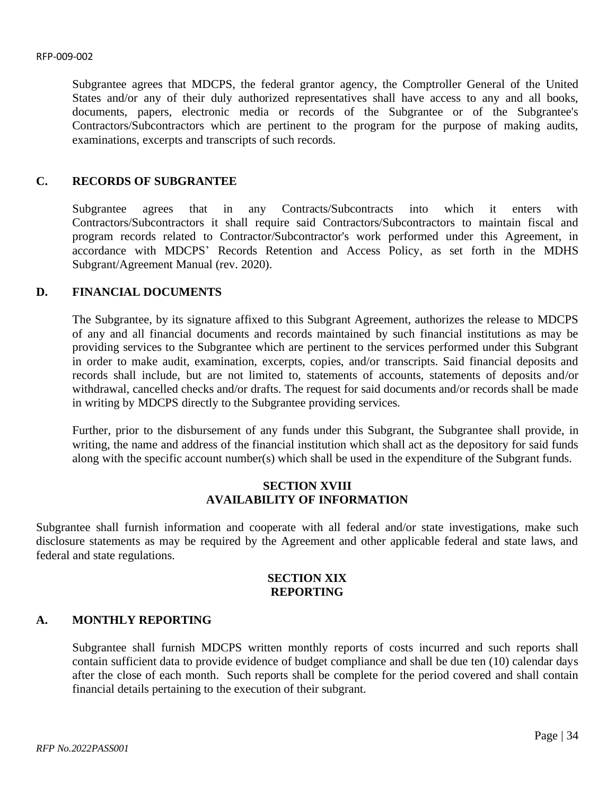Subgrantee agrees that MDCPS, the federal grantor agency, the Comptroller General of the United States and/or any of their duly authorized representatives shall have access to any and all books, documents, papers, electronic media or records of the Subgrantee or of the Subgrantee's Contractors/Subcontractors which are pertinent to the program for the purpose of making audits, examinations, excerpts and transcripts of such records.

# **C. RECORDS OF SUBGRANTEE**

Subgrantee agrees that in any Contracts/Subcontracts into which it enters with Contractors/Subcontractors it shall require said Contractors/Subcontractors to maintain fiscal and program records related to Contractor/Subcontractor's work performed under this Agreement, in accordance with MDCPS' Records Retention and Access Policy, as set forth in the MDHS Subgrant/Agreement Manual (rev. 2020).

## **D. FINANCIAL DOCUMENTS**

The Subgrantee, by its signature affixed to this Subgrant Agreement, authorizes the release to MDCPS of any and all financial documents and records maintained by such financial institutions as may be providing services to the Subgrantee which are pertinent to the services performed under this Subgrant in order to make audit, examination, excerpts, copies, and/or transcripts. Said financial deposits and records shall include, but are not limited to, statements of accounts, statements of deposits and/or withdrawal, cancelled checks and/or drafts. The request for said documents and/or records shall be made in writing by MDCPS directly to the Subgrantee providing services.

Further, prior to the disbursement of any funds under this Subgrant, the Subgrantee shall provide, in writing, the name and address of the financial institution which shall act as the depository for said funds along with the specific account number(s) which shall be used in the expenditure of the Subgrant funds.

# **SECTION XVIII AVAILABILITY OF INFORMATION**

Subgrantee shall furnish information and cooperate with all federal and/or state investigations, make such disclosure statements as may be required by the Agreement and other applicable federal and state laws, and federal and state regulations.

#### **SECTION XIX REPORTING**

#### **A. MONTHLY REPORTING**

Subgrantee shall furnish MDCPS written monthly reports of costs incurred and such reports shall contain sufficient data to provide evidence of budget compliance and shall be due ten (10) calendar days after the close of each month. Such reports shall be complete for the period covered and shall contain financial details pertaining to the execution of their subgrant.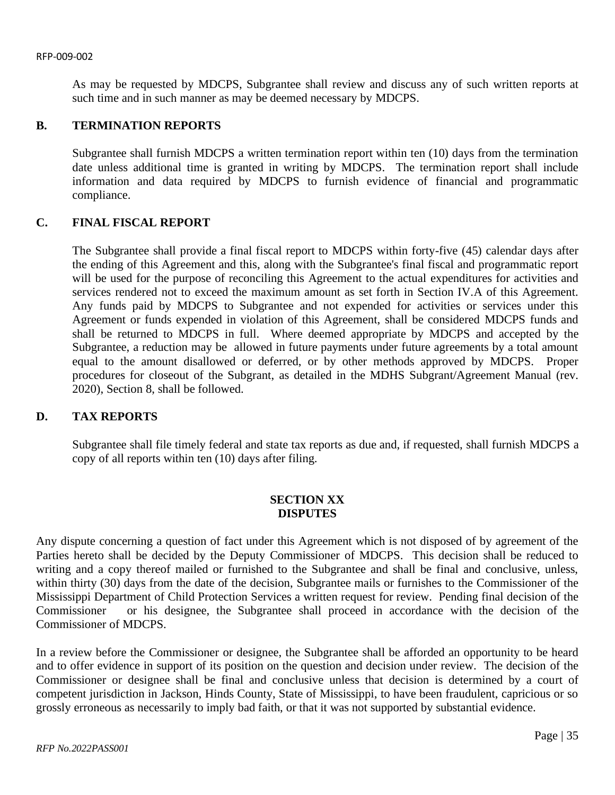As may be requested by MDCPS, Subgrantee shall review and discuss any of such written reports at such time and in such manner as may be deemed necessary by MDCPS.

## **B. TERMINATION REPORTS**

Subgrantee shall furnish MDCPS a written termination report within ten (10) days from the termination date unless additional time is granted in writing by MDCPS. The termination report shall include information and data required by MDCPS to furnish evidence of financial and programmatic compliance.

# **C. FINAL FISCAL REPORT**

The Subgrantee shall provide a final fiscal report to MDCPS within forty-five (45) calendar days after the ending of this Agreement and this, along with the Subgrantee's final fiscal and programmatic report will be used for the purpose of reconciling this Agreement to the actual expenditures for activities and services rendered not to exceed the maximum amount as set forth in Section IV.A of this Agreement. Any funds paid by MDCPS to Subgrantee and not expended for activities or services under this Agreement or funds expended in violation of this Agreement, shall be considered MDCPS funds and shall be returned to MDCPS in full. Where deemed appropriate by MDCPS and accepted by the Subgrantee, a reduction may be allowed in future payments under future agreements by a total amount equal to the amount disallowed or deferred, or by other methods approved by MDCPS. Proper procedures for closeout of the Subgrant, as detailed in the MDHS Subgrant/Agreement Manual (rev. 2020), Section 8, shall be followed.

# **D. TAX REPORTS**

Subgrantee shall file timely federal and state tax reports as due and, if requested, shall furnish MDCPS a copy of all reports within ten (10) days after filing.

# **SECTION XX DISPUTES**

Any dispute concerning a question of fact under this Agreement which is not disposed of by agreement of the Parties hereto shall be decided by the Deputy Commissioner of MDCPS. This decision shall be reduced to writing and a copy thereof mailed or furnished to the Subgrantee and shall be final and conclusive, unless, within thirty (30) days from the date of the decision, Subgrantee mails or furnishes to the Commissioner of the Mississippi Department of Child Protection Services a written request for review. Pending final decision of the Commissioner or his designee, the Subgrantee shall proceed in accordance with the decision of the Commissioner of MDCPS.

In a review before the Commissioner or designee, the Subgrantee shall be afforded an opportunity to be heard and to offer evidence in support of its position on the question and decision under review. The decision of the Commissioner or designee shall be final and conclusive unless that decision is determined by a court of competent jurisdiction in Jackson, Hinds County, State of Mississippi, to have been fraudulent, capricious or so grossly erroneous as necessarily to imply bad faith, or that it was not supported by substantial evidence.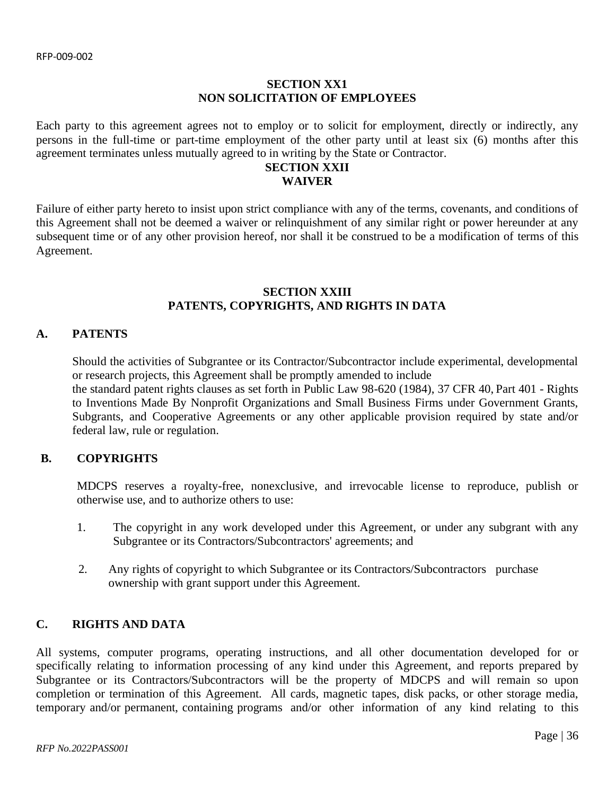# **SECTION XX1 NON SOLICITATION OF EMPLOYEES**

Each party to this agreement agrees not to employ or to solicit for employment, directly or indirectly, any persons in the full-time or part-time employment of the other party until at least six (6) months after this agreement terminates unless mutually agreed to in writing by the State or Contractor.

# **SECTION XXII WAIVER**

Failure of either party hereto to insist upon strict compliance with any of the terms, covenants, and conditions of this Agreement shall not be deemed a waiver or relinquishment of any similar right or power hereunder at any subsequent time or of any other provision hereof, nor shall it be construed to be a modification of terms of this Agreement.

# **SECTION XXIII PATENTS, COPYRIGHTS, AND RIGHTS IN DATA**

# **A. PATENTS**

Should the activities of Subgrantee or its Contractor/Subcontractor include experimental, developmental or research projects, this Agreement shall be promptly amended to include the standard patent rights clauses as set forth in Public Law 98-620 (1984), 37 CFR 40, Part 401 - Rights to Inventions Made By Nonprofit Organizations and Small Business Firms under Government Grants, Subgrants, and Cooperative Agreements or any other applicable provision required by state and/or federal law, rule or regulation.

# **B. COPYRIGHTS**

MDCPS reserves a royalty-free, nonexclusive, and irrevocable license to reproduce, publish or otherwise use, and to authorize others to use:

- 1. The copyright in any work developed under this Agreement, or under any subgrant with any Subgrantee or its Contractors/Subcontractors' agreements; and
- 2. Any rights of copyright to which Subgrantee or its Contractors/Subcontractors purchase ownership with grant support under this Agreement.

# **C. RIGHTS AND DATA**

All systems, computer programs, operating instructions, and all other documentation developed for or specifically relating to information processing of any kind under this Agreement, and reports prepared by Subgrantee or its Contractors/Subcontractors will be the property of MDCPS and will remain so upon completion or termination of this Agreement. All cards, magnetic tapes, disk packs, or other storage media, temporary and/or permanent, containing programs and/or other information of any kind relating to this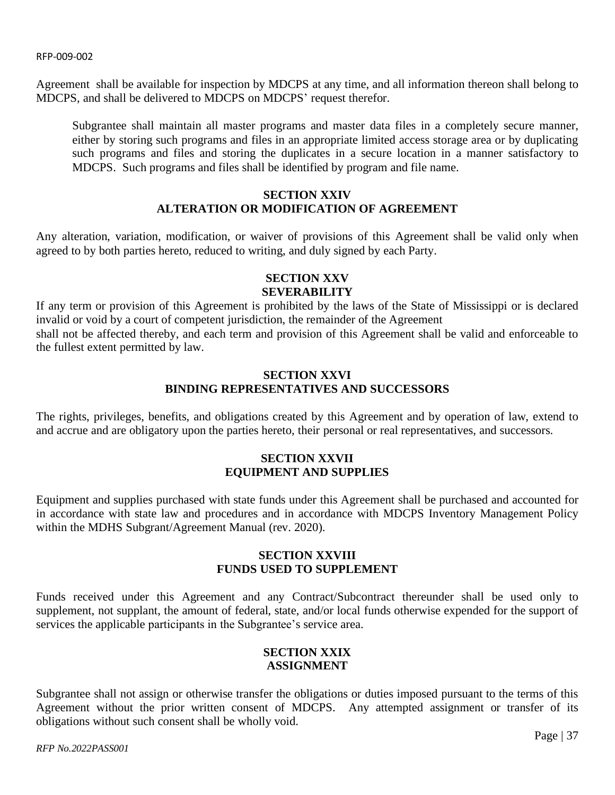Agreement shall be available for inspection by MDCPS at any time, and all information thereon shall belong to MDCPS, and shall be delivered to MDCPS on MDCPS' request therefor.

Subgrantee shall maintain all master programs and master data files in a completely secure manner, either by storing such programs and files in an appropriate limited access storage area or by duplicating such programs and files and storing the duplicates in a secure location in a manner satisfactory to MDCPS. Such programs and files shall be identified by program and file name.

# **SECTION XXIV ALTERATION OR MODIFICATION OF AGREEMENT**

Any alteration, variation, modification, or waiver of provisions of this Agreement shall be valid only when agreed to by both parties hereto, reduced to writing, and duly signed by each Party.

# **SECTION XXV SEVERABILITY**

If any term or provision of this Agreement is prohibited by the laws of the State of Mississippi or is declared invalid or void by a court of competent jurisdiction, the remainder of the Agreement shall not be affected thereby, and each term and provision of this Agreement shall be valid and enforceable to the fullest extent permitted by law.

# **SECTION XXVI BINDING REPRESENTATIVES AND SUCCESSORS**

The rights, privileges, benefits, and obligations created by this Agreement and by operation of law, extend to and accrue and are obligatory upon the parties hereto, their personal or real representatives, and successors.

# **SECTION XXVII EQUIPMENT AND SUPPLIES**

Equipment and supplies purchased with state funds under this Agreement shall be purchased and accounted for in accordance with state law and procedures and in accordance with MDCPS Inventory Management Policy within the MDHS Subgrant/Agreement Manual (rev. 2020).

# **SECTION XXVIII FUNDS USED TO SUPPLEMENT**

Funds received under this Agreement and any Contract/Subcontract thereunder shall be used only to supplement, not supplant, the amount of federal, state, and/or local funds otherwise expended for the support of services the applicable participants in the Subgrantee's service area.

# **SECTION XXIX ASSIGNMENT**

Subgrantee shall not assign or otherwise transfer the obligations or duties imposed pursuant to the terms of this Agreement without the prior written consent of MDCPS. Any attempted assignment or transfer of its obligations without such consent shall be wholly void.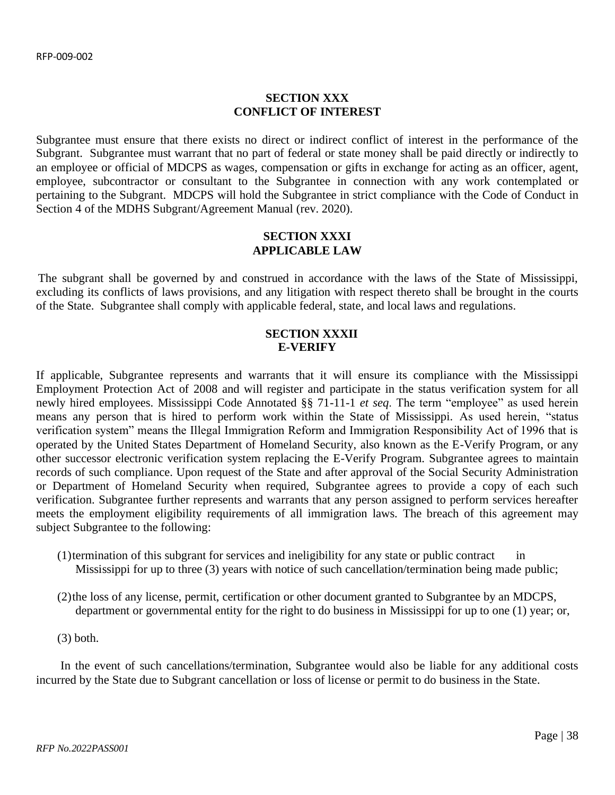# **SECTION XXX CONFLICT OF INTEREST**

Subgrantee must ensure that there exists no direct or indirect conflict of interest in the performance of the Subgrant. Subgrantee must warrant that no part of federal or state money shall be paid directly or indirectly to an employee or official of MDCPS as wages, compensation or gifts in exchange for acting as an officer, agent, employee, subcontractor or consultant to the Subgrantee in connection with any work contemplated or pertaining to the Subgrant. MDCPS will hold the Subgrantee in strict compliance with the Code of Conduct in Section 4 of the MDHS Subgrant/Agreement Manual (rev. 2020).

# **SECTION XXXI APPLICABLE LAW**

The subgrant shall be governed by and construed in accordance with the laws of the State of Mississippi, excluding its conflicts of laws provisions, and any litigation with respect thereto shall be brought in the courts of the State. Subgrantee shall comply with applicable federal, state, and local laws and regulations.

# **SECTION XXXII E-VERIFY**

If applicable, Subgrantee represents and warrants that it will ensure its compliance with the Mississippi Employment Protection Act of 2008 and will register and participate in the status verification system for all newly hired employees. Mississippi Code Annotated §§ 71-11-1 *et seq*. The term "employee" as used herein means any person that is hired to perform work within the State of Mississippi. As used herein, "status verification system" means the Illegal Immigration Reform and Immigration Responsibility Act of 1996 that is operated by the United States Department of Homeland Security, also known as the E-Verify Program, or any other successor electronic verification system replacing the E-Verify Program. Subgrantee agrees to maintain records of such compliance. Upon request of the State and after approval of the Social Security Administration or Department of Homeland Security when required, Subgrantee agrees to provide a copy of each such verification. Subgrantee further represents and warrants that any person assigned to perform services hereafter meets the employment eligibility requirements of all immigration laws. The breach of this agreement may subject Subgrantee to the following:

- $(1)$  termination of this subgrant for services and ineligibility for any state or public contract in Mississippi for up to three (3) years with notice of such cancellation/termination being made public;
- (2)the loss of any license, permit, certification or other document granted to Subgrantee by an MDCPS, department or governmental entity for the right to do business in Mississippi for up to one (1) year; or,
- (3) both.

 In the event of such cancellations/termination, Subgrantee would also be liable for any additional costs incurred by the State due to Subgrant cancellation or loss of license or permit to do business in the State.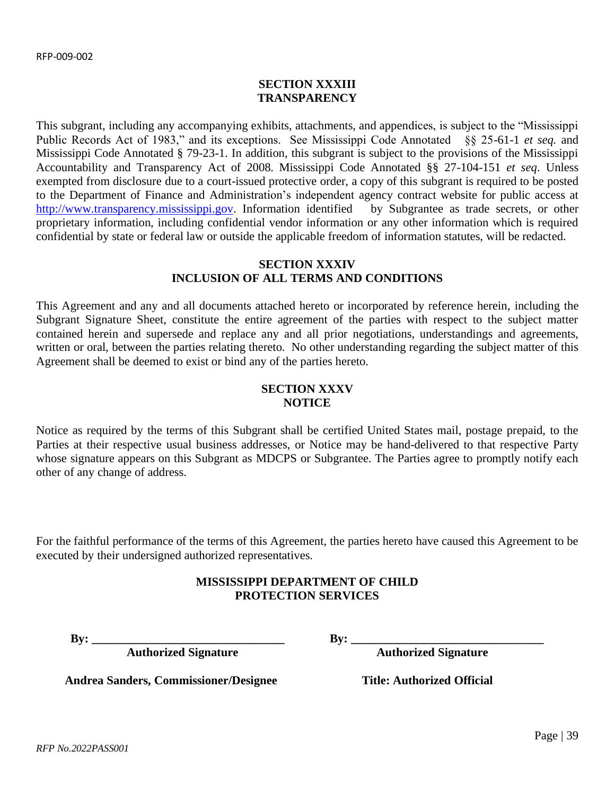# **SECTION XXXIII TRANSPARENCY**

This subgrant, including any accompanying exhibits, attachments, and appendices, is subject to the "Mississippi Public Records Act of 1983," and its exceptions. See Mississippi Code Annotated §§ 25-61-1 *et seq.* and Mississippi Code Annotated § 79-23-1. In addition, this subgrant is subject to the provisions of the Mississippi Accountability and Transparency Act of 2008. Mississippi Code Annotated §§ 27-104-151 *et seq*. Unless exempted from disclosure due to a court-issued protective order, a copy of this subgrant is required to be posted to the Department of Finance and Administration's independent agency contract website for public access at [http://www.transparency.mississippi.gov.](http://www.transparency.mississippi.gov/) Information identified by Subgrantee as trade secrets, or other proprietary information, including confidential vendor information or any other information which is required confidential by state or federal law or outside the applicable freedom of information statutes, will be redacted.

# **SECTION XXXIV INCLUSION OF ALL TERMS AND CONDITIONS**

This Agreement and any and all documents attached hereto or incorporated by reference herein, including the Subgrant Signature Sheet, constitute the entire agreement of the parties with respect to the subject matter contained herein and supersede and replace any and all prior negotiations, understandings and agreements, written or oral, between the parties relating thereto. No other understanding regarding the subject matter of this Agreement shall be deemed to exist or bind any of the parties hereto.

# **SECTION XXXV NOTICE**

Notice as required by the terms of this Subgrant shall be certified United States mail, postage prepaid, to the Parties at their respective usual business addresses, or Notice may be hand-delivered to that respective Party whose signature appears on this Subgrant as MDCPS or Subgrantee. The Parties agree to promptly notify each other of any change of address.

For the faithful performance of the terms of this Agreement, the parties hereto have caused this Agreement to be executed by their undersigned authorized representatives.

# **MISSISSIPPI DEPARTMENT OF CHILD PROTECTION SERVICES**

**Authorized Signature Authorized Signature**

**By: \_\_\_\_\_\_\_\_\_\_\_\_\_\_\_\_\_\_\_\_\_\_\_\_\_\_\_\_\_\_\_\_ By: \_\_\_\_\_\_\_\_\_\_\_\_\_\_\_\_\_\_\_\_\_\_\_\_\_\_\_\_\_\_\_\_**

Andrea Sanders, Commissioner/Designee Title: Authorized Official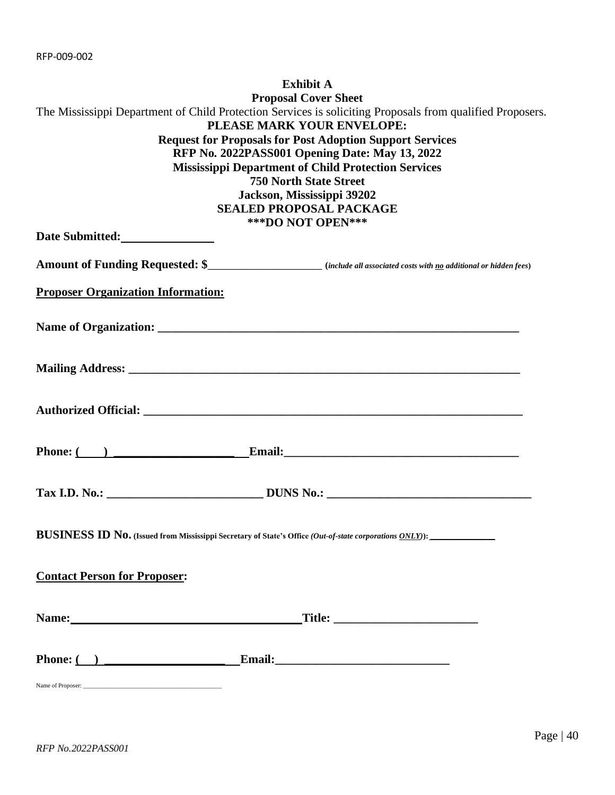<span id="page-39-0"></span>

|                                                                                                                                                                                                                                | <b>Exhibit A</b>                                                                                                                        |
|--------------------------------------------------------------------------------------------------------------------------------------------------------------------------------------------------------------------------------|-----------------------------------------------------------------------------------------------------------------------------------------|
|                                                                                                                                                                                                                                | <b>Proposal Cover Sheet</b>                                                                                                             |
|                                                                                                                                                                                                                                | The Mississippi Department of Child Protection Services is soliciting Proposals from qualified Proposers.<br>PLEASE MARK YOUR ENVELOPE: |
|                                                                                                                                                                                                                                | <b>Request for Proposals for Post Adoption Support Services</b>                                                                         |
|                                                                                                                                                                                                                                | RFP No. 2022PASS001 Opening Date: May 13, 2022                                                                                          |
|                                                                                                                                                                                                                                | <b>Mississippi Department of Child Protection Services</b>                                                                              |
|                                                                                                                                                                                                                                | <b>750 North State Street</b>                                                                                                           |
|                                                                                                                                                                                                                                | Jackson, Mississippi 39202<br><b>SEALED PROPOSAL PACKAGE</b>                                                                            |
|                                                                                                                                                                                                                                | <b>***DO NOT OPEN***</b>                                                                                                                |
| Date Submitted:                                                                                                                                                                                                                |                                                                                                                                         |
|                                                                                                                                                                                                                                |                                                                                                                                         |
|                                                                                                                                                                                                                                | Amount of Funding Requested: \$<br>Movemment of Funding Requested: \$                                                                   |
| <b>Proposer Organization Information:</b>                                                                                                                                                                                      |                                                                                                                                         |
|                                                                                                                                                                                                                                |                                                                                                                                         |
|                                                                                                                                                                                                                                |                                                                                                                                         |
|                                                                                                                                                                                                                                |                                                                                                                                         |
|                                                                                                                                                                                                                                |                                                                                                                                         |
|                                                                                                                                                                                                                                |                                                                                                                                         |
|                                                                                                                                                                                                                                |                                                                                                                                         |
|                                                                                                                                                                                                                                |                                                                                                                                         |
|                                                                                                                                                                                                                                |                                                                                                                                         |
|                                                                                                                                                                                                                                |                                                                                                                                         |
|                                                                                                                                                                                                                                | Phone: $($ ) Email: Email:                                                                                                              |
|                                                                                                                                                                                                                                |                                                                                                                                         |
|                                                                                                                                                                                                                                |                                                                                                                                         |
|                                                                                                                                                                                                                                |                                                                                                                                         |
|                                                                                                                                                                                                                                |                                                                                                                                         |
|                                                                                                                                                                                                                                | BUSINESS ID No. (Issued from Mississippi Secretary of State's Office (Out-of-state corporations ONLY)):                                 |
|                                                                                                                                                                                                                                |                                                                                                                                         |
| <b>Contact Person for Proposer:</b>                                                                                                                                                                                            |                                                                                                                                         |
|                                                                                                                                                                                                                                |                                                                                                                                         |
| Name: Name and the second state of the second state of the second state of the second state of the second state of the second state of the second state of the second state of the second state of the second state of the sec | <u>Title: ___________________________</u>                                                                                               |
|                                                                                                                                                                                                                                |                                                                                                                                         |
|                                                                                                                                                                                                                                |                                                                                                                                         |
|                                                                                                                                                                                                                                |                                                                                                                                         |
|                                                                                                                                                                                                                                |                                                                                                                                         |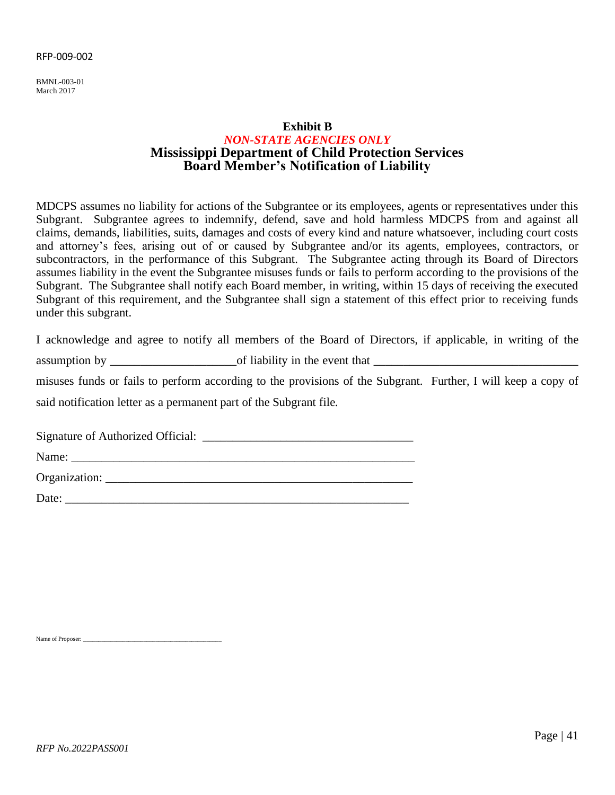<span id="page-40-0"></span>BMNL-003-01 March 2017

# **Exhibit B** *NON-STATE AGENCIES ONLY* **Mississippi Department of Child Protection Services Board Member's Notification of Liability**

MDCPS assumes no liability for actions of the Subgrantee or its employees, agents or representatives under this Subgrant. Subgrantee agrees to indemnify, defend, save and hold harmless MDCPS from and against all claims, demands, liabilities, suits, damages and costs of every kind and nature whatsoever, including court costs and attorney's fees, arising out of or caused by Subgrantee and/or its agents, employees, contractors, or subcontractors, in the performance of this Subgrant. The Subgrantee acting through its Board of Directors assumes liability in the event the Subgrantee misuses funds or fails to perform according to the provisions of the Subgrant. The Subgrantee shall notify each Board member, in writing, within 15 days of receiving the executed Subgrant of this requirement, and the Subgrantee shall sign a statement of this effect prior to receiving funds under this subgrant.

I acknowledge and agree to notify all members of the Board of Directors, if applicable, in writing of the

assumption by  $\Box$  of liability in the event that

misuses funds or fails to perform according to the provisions of the Subgrant. Further, I will keep a copy of said notification letter as a permanent part of the Subgrant file.

Signature of Authorized Official: \_\_\_\_\_\_\_\_\_\_\_\_\_\_\_\_\_\_\_\_\_\_\_\_\_\_\_\_\_\_\_\_\_\_\_

Name: \_\_\_\_\_\_\_\_\_\_\_\_\_\_\_\_\_\_\_\_\_\_\_\_\_\_\_\_\_\_\_\_\_\_\_\_\_\_\_\_\_\_\_\_\_\_\_\_\_\_\_\_\_\_\_\_\_

Organization: \_\_\_\_\_\_\_\_\_\_\_\_\_\_\_\_\_\_\_\_\_\_\_\_\_\_\_\_\_\_\_\_\_\_\_\_\_\_\_\_\_\_\_\_\_\_\_\_\_\_\_

Date:  $\qquad \qquad \qquad \qquad$ 

Name of Proposer: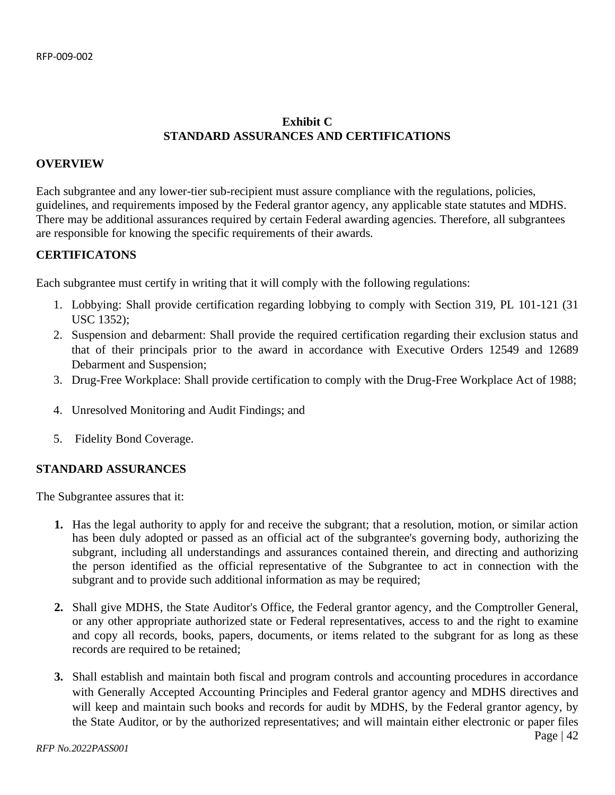# **Exhibit C STANDARD ASSURANCES AND CERTIFICATIONS**

# <span id="page-41-0"></span>**OVERVIEW**

Each subgrantee and any lower-tier sub-recipient must assure compliance with the regulations, policies, guidelines, and requirements imposed by the Federal grantor agency, any applicable state statutes and MDHS. There may be additional assurances required by certain Federal awarding agencies. Therefore, all subgrantees are responsible for knowing the specific requirements of their awards.

# **CERTIFICATONS**

Each subgrantee must certify in writing that it will comply with the following regulations:

- 1. Lobbying: Shall provide certification regarding lobbying to comply with Section 319, PL 101-121 (31 USC 1352);
- 2. Suspension and debarment: Shall provide the required certification regarding their exclusion status and that of their principals prior to the award in accordance with Executive Orders 12549 and 12689 Debarment and Suspension;
- 3. Drug-Free Workplace: Shall provide certification to comply with the Drug-Free Workplace Act of 1988;
- 4. Unresolved Monitoring and Audit Findings; and
- 5. Fidelity Bond Coverage.

#### **STANDARD ASSURANCES**

The Subgrantee assures that it:

- **1.** Has the legal authority to apply for and receive the subgrant; that a resolution, motion, or similar action has been duly adopted or passed as an official act of the subgrantee's governing body, authorizing the subgrant, including all understandings and assurances contained therein, and directing and authorizing the person identified as the official representative of the Subgrantee to act in connection with the subgrant and to provide such additional information as may be required;
- **2.** Shall give MDHS, the State Auditor's Office, the Federal grantor agency, and the Comptroller General, or any other appropriate authorized state or Federal representatives, access to and the right to examine and copy all records, books, papers, documents, or items related to the subgrant for as long as these records are required to be retained;
- **3.** Shall establish and maintain both fiscal and program controls and accounting procedures in accordance with Generally Accepted Accounting Principles and Federal grantor agency and MDHS directives and will keep and maintain such books and records for audit by MDHS, by the Federal grantor agency, by the State Auditor, or by the authorized representatives; and will maintain either electronic or paper files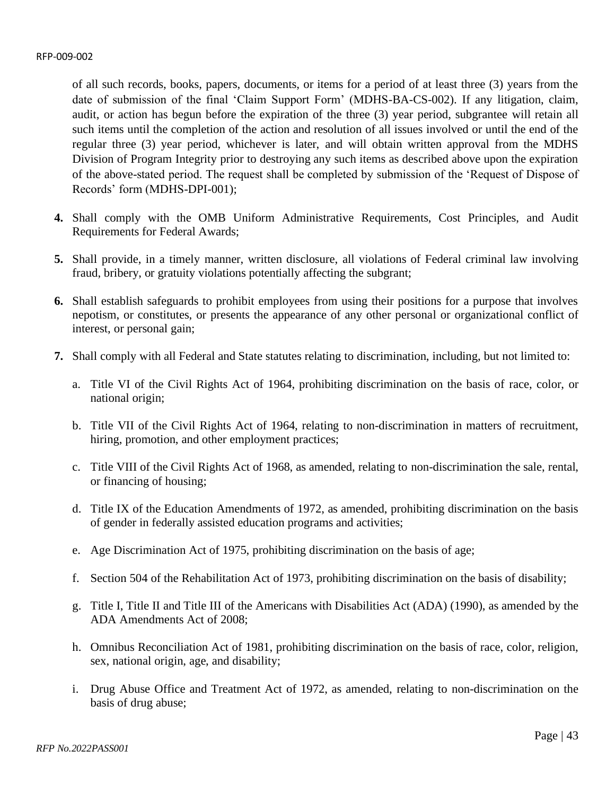of all such records, books, papers, documents, or items for a period of at least three (3) years from the date of submission of the final 'Claim Support Form' (MDHS-BA-CS-002). If any litigation, claim, audit, or action has begun before the expiration of the three (3) year period, subgrantee will retain all such items until the completion of the action and resolution of all issues involved or until the end of the regular three (3) year period, whichever is later, and will obtain written approval from the MDHS Division of Program Integrity prior to destroying any such items as described above upon the expiration of the above-stated period. The request shall be completed by submission of the 'Request of Dispose of Records' form (MDHS-DPI-001);

- **4.** Shall comply with the OMB Uniform Administrative Requirements, Cost Principles, and Audit Requirements for Federal Awards;
- **5.** Shall provide, in a timely manner, written disclosure, all violations of Federal criminal law involving fraud, bribery, or gratuity violations potentially affecting the subgrant;
- **6.** Shall establish safeguards to prohibit employees from using their positions for a purpose that involves nepotism, or constitutes, or presents the appearance of any other personal or organizational conflict of interest, or personal gain;
- **7.** Shall comply with all Federal and State statutes relating to discrimination, including, but not limited to:
	- a. Title VI of the Civil Rights Act of 1964, prohibiting discrimination on the basis of race, color, or national origin;
	- b. Title VII of the Civil Rights Act of 1964, relating to non-discrimination in matters of recruitment, hiring, promotion, and other employment practices;
	- c. Title VIII of the Civil Rights Act of 1968, as amended, relating to non-discrimination the sale, rental, or financing of housing;
	- d. Title IX of the Education Amendments of 1972, as amended, prohibiting discrimination on the basis of gender in federally assisted education programs and activities;
	- e. Age Discrimination Act of 1975, prohibiting discrimination on the basis of age;
	- f. Section 504 of the Rehabilitation Act of 1973, prohibiting discrimination on the basis of disability;
	- g. Title I, Title II and Title III of the Americans with Disabilities Act (ADA) (1990), as amended by the ADA Amendments Act of 2008;
	- h. Omnibus Reconciliation Act of 1981, prohibiting discrimination on the basis of race, color, religion, sex, national origin, age, and disability;
	- i. Drug Abuse Office and Treatment Act of 1972, as amended, relating to non-discrimination on the basis of drug abuse;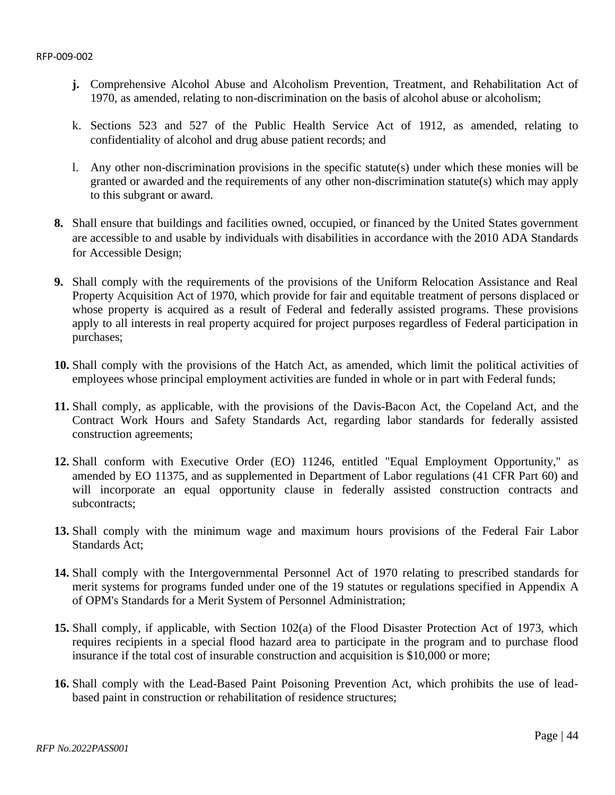- **j.** Comprehensive Alcohol Abuse and Alcoholism Prevention, Treatment, and Rehabilitation Act of 1970, as amended, relating to non-discrimination on the basis of alcohol abuse or alcoholism;
- k. Sections 523 and 527 of the Public Health Service Act of 1912, as amended, relating to confidentiality of alcohol and drug abuse patient records; and
- l. Any other non-discrimination provisions in the specific statute(s) under which these monies will be granted or awarded and the requirements of any other non-discrimination statute(s) which may apply to this subgrant or award.
- **8.** Shall ensure that buildings and facilities owned, occupied, or financed by the United States government are accessible to and usable by individuals with disabilities in accordance with the 2010 ADA Standards for Accessible Design;
- **9.** Shall comply with the requirements of the provisions of the Uniform Relocation Assistance and Real Property Acquisition Act of 1970, which provide for fair and equitable treatment of persons displaced or whose property is acquired as a result of Federal and federally assisted programs. These provisions apply to all interests in real property acquired for project purposes regardless of Federal participation in purchases;
- **10.** Shall comply with the provisions of the Hatch Act, as amended, which limit the political activities of employees whose principal employment activities are funded in whole or in part with Federal funds;
- **11.** Shall comply, as applicable, with the provisions of the Davis-Bacon Act, the Copeland Act, and the Contract Work Hours and Safety Standards Act, regarding labor standards for federally assisted construction agreements;
- **12.** Shall conform with Executive Order (EO) 11246, entitled "Equal Employment Opportunity," as amended by EO 11375, and as supplemented in Department of Labor regulations (41 CFR Part 60) and will incorporate an equal opportunity clause in federally assisted construction contracts and subcontracts;
- **13.** Shall comply with the minimum wage and maximum hours provisions of the Federal Fair Labor Standards Act;
- **14.** Shall comply with the Intergovernmental Personnel Act of 1970 relating to prescribed standards for merit systems for programs funded under one of the 19 statutes or regulations specified in Appendix A of OPM's Standards for a Merit System of Personnel Administration;
- **15.** Shall comply, if applicable, with Section 102(a) of the Flood Disaster Protection Act of 1973, which requires recipients in a special flood hazard area to participate in the program and to purchase flood insurance if the total cost of insurable construction and acquisition is \$10,000 or more;
- **16.** Shall comply with the Lead-Based Paint Poisoning Prevention Act, which prohibits the use of leadbased paint in construction or rehabilitation of residence structures;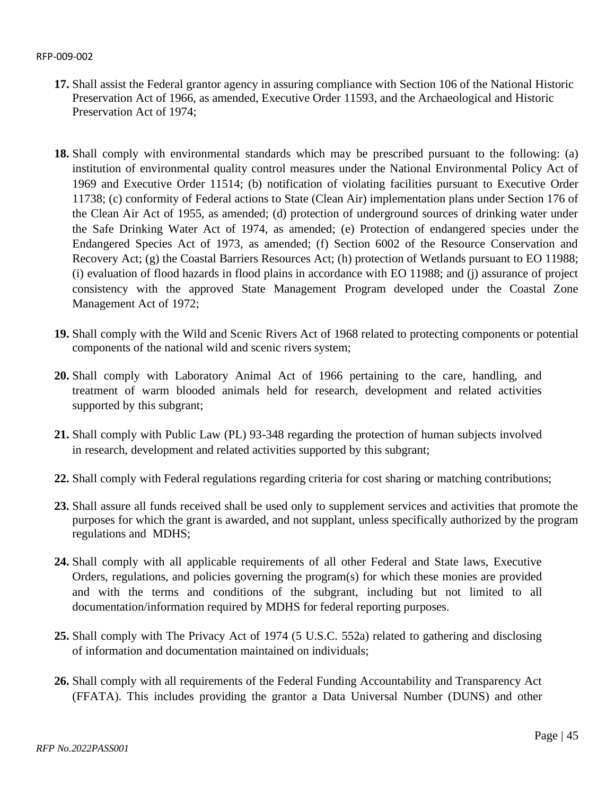- **17.** Shall assist the Federal grantor agency in assuring compliance with Section 106 of the National Historic Preservation Act of 1966, as amended, Executive Order 11593, and the Archaeological and Historic Preservation Act of 1974;
- **18.** Shall comply with environmental standards which may be prescribed pursuant to the following: (a) institution of environmental quality control measures under the National Environmental Policy Act of 1969 and Executive Order 11514; (b) notification of violating facilities pursuant to Executive Order 11738; (c) conformity of Federal actions to State (Clean Air) implementation plans under Section 176 of the Clean Air Act of 1955, as amended; (d) protection of underground sources of drinking water under the Safe Drinking Water Act of 1974, as amended; (e) Protection of endangered species under the Endangered Species Act of 1973, as amended; (f) Section 6002 of the Resource Conservation and Recovery Act; (g) the Coastal Barriers Resources Act; (h) protection of Wetlands pursuant to EO 11988; (i) evaluation of flood hazards in flood plains in accordance with EO 11988; and (j) assurance of project consistency with the approved State Management Program developed under the Coastal Zone Management Act of 1972;
- **19.** Shall comply with the Wild and Scenic Rivers Act of 1968 related to protecting components or potential components of the national wild and scenic rivers system;
- **20.** Shall comply with Laboratory Animal Act of 1966 pertaining to the care, handling, and treatment of warm blooded animals held for research, development and related activities supported by this subgrant;
- **21.** Shall comply with Public Law (PL) 93-348 regarding the protection of human subjects involved in research, development and related activities supported by this subgrant;
- **22.** Shall comply with Federal regulations regarding criteria for cost sharing or matching contributions;
- **23.** Shall assure all funds received shall be used only to supplement services and activities that promote the purposes for which the grant is awarded, and not supplant, unless specifically authorized by the program regulations and MDHS;
- **24.** Shall comply with all applicable requirements of all other Federal and State laws, Executive Orders, regulations, and policies governing the program(s) for which these monies are provided and with the terms and conditions of the subgrant, including but not limited to all documentation/information required by MDHS for federal reporting purposes.
- **25.** Shall comply with The Privacy Act of 1974 (5 U.S.C. 552a) related to gathering and disclosing of information and documentation maintained on individuals;
- **26.** Shall comply with all requirements of the Federal Funding Accountability and Transparency Act (FFATA). This includes providing the grantor a Data Universal Number (DUNS) and other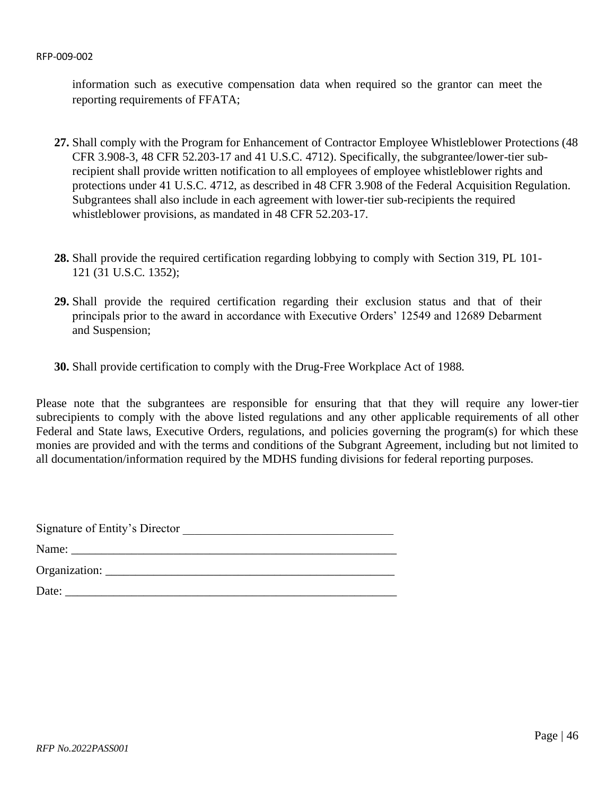information such as executive compensation data when required so the grantor can meet the reporting requirements of FFATA;

- **27.** Shall comply with the Program for Enhancement of Contractor Employee Whistleblower Protections (48 CFR 3.908-3, 48 CFR 52.203-17 and 41 U.S.C. 4712). Specifically, the subgrantee/lower-tier subrecipient shall provide written notification to all employees of employee whistleblower rights and protections under 41 U.S.C. 4712, as described in 48 CFR 3.908 of the Federal Acquisition Regulation. Subgrantees shall also include in each agreement with lower-tier sub-recipients the required whistleblower provisions, as mandated in 48 CFR 52.203-17.
- **28.** Shall provide the required certification regarding lobbying to comply with Section 319, PL 101- 121 (31 U.S.C. 1352);
- **29.** Shall provide the required certification regarding their exclusion status and that of their principals prior to the award in accordance with Executive Orders' 12549 and 12689 Debarment and Suspension;
- **30.** Shall provide certification to comply with the Drug-Free Workplace Act of 1988.

Please note that the subgrantees are responsible for ensuring that that they will require any lower-tier subrecipients to comply with the above listed regulations and any other applicable requirements of all other Federal and State laws, Executive Orders, regulations, and policies governing the program(s) for which these monies are provided and with the terms and conditions of the Subgrant Agreement, including but not limited to all documentation/information required by the MDHS funding divisions for federal reporting purposes.

Signature of Entity's Director \_\_\_\_\_\_\_\_\_\_\_\_\_\_\_\_\_\_\_\_\_\_\_\_\_\_\_\_\_\_\_\_\_\_\_

Name: \_\_\_\_\_\_\_\_\_\_\_\_\_\_\_\_\_\_\_\_\_\_\_\_\_\_\_\_\_\_\_\_\_\_\_\_\_\_\_\_\_\_\_\_\_\_\_\_\_\_\_\_\_\_ Organization:

Date: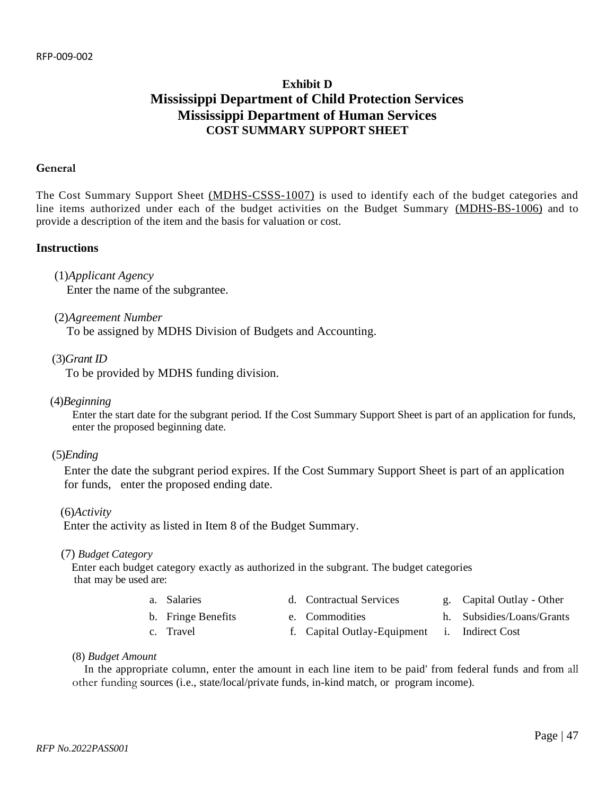# **Exhibit D Mississippi Department of Child Protection Services Mississippi Department of Human Services COST SUMMARY SUPPORT SHEET**

#### <span id="page-46-0"></span>**General**

The Cost Summary Support Sheet (MDHS-CSSS-1007) is used to identify each of the budget categories and line items authorized under each of the budget activities on the Budget Summary (MDHS-BS-1006) and to provide a description of the item and the basis for valuation or cost.

#### **Instructions**

(1)*Applicant Agency* 

Enter the name of the subgrantee.

(2)*Agreement Number* 

To be assigned by MDHS Division of Budgets and Accounting.

(3)*Grant ID* 

To be provided by MDHS funding division.

(4)*Beginning*

Enter the start date for the subgrant period. If the Cost Summary Support Sheet is part of an application for funds, enter the proposed beginning date.

(5)*Ending*

Enter the date the subgrant period expires. If the Cost Summary Support Sheet is part of an application for funds, enter the proposed ending date.

(6)*Activity* 

Enter the activity as listed in Item 8 of the Budget Summary.

(7) *Budget Category*

Enter each budget category exactly as authorized in the subgrant. The budget categories that may be used are:

- a. Salaries d. Contractual Services g. Capital Outlay Other
- b. Fringe Benefits e. Commodities h. Subsidies/Loans/Grants
- 
- 
- 
- 
- c. Travel f. Capital Outlay-Equipment i. Indirect Cost
- (8) *Budget Amount*

In the appropriate column, enter the amount in each line item to be paid' from federal funds and from all other funding sources (i.e., state/local/private funds, in-kind match, or program income).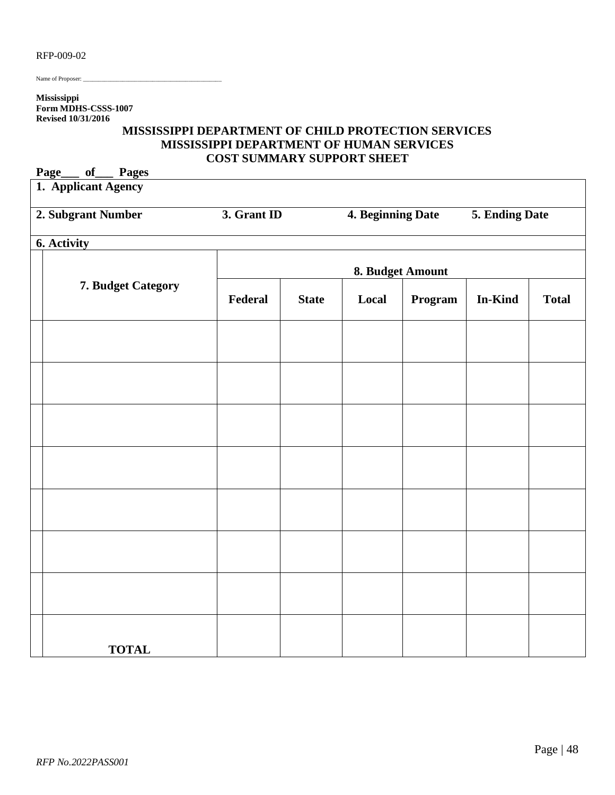Name of Proposer:

**Mississippi Form MDHS-CSSS-1007 Revised 10/31/2016**

# **MISSISSIPPI DEPARTMENT OF CHILD PROTECTION SERVICES MISSISSIPPI DEPARTMENT OF HUMAN SERVICES COST SUMMARY SUPPORT SHEET**

| Page<br>of<br><b>Pages</b> |                  |              |                   |         |                |              |
|----------------------------|------------------|--------------|-------------------|---------|----------------|--------------|
| 1. Applicant Agency        |                  |              |                   |         |                |              |
| 2. Subgrant Number         | 3. Grant ID      |              | 4. Beginning Date |         | 5. Ending Date |              |
| 6. Activity                |                  |              |                   |         |                |              |
|                            | 8. Budget Amount |              |                   |         |                |              |
| 7. Budget Category         | Federal          | <b>State</b> | Local             | Program | In-Kind        | <b>Total</b> |
|                            |                  |              |                   |         |                |              |
|                            |                  |              |                   |         |                |              |
|                            |                  |              |                   |         |                |              |
|                            |                  |              |                   |         |                |              |
|                            |                  |              |                   |         |                |              |
|                            |                  |              |                   |         |                |              |
|                            |                  |              |                   |         |                |              |
| <b>TOTAL</b>               |                  |              |                   |         |                |              |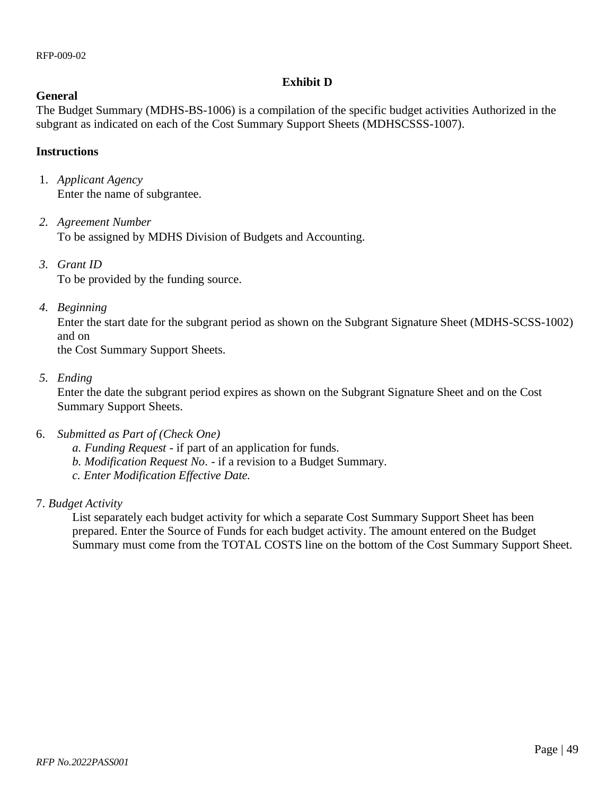# **Exhibit D**

# **General**

The Budget Summary (MDHS-BS-1006) is a compilation of the specific budget activities Authorized in the subgrant as indicated on each of the Cost Summary Support Sheets (MDHSCSSS-1007).

# **Instructions**

- 1. *Applicant Agency* Enter the name of subgrantee.
- *2. Agreement Number*  To be assigned by MDHS Division of Budgets and Accounting.
- *3. Grant ID*  To be provided by the funding source.
- *4. Beginning*

Enter the start date for the subgrant period as shown on the Subgrant Signature Sheet (MDHS-SCSS-1002) and on

the Cost Summary Support Sheets.

*5. Ending* 

Enter the date the subgrant period expires as shown on the Subgrant Signature Sheet and on the Cost Summary Support Sheets.

- 6. *Submitted as Part of (Check One)*
	- *a. Funding Request* if part of an application for funds.
	- *b. Modification Request No*. if a revision to a Budget Summary.
	- *c. Enter Modification Effective Date.*
- 7. *Budget Activity*

List separately each budget activity for which a separate Cost Summary Support Sheet has been prepared. Enter the Source of Funds for each budget activity. The amount entered on the Budget Summary must come from the TOTAL COSTS line on the bottom of the Cost Summary Support Sheet.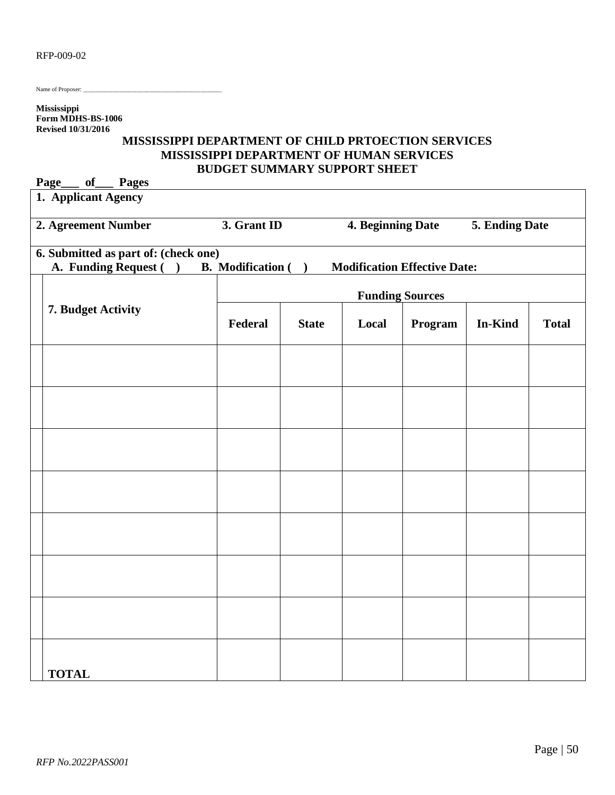| RFP-009-02 |  |
|------------|--|
|------------|--|

Name of Proposer:

**Mississippi Form MDHS-BS-1006 Revised 10/31/2016**

# **MISSISSIPPI DEPARTMENT OF CHILD PRTOECTION SERVICES MISSISSIPPI DEPARTMENT OF HUMAN SERVICES BUDGET SUMMARY SUPPORT SHEET**

| Page<br>of<br><b>Pages</b>                                                    |                          |              |                        |                                     |                |              |
|-------------------------------------------------------------------------------|--------------------------|--------------|------------------------|-------------------------------------|----------------|--------------|
| 1. Applicant Agency                                                           |                          |              |                        |                                     |                |              |
| 2. Agreement Number                                                           | 3. Grant ID              |              | 4. Beginning Date      |                                     | 5. Ending Date |              |
| 6. Submitted as part of: (check one)<br>A. Funding Request (<br>$\rightarrow$ | <b>B.</b> Modification ( | $\lambda$    |                        | <b>Modification Effective Date:</b> |                |              |
|                                                                               |                          |              | <b>Funding Sources</b> |                                     |                |              |
| 7. Budget Activity                                                            | Federal                  | <b>State</b> | Local                  | Program                             | In-Kind        | <b>Total</b> |
|                                                                               |                          |              |                        |                                     |                |              |
|                                                                               |                          |              |                        |                                     |                |              |
|                                                                               |                          |              |                        |                                     |                |              |
|                                                                               |                          |              |                        |                                     |                |              |
|                                                                               |                          |              |                        |                                     |                |              |
|                                                                               |                          |              |                        |                                     |                |              |
|                                                                               |                          |              |                        |                                     |                |              |
| <b>TOTAL</b>                                                                  |                          |              |                        |                                     |                |              |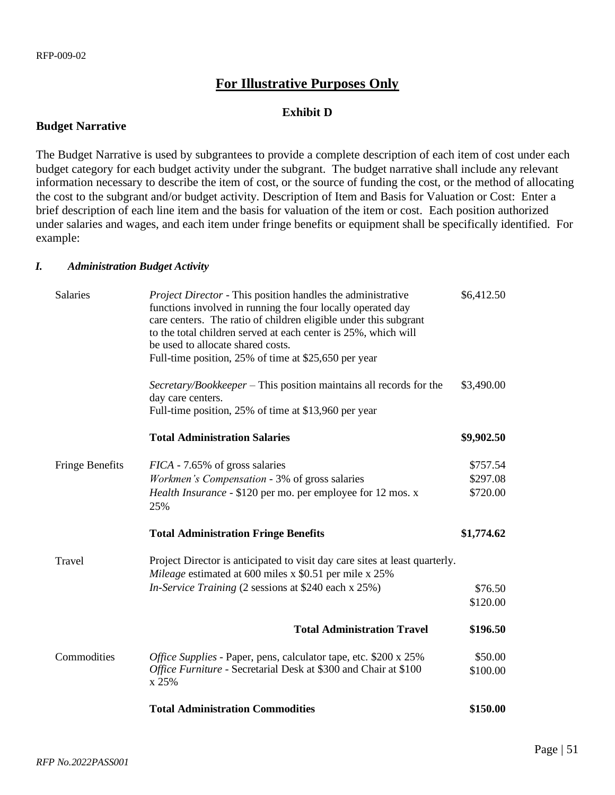# **For Illustrative Purposes Only**

## **Exhibit D**

#### **Budget Narrative**

The Budget Narrative is used by subgrantees to provide a complete description of each item of cost under each budget category for each budget activity under the subgrant. The budget narrative shall include any relevant information necessary to describe the item of cost, or the source of funding the cost, or the method of allocating the cost to the subgrant and/or budget activity. Description of Item and Basis for Valuation or Cost: Enter a brief description of each line item and the basis for valuation of the item or cost. Each position authorized under salaries and wages, and each item under fringe benefits or equipment shall be specifically identified. For example:

#### *I. Administration Budget Activity*

| <b>Salaries</b>        | Project Director - This position handles the administrative<br>functions involved in running the four locally operated day<br>care centers. The ratio of children eligible under this subgrant<br>to the total children served at each center is 25%, which will<br>be used to allocate shared costs.<br>Full-time position, 25% of time at \$25,650 per year | \$6,412.50 |
|------------------------|---------------------------------------------------------------------------------------------------------------------------------------------------------------------------------------------------------------------------------------------------------------------------------------------------------------------------------------------------------------|------------|
|                        | Secretary/Bookkeeper - This position maintains all records for the<br>day care centers.<br>Full-time position, 25% of time at \$13,960 per year                                                                                                                                                                                                               | \$3,490.00 |
|                        | <b>Total Administration Salaries</b>                                                                                                                                                                                                                                                                                                                          | \$9,902.50 |
| <b>Fringe Benefits</b> | <i>FICA</i> - 7.65% of gross salaries                                                                                                                                                                                                                                                                                                                         | \$757.54   |
|                        | Workmen's Compensation - 3% of gross salaries                                                                                                                                                                                                                                                                                                                 | \$297.08   |
|                        | Health Insurance - \$120 per mo. per employee for 12 mos. x<br>25%                                                                                                                                                                                                                                                                                            | \$720.00   |
|                        | <b>Total Administration Fringe Benefits</b>                                                                                                                                                                                                                                                                                                                   | \$1,774.62 |
| Travel                 | Project Director is anticipated to visit day care sites at least quarterly.<br>Mileage estimated at 600 miles x \$0.51 per mile x 25%                                                                                                                                                                                                                         |            |
|                        | In-Service Training (2 sessions at \$240 each x 25%)                                                                                                                                                                                                                                                                                                          | \$76.50    |
|                        |                                                                                                                                                                                                                                                                                                                                                               | \$120.00   |
|                        | <b>Total Administration Travel</b>                                                                                                                                                                                                                                                                                                                            | \$196.50   |
| Commodities            | Office Supplies - Paper, pens, calculator tape, etc. \$200 x 25%                                                                                                                                                                                                                                                                                              | \$50.00    |
|                        | Office Furniture - Secretarial Desk at \$300 and Chair at \$100<br>x 25%                                                                                                                                                                                                                                                                                      | \$100.00   |
|                        | <b>Total Administration Commodities</b>                                                                                                                                                                                                                                                                                                                       | \$150.00   |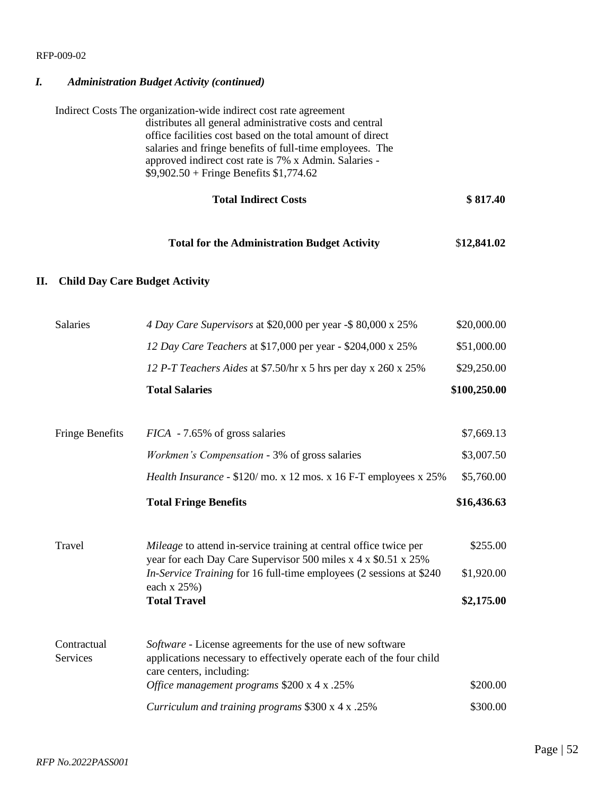# *I. Administration Budget Activity (continued)*

|    |                                       | Indirect Costs The organization-wide indirect cost rate agreement<br>distributes all general administrative costs and central<br>office facilities cost based on the total amount of direct<br>salaries and fringe benefits of full-time employees. The<br>approved indirect cost rate is 7% x Admin. Salaries -<br>$$9,902.50 + Fringe Benefits $1,774.62$ |                          |
|----|---------------------------------------|-------------------------------------------------------------------------------------------------------------------------------------------------------------------------------------------------------------------------------------------------------------------------------------------------------------------------------------------------------------|--------------------------|
|    |                                       | <b>Total Indirect Costs</b>                                                                                                                                                                                                                                                                                                                                 | \$817.40                 |
|    |                                       | <b>Total for the Administration Budget Activity</b>                                                                                                                                                                                                                                                                                                         | \$12,841.02              |
| П. | <b>Child Day Care Budget Activity</b> |                                                                                                                                                                                                                                                                                                                                                             |                          |
|    | <b>Salaries</b>                       | 4 Day Care Supervisors at \$20,000 per year -\$ 80,000 x 25%                                                                                                                                                                                                                                                                                                | \$20,000.00              |
|    |                                       | 12 Day Care Teachers at \$17,000 per year - \$204,000 x 25%                                                                                                                                                                                                                                                                                                 | \$51,000.00              |
|    |                                       | 12 P-T Teachers Aides at \$7.50/hr x 5 hrs per day x 260 x 25%                                                                                                                                                                                                                                                                                              | \$29,250.00              |
|    |                                       | <b>Total Salaries</b>                                                                                                                                                                                                                                                                                                                                       | \$100,250.00             |
|    | <b>Fringe Benefits</b>                | <i>FICA</i> - 7.65% of gross salaries                                                                                                                                                                                                                                                                                                                       | \$7,669.13               |
|    |                                       | <i>Workmen's Compensation</i> - 3% of gross salaries                                                                                                                                                                                                                                                                                                        | \$3,007.50               |
|    |                                       | Health Insurance - \$120/mo. x 12 mos. x 16 F-T employees x 25%                                                                                                                                                                                                                                                                                             | \$5,760.00               |
|    |                                       | <b>Total Fringe Benefits</b>                                                                                                                                                                                                                                                                                                                                | \$16,436.63              |
|    | Travel                                | Mileage to attend in-service training at central office twice per<br>year for each Day Care Supervisor 500 miles x 4 x \$0.51 x 25%                                                                                                                                                                                                                         | \$255.00                 |
|    |                                       | In-Service Training for 16 full-time employees (2 sessions at \$240<br>each x 25%)<br><b>Total Travel</b>                                                                                                                                                                                                                                                   | \$1,920.00<br>\$2,175.00 |
|    | Contractual                           | Software - License agreements for the use of new software                                                                                                                                                                                                                                                                                                   |                          |
|    | Services                              | applications necessary to effectively operate each of the four child<br>care centers, including:                                                                                                                                                                                                                                                            |                          |
|    |                                       | Office management programs \$200 x 4 x .25%                                                                                                                                                                                                                                                                                                                 | \$200.00<br>\$300.00     |
|    |                                       | Curriculum and training programs \$300 x 4 x .25%                                                                                                                                                                                                                                                                                                           |                          |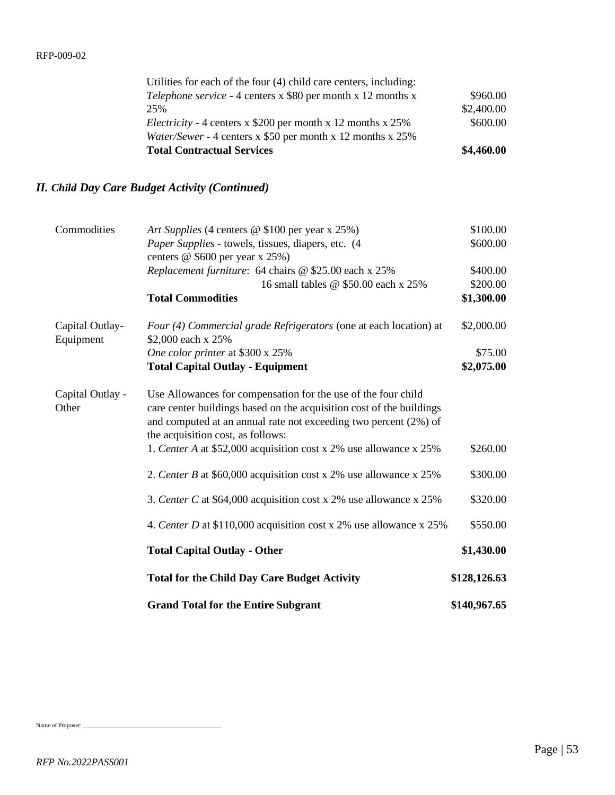| <b>Total Contractual Services</b>                                   | \$4,460.00 |
|---------------------------------------------------------------------|------------|
| Water/Sewer - 4 centers x \$50 per month x 12 months x 25%          |            |
| <i>Electricity</i> - 4 centers x \$200 per month x 12 months x 25%  | \$600.00   |
| 25%                                                                 | \$2,400.00 |
| <i>Telephone service</i> - 4 centers x \$80 per month x 12 months x | \$960.00   |
| Utilities for each of the four (4) child care centers, including:   |            |

# *II. Child Day Care Budget Activity (Continued)*

| Commodities                  | Art Supplies (4 centers @ \$100 per year x 25%)                                                                                                                                                                                                | \$100.00     |
|------------------------------|------------------------------------------------------------------------------------------------------------------------------------------------------------------------------------------------------------------------------------------------|--------------|
|                              | Paper Supplies - towels, tissues, diapers, etc. (4)                                                                                                                                                                                            | \$600.00     |
|                              | centers @ \$600 per year x 25%)                                                                                                                                                                                                                |              |
|                              | Replacement furniture: 64 chairs @ \$25.00 each x 25%                                                                                                                                                                                          | \$400.00     |
|                              | 16 small tables @ \$50.00 each x 25%                                                                                                                                                                                                           | \$200.00     |
|                              | <b>Total Commodities</b>                                                                                                                                                                                                                       | \$1,300.00   |
| Capital Outlay-<br>Equipment | Four (4) Commercial grade Refrigerators (one at each location) at<br>\$2,000 each x 25%                                                                                                                                                        | \$2,000.00   |
|                              | One color printer at \$300 x 25%                                                                                                                                                                                                               | \$75.00      |
|                              | <b>Total Capital Outlay - Equipment</b>                                                                                                                                                                                                        | \$2,075.00   |
| Capital Outlay -<br>Other    | Use Allowances for compensation for the use of the four child<br>care center buildings based on the acquisition cost of the buildings<br>and computed at an annual rate not exceeding two percent (2%) of<br>the acquisition cost, as follows: |              |
|                              | 1. Center A at \$52,000 acquisition cost x 2% use allowance x 25%                                                                                                                                                                              | \$260.00     |
|                              | 2. Center B at \$60,000 acquisition cost x 2% use allowance x 25%                                                                                                                                                                              | \$300.00     |
|                              | 3. Center C at \$64,000 acquisition cost x 2% use allowance x 25%                                                                                                                                                                              | \$320.00     |
|                              | 4. Center D at \$110,000 acquisition cost x 2% use allowance x 25%                                                                                                                                                                             | \$550.00     |
|                              | <b>Total Capital Outlay - Other</b>                                                                                                                                                                                                            | \$1,430.00   |
|                              | <b>Total for the Child Day Care Budget Activity</b>                                                                                                                                                                                            | \$128,126.63 |
|                              | <b>Grand Total for the Entire Subgrant</b>                                                                                                                                                                                                     | \$140,967.65 |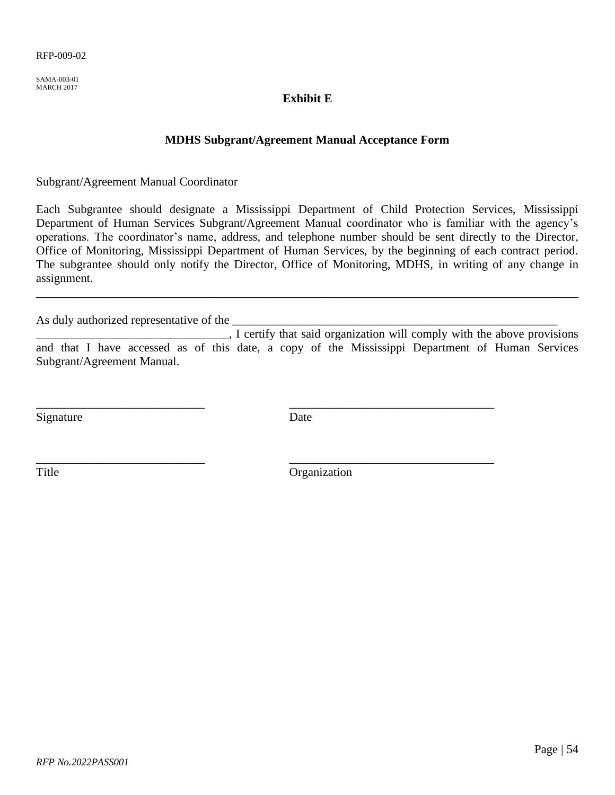<span id="page-53-0"></span>SAMA-003-01 MARCH 2017

# **Exhibit E**

# **MDHS Subgrant/Agreement Manual Acceptance Form**

Subgrant/Agreement Manual Coordinator

Each Subgrantee should designate a Mississippi Department of Child Protection Services, Mississippi Department of Human Services Subgrant/Agreement Manual coordinator who is familiar with the agency's operations. The coordinator's name, address, and telephone number should be sent directly to the Director, Office of Monitoring, Mississippi Department of Human Services, by the beginning of each contract period. The subgrantee should only notify the Director, Office of Monitoring, MDHS, in writing of any change in assignment.

**\_\_\_\_\_\_\_\_\_\_\_\_\_\_\_\_\_\_\_\_\_\_\_\_\_\_\_\_\_\_\_\_\_\_\_\_\_\_\_\_\_\_\_\_\_\_\_\_\_\_\_\_\_\_\_\_\_\_\_\_\_\_\_\_\_\_\_\_\_\_\_\_\_\_\_\_\_\_\_\_\_\_\_\_\_\_\_\_\_\_**

As duly authorized representative of the

\_\_\_\_\_\_\_\_\_\_\_\_\_\_\_\_\_\_\_\_\_\_\_\_\_\_\_\_\_\_\_\_, I certify that said organization will comply with the above provisions and that I have accessed as of this date, a copy of the Mississippi Department of Human Services Subgrant/Agreement Manual.

Signature Date

\_\_\_\_\_\_\_\_\_\_\_\_\_\_\_\_\_\_\_\_\_\_\_\_\_\_\_\_ \_\_\_\_\_\_\_\_\_\_\_\_\_\_\_\_\_\_\_\_\_\_\_\_\_\_\_\_\_\_\_\_\_\_

\_\_\_\_\_\_\_\_\_\_\_\_\_\_\_\_\_\_\_\_\_\_\_\_\_\_\_\_ \_\_\_\_\_\_\_\_\_\_\_\_\_\_\_\_\_\_\_\_\_\_\_\_\_\_\_\_\_\_\_\_\_\_

Title Organization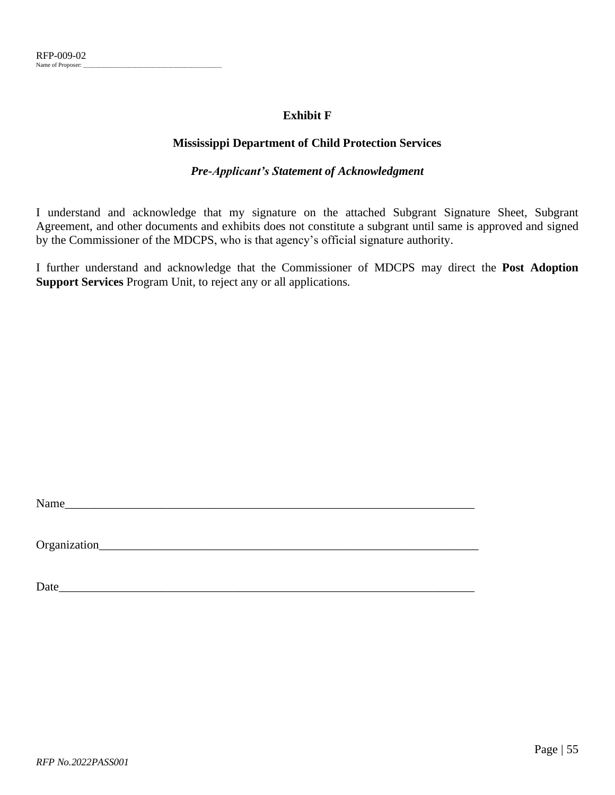# **Exhibit F**

# **Mississippi Department of Child Protection Services**

# *Pre-Applicant's Statement of Acknowledgment*

<span id="page-54-0"></span>I understand and acknowledge that my signature on the attached Subgrant Signature Sheet, Subgrant Agreement, and other documents and exhibits does not constitute a subgrant until same is approved and signed by the Commissioner of the MDCPS, who is that agency's official signature authority.

I further understand and acknowledge that the Commissioner of MDCPS may direct the **Post Adoption Support Services** Program Unit, to reject any or all applications.

Name

Organization\_\_\_\_\_\_\_\_\_\_\_\_\_\_\_\_\_\_\_\_\_\_\_\_\_\_\_\_\_\_\_\_\_\_\_\_\_\_\_\_\_\_\_\_\_\_\_\_\_\_\_\_\_\_\_\_\_\_\_\_\_\_\_

Date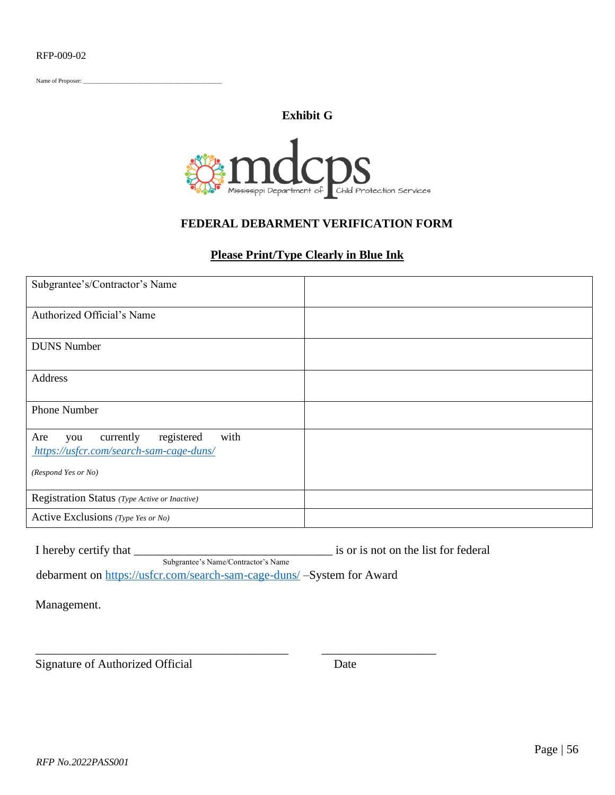<span id="page-55-0"></span>Name of Proposer: \_

# **Exhibit G**



# **FEDERAL DEBARMENT VERIFICATION FORM**

# **Please Print/Type Clearly in Blue Ink**

| Subgrantee's/Contractor's Name                                                           |  |
|------------------------------------------------------------------------------------------|--|
| Authorized Official's Name                                                               |  |
| <b>DUNS</b> Number                                                                       |  |
| Address                                                                                  |  |
| <b>Phone Number</b>                                                                      |  |
| registered<br>with<br>Are<br>currently<br>you<br>https://usfcr.com/search-sam-cage-duns/ |  |
| (Respond Yes or No)                                                                      |  |
| Registration Status (Type Active or Inactive)                                            |  |
| Active Exclusions (Type Yes or No)                                                       |  |

I hereby certify that \_\_\_\_\_\_\_\_\_\_\_\_\_\_\_\_\_\_\_\_\_\_\_\_\_\_\_\_\_\_\_\_\_ is or is not on the list for federal Subgrantee's Name/Contractor's Name debarment on<https://usfcr.com/search-sam-cage-duns/> -System for Award

\_\_\_\_\_\_\_\_\_\_\_\_\_\_\_\_\_\_\_\_\_\_\_\_\_\_\_\_\_\_\_\_\_\_\_\_\_\_\_\_\_\_ \_\_\_\_\_\_\_\_\_\_\_\_\_\_\_\_\_\_\_

Management.

Signature of Authorized Official Date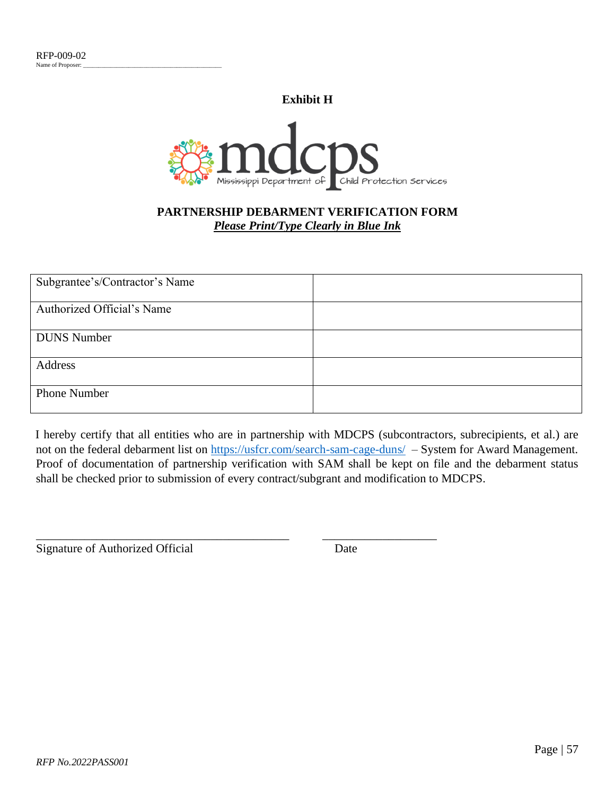**Exhibit H**

<span id="page-56-0"></span>

# **PARTNERSHIP DEBARMENT VERIFICATION FORM** *Please Print/Type Clearly in Blue Ink*

| Subgrantee's/Contractor's Name |  |
|--------------------------------|--|
| Authorized Official's Name     |  |
| <b>DUNS</b> Number             |  |
| Address                        |  |
| Phone Number                   |  |

I hereby certify that all entities who are in partnership with MDCPS (subcontractors, subrecipients, et al.) are not on the federal debarment list on<https://usfcr.com/search-sam-cage-duns/> - System for Award Management. Proof of documentation of partnership verification with SAM shall be kept on file and the debarment status shall be checked prior to submission of every contract/subgrant and modification to MDCPS.

\_\_\_\_\_\_\_\_\_\_\_\_\_\_\_\_\_\_\_\_\_\_\_\_\_\_\_\_\_\_\_\_\_\_\_\_\_\_\_\_\_\_ \_\_\_\_\_\_\_\_\_\_\_\_\_\_\_\_\_\_\_

Signature of Authorized Official Date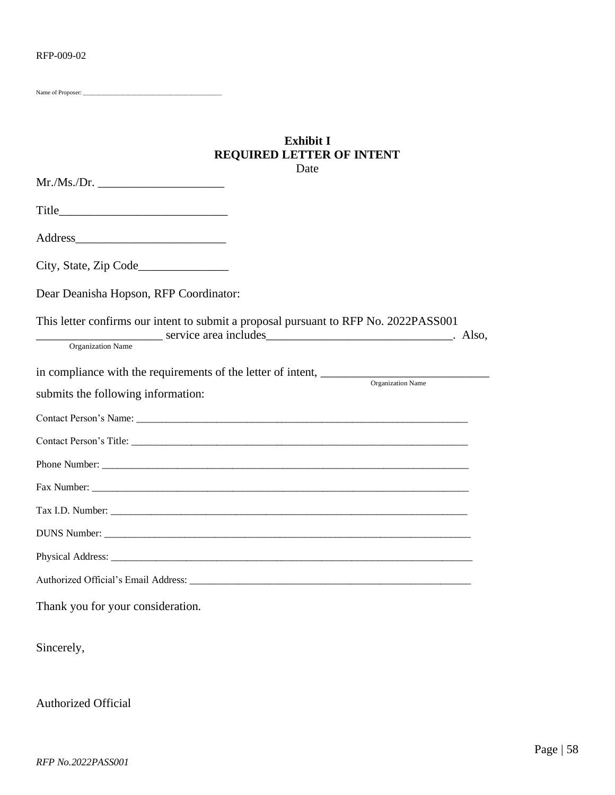<span id="page-57-0"></span>Name of Proposer:

# **Exhibit I REQUIRED LETTER OF INTENT** Date

| Dear Deanisha Hopson, RFP Coordinator:                                                                                                                                                                                                                                                                                                      |  |
|---------------------------------------------------------------------------------------------------------------------------------------------------------------------------------------------------------------------------------------------------------------------------------------------------------------------------------------------|--|
| This letter confirms our intent to submit a proposal pursuant to RFP No. 2022PASS001<br>ervice area includes exercise and the service area includes exercise exercise and the service area includes exercise and the service area includes exercise and the service area includes and the service area includes and th<br>Organization Name |  |
| Organization Name                                                                                                                                                                                                                                                                                                                           |  |
| submits the following information:                                                                                                                                                                                                                                                                                                          |  |
|                                                                                                                                                                                                                                                                                                                                             |  |
|                                                                                                                                                                                                                                                                                                                                             |  |
|                                                                                                                                                                                                                                                                                                                                             |  |
|                                                                                                                                                                                                                                                                                                                                             |  |
| Tax I.D. Number:                                                                                                                                                                                                                                                                                                                            |  |
|                                                                                                                                                                                                                                                                                                                                             |  |
|                                                                                                                                                                                                                                                                                                                                             |  |
|                                                                                                                                                                                                                                                                                                                                             |  |
| Thank you for your consideration.                                                                                                                                                                                                                                                                                                           |  |

Sincerely,

Authorized Official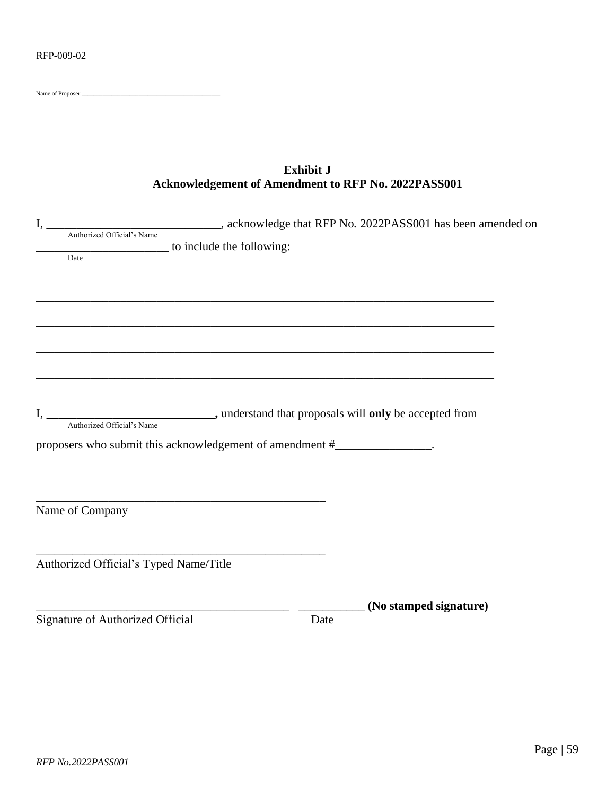<span id="page-58-0"></span>Name of Proposer:

# **Exhibit J Acknowledgement of Amendment to RFP No. 2022PASS001**

| $I_{\star}$                            |                                                                          |      | Authorized Official's Name (and Sales Control of Authorized Official's Name (and Authorized Official's Name (and Authorized Official's Name (and Authorized Official's Name (and Authorized Official's Name (and Authorized Of |
|----------------------------------------|--------------------------------------------------------------------------|------|--------------------------------------------------------------------------------------------------------------------------------------------------------------------------------------------------------------------------------|
|                                        | to include the following:                                                |      |                                                                                                                                                                                                                                |
| Date                                   |                                                                          |      |                                                                                                                                                                                                                                |
|                                        |                                                                          |      |                                                                                                                                                                                                                                |
|                                        |                                                                          |      |                                                                                                                                                                                                                                |
|                                        |                                                                          |      |                                                                                                                                                                                                                                |
|                                        |                                                                          |      |                                                                                                                                                                                                                                |
|                                        |                                                                          |      |                                                                                                                                                                                                                                |
|                                        |                                                                          |      |                                                                                                                                                                                                                                |
|                                        | proposers who submit this acknowledgement of amendment #_______________. |      |                                                                                                                                                                                                                                |
|                                        |                                                                          |      |                                                                                                                                                                                                                                |
|                                        |                                                                          |      |                                                                                                                                                                                                                                |
| Name of Company                        |                                                                          |      |                                                                                                                                                                                                                                |
|                                        |                                                                          |      |                                                                                                                                                                                                                                |
| Authorized Official's Typed Name/Title |                                                                          |      |                                                                                                                                                                                                                                |
|                                        |                                                                          |      | (No stamped signature)                                                                                                                                                                                                         |
| Signature of Authorized Official       |                                                                          | Date |                                                                                                                                                                                                                                |
|                                        |                                                                          |      |                                                                                                                                                                                                                                |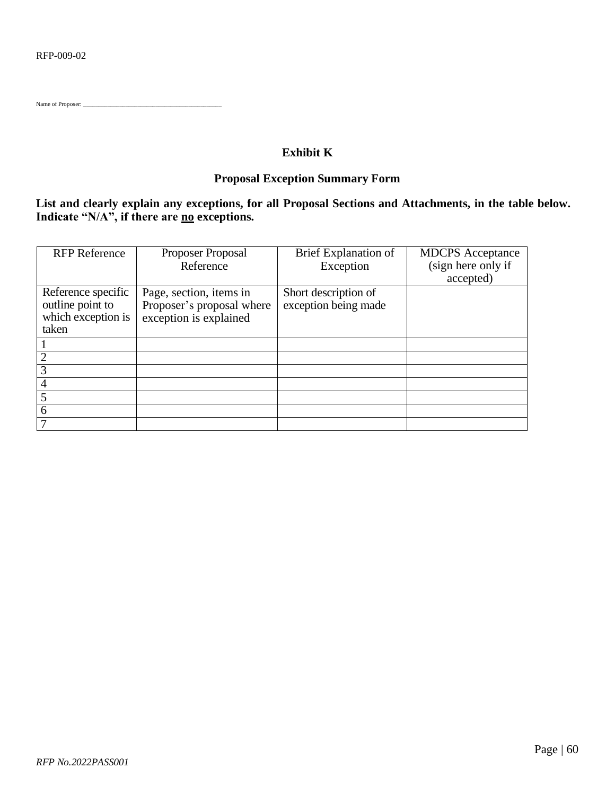<span id="page-59-0"></span>Name of Proposer:

# **Exhibit K**

# **Proposal Exception Summary Form**

# **List and clearly explain any exceptions, for all Proposal Sections and Attachments, in the table below. Indicate "N/A", if there are no exceptions.**

| <b>RFP</b> Reference | Proposer Proposal         | Brief Explanation of | <b>MDCPS</b> Acceptance |
|----------------------|---------------------------|----------------------|-------------------------|
|                      | Reference                 | Exception            | (sign here only if      |
|                      |                           |                      | accepted)               |
| Reference specific   | Page, section, items in   | Short description of |                         |
| outline point to     | Proposer's proposal where | exception being made |                         |
| which exception is   | exception is explained    |                      |                         |
| taken                |                           |                      |                         |
|                      |                           |                      |                         |
|                      |                           |                      |                         |
| 3                    |                           |                      |                         |
| 4                    |                           |                      |                         |
|                      |                           |                      |                         |
| 6                    |                           |                      |                         |
|                      |                           |                      |                         |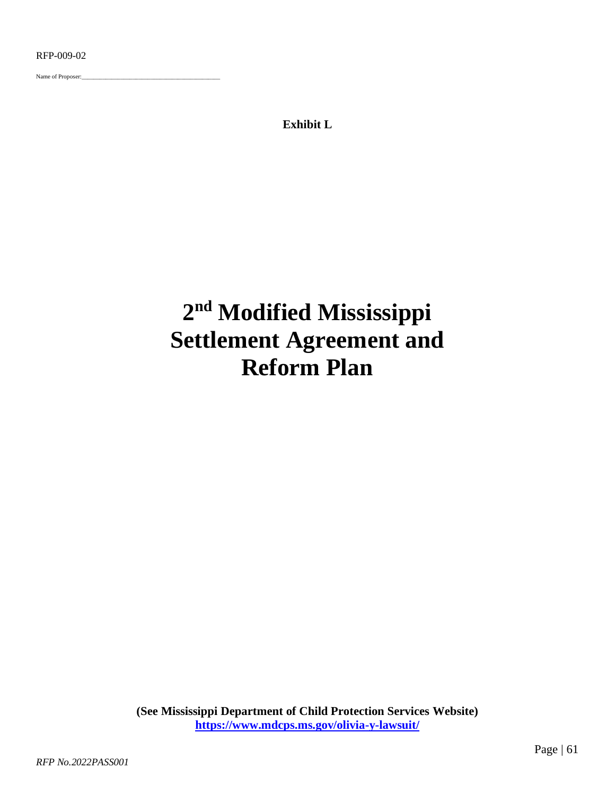<span id="page-60-0"></span>Name of Proposer:

**Exhibit L**

# **2 nd Modified Mississippi Settlement Agreement and Reform Plan**

**(See Mississippi Department of Child Protection Services Website) <https://www.mdcps.ms.gov/olivia-y-lawsuit/>**